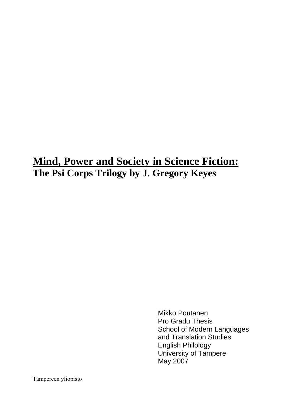# **Mind, Power and Society in Science Fiction: The Psi Corps Trilogy by J. Gregory Keyes**

 Mikko Poutanen Pro Gradu Thesis School of Modern Languages and Translation Studies English Philology University of Tampere May 2007

Tampereen yliopisto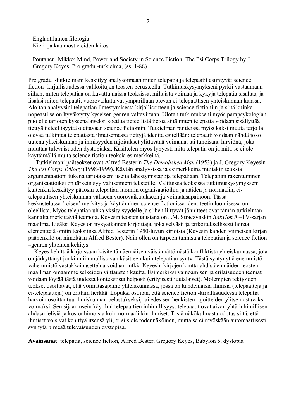Englantilainen filologia Kieli- ja käännöstieteiden laitos

Poutanen, Mikko: Mind, Power and Society in Science Fiction: The Psi Corps Trilogy by J. Gregory Keyes. Pro gradu -tutkielma, (ss. 1-88)

Pro gradu -tutkielmani keskittyy analysoimaan miten telepatia ja telepaatit esiintyvät science fiction -kirjallisuudessa valikoitujen teosten perusteella. Tutkimuskysymykseni pyrkii vastaamaan siihen, miten telepatiaa on kuvattu näissä teoksissa, millaista voimaa ja kykyjä telepatia sisältää, ja lisäksi miten telepaatit vuorovaikuttavat ympärillään olevan ei-telepaattisen yhteiskunnan kanssa. Aloitan analyysini telepatian ilmestymisestä kirjallisuuteen ja science fictioniin ja siitä kuinka nopeasti se on hyväksytty kyseisen genren valtavirtaan. Ulotan tutkimukseni myös parapsykologian puolelle tarjoten kyseenalaiseksi koettua tieteellistä tietoa siitä miten telepatia voidaan sisällyttää tiettyä tieteellisyyttä olettavaan science fictioniin. Tutkielman puitteissa myös kaksi muuta tarjolla olevaa tulkintaa telepatiasta ilmaisemassa tiettyjä ideoita esitellään: telepaatti voidaan nähdä joko uutena yhteiskunnan ja ihmisyyden rajoitukset ylittävänä voimana, tai tuhoisana hirviönä, joka muuttaa tulevaisuuden dystopiaksi. Käsittelen myös lyhyesti mitä telepatia on ja mitä se ei ole käyttämällä muita science fiction teoksia esimerkkeinä.

 Tutkielmani pääteokset ovat Alfred Besterin *The Demolished Man* (1953) ja J. Gregory Keyesin *The Psi Corps Trilogy* (1998-1999). Käytän analyysissa ja esimerkkeinä muitakin teoksia argumentaationi tukena tarjotakseni useita lähestymistapoja telepatiaan. Telepatian rakentuminen organisaatioiksi on tärkein syy valitsemieni teksteille. Valituissa teoksissa tutkimuskysymykseni kuitenkin keskittyy pääosin telepatian luomiin organisaatioihin ja näiden ja normaalin, eitelepaattisen yhteiskunnan väliseen vuorovaikutukseen ja voimatasapainoon. Tässä keskustelussa 'toisen' merkitys ja käyttäminen science fictionissa identiteetin luomisessa on oleellista. Myös telepatian uhka yksityisyydelle ja siihen liittyvät jännitteet ovat tämän tutkielman kannalta merkittäviä teemoja. Keyesin teosten taustana on J.M. Straczynskin *Babylon 5* –TV-sarjan maailma. Lisäksi Keyes on nykyaikainen kirjoittaja, joka selvästi ja tarkoituksellisesti lainaa elementtejä omiin teoksiinsa Alfred Besterin 1950-luvun kirjoista (Keyesin kahden viimeisen kirjan päähenkilö on nimeltään Alfred Bester). Näin ollen on tarpeen tunnistaa telepatian ja science fiction –genren yhteinen kehitys.

 Keyes kehittää kirjoissaan käsitettä näennäisen väistämättömästä konfliktista yhteiskunnassa, jota on järkyttänyt jonkin niin mullistavan käsitteen kuin telepatian synty. Tästä syntynyttä enemmistövähemmistö vastakkainasettelua voidaan tutkia Keyesin kirjojen kautta yhdistäen näiden teosten maailman omaamme selkeiden viittausten kautta. Esimerkiksi vainoamisen ja erilaisuuden teemat voidaan löytää tästä uudesta kontekstista helposti (erityisesti juutalaiset). Molempien tekijöiden teokset osoittavat, että voimatasapaino yhteiskunnassa, jossa on kahdenlaisia ihmisiä (telepaatteja ja ei-telepaatteja) on erittäin herkkä. Lopuksi osoitan, että science fiction -kirjallisuudessa telepatia harvoin osoittautuu ihmiskunnan pelastukseksi, tai edes sen henkisten rajoitteiden ylitse nostavaksi voimaksi. Sen sijaan usein käy ilmi telepaattien inhimillisyys: telepaatit ovat aivan yhtä inhimillisen ahdasmielisiä ja kostonhimoisia kuin normaalitkin ihmiset. Tästä näkökulmasta odotus siitä, että ihmiset voisivat kehittyä itsensä yli, ei siis ole todennäköinen, mutta se ei myöskään automaattisesti synnytä pimeää tulevaisuuden dystopiaa.

**Avainsanat**: telepatia, science fiction, Alfred Bester, Gregory Keyes, Babylon 5, dystopia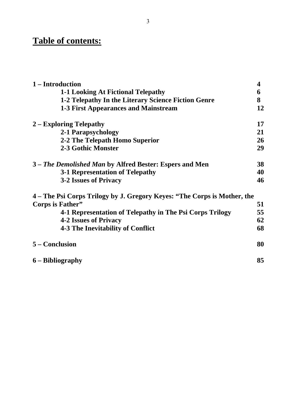## **Table of contents:**

| 1 – Introduction                                                         | 4  |
|--------------------------------------------------------------------------|----|
| 1-1 Looking At Fictional Telepathy                                       | 6  |
| 1-2 Telepathy In the Literary Science Fiction Genre                      | 8  |
| <b>1-3 First Appearances and Mainstream</b>                              | 12 |
| 2 – Exploring Telepathy                                                  | 17 |
| 2-1 Parapsychology                                                       | 21 |
| 2-2 The Telepath Homo Superior                                           | 26 |
| 2-3 Gothic Monster                                                       | 29 |
| 3 – The Demolished Man by Alfred Bester: Espers and Men                  | 38 |
| <b>3-1 Representation of Telepathy</b>                                   | 40 |
| 3-2 Issues of Privacy                                                    | 46 |
| 4 – The Psi Corps Trilogy by J. Gregory Keyes: "The Corps is Mother, the |    |
| Corps is Father"                                                         | 51 |
| 4-1 Representation of Telepathy in The Psi Corps Trilogy                 | 55 |
| <b>4-2 Issues of Privacy</b>                                             | 62 |
| <b>4-3 The Inevitability of Conflict</b>                                 | 68 |
| 5 – Conclusion                                                           | 80 |
| 6 – Bibliography                                                         | 85 |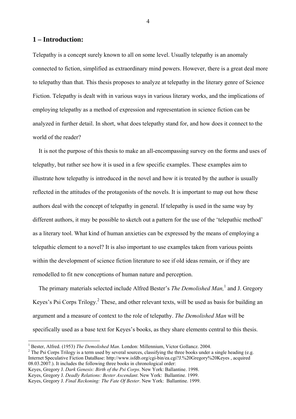## **1 – Introduction:**

 $\overline{a}$ 

Telepathy is a concept surely known to all on some level. Usually telepathy is an anomaly connected to fiction, simplified as extraordinary mind powers. However, there is a great deal more to telepathy than that. This thesis proposes to analyze at telepathy in the literary genre of Science Fiction. Telepathy is dealt with in various ways in various literary works, and the implications of employing telepathy as a method of expression and representation in science fiction can be analyzed in further detail. In short, what does telepathy stand for, and how does it connect to the world of the reader?

 It is not the purpose of this thesis to make an all-encompassing survey on the forms and uses of telepathy, but rather see how it is used in a few specific examples. These examples aim to illustrate how telepathy is introduced in the novel and how it is treated by the author is usually reflected in the attitudes of the protagonists of the novels. It is important to map out how these authors deal with the concept of telepathy in general. If telepathy is used in the same way by different authors, it may be possible to sketch out a pattern for the use of the 'telepathic method' as a literary tool. What kind of human anxieties can be expressed by the means of employing a telepathic element to a novel? It is also important to use examples taken from various points within the development of science fiction literature to see if old ideas remain, or if they are remodelled to fit new conceptions of human nature and perception.

The primary materials selected include Alfred Bester's *The Demolished Man*,<sup>1</sup> and J. Gregory Keyes's Psi Corps Trilogy.<sup>2</sup> These, and other relevant texts, will be used as basis for building an argument and a measure of context to the role of telepathy. *The Demolished Man* will be specifically used as a base text for Keyes's books, as they share elements central to this thesis.

Keyes, Gregory J. *Dark Genesis: Birth of the Psi Corps*. New York: Ballantine. 1998.

<sup>&</sup>lt;sup>1</sup> Bester, Alfred. (1953) *The Demolished Man*. London: Millennium, Victor Gollancz. 2004.

 $\frac{2}{3}$  The Psi Corps Trilogy is a term used by several sources, classifying the three books under a single heading (e.g. Internet Speculative Fiction DataBase: http://www.isfdb.org/cgi-bin/ea.cgi?J.%20Gregory%20Keyes , acquired 08.03.2007.). It includes the following three books in chronological order:

Keyes, Gregory J. *Deadly Relations: Bester Ascendant*. New York: Ballantine. 1999.

Keyes, Gregory J. *Final Reckoning: The Fate Of Bester*. New York: Ballantine. 1999.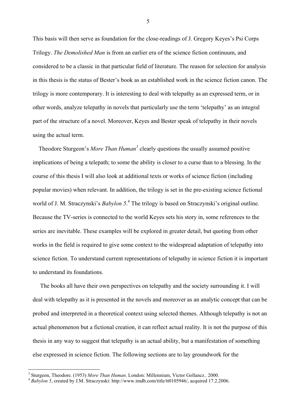This basis will then serve as foundation for the close-readings of J. Gregory Keyes's Psi Corps Trilogy. *The Demolished Man* is from an earlier era of the science fiction continuum, and considered to be a classic in that particular field of literature. The reason for selection for analysis in this thesis is the status of Bester's book as an established work in the science fiction canon. The trilogy is more contemporary. It is interesting to deal with telepathy as an expressed term, or in other words, analyze telepathy in novels that particularly use the term 'telepathy' as an integral part of the structure of a novel. Moreover, Keyes and Bester speak of telepathy in their novels using the actual term.

Theodore Sturgeon's *More Than Human*<sup>3</sup> clearly questions the usually assumed positive implications of being a telepath; to some the ability is closer to a curse than to a blessing. In the course of this thesis I will also look at additional texts or works of science fiction (including popular movies) when relevant. In addition, the trilogy is set in the pre-existing science fictional world of J. M. Straczynski's *Babylon* 5.<sup>4</sup> The trilogy is based on Straczynski's original outline. Because the TV-series is connected to the world Keyes sets his story in, some references to the series are inevitable. These examples will be explored in greater detail, but quoting from other works in the field is required to give some context to the widespread adaptation of telepathy into science fiction. To understand current representations of telepathy in science fiction it is important to understand its foundations.

 The books all have their own perspectives on telepathy and the society surrounding it. I will deal with telepathy as it is presented in the novels and moreover as an analytic concept that can be probed and interpreted in a theoretical context using selected themes. Although telepathy is not an actual phenomenon but a fictional creation, it can reflect actual reality. It is not the purpose of this thesis in any way to suggest that telepathy is an actual ability, but a manifestation of something else expressed in science fiction. The following sections are to lay groundwork for the

 $\overline{a}$ 

<sup>3</sup> Sturgeon, Theodore. (1953) *More Than Human*. London: Millennium, Victor Gollancz.. 2000.<br>*Babylon 5*, created by J.M. Straczynski: http://www.imdb.com/title/tt0105946/, acquired 17.2.2006.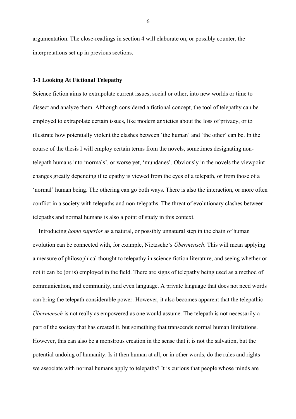argumentation. The close-readings in section 4 will elaborate on, or possibly counter, the interpretations set up in previous sections.

## **1-1 Looking At Fictional Telepathy**

Science fiction aims to extrapolate current issues, social or other, into new worlds or time to dissect and analyze them. Although considered a fictional concept, the tool of telepathy can be employed to extrapolate certain issues, like modern anxieties about the loss of privacy, or to illustrate how potentially violent the clashes between 'the human' and 'the other' can be. In the course of the thesis I will employ certain terms from the novels, sometimes designating nontelepath humans into 'normals', or worse yet, 'mundanes'. Obviously in the novels the viewpoint changes greatly depending if telepathy is viewed from the eyes of a telepath, or from those of a 'normal' human being. The othering can go both ways. There is also the interaction, or more often conflict in a society with telepaths and non-telepaths. The threat of evolutionary clashes between telepaths and normal humans is also a point of study in this context.

 Introducing *homo superior* as a natural, or possibly unnatural step in the chain of human evolution can be connected with, for example, Nietzsche's *Übermensch*. This will mean applying a measure of philosophical thought to telepathy in science fiction literature, and seeing whether or not it can be (or is) employed in the field. There are signs of telepathy being used as a method of communication, and community, and even language. A private language that does not need words can bring the telepath considerable power. However, it also becomes apparent that the telepathic *Übermensch* is not really as empowered as one would assume. The telepath is not necessarily a part of the society that has created it, but something that transcends normal human limitations. However, this can also be a monstrous creation in the sense that it is not the salvation, but the potential undoing of humanity. Is it then human at all, or in other words, do the rules and rights we associate with normal humans apply to telepaths? It is curious that people whose minds are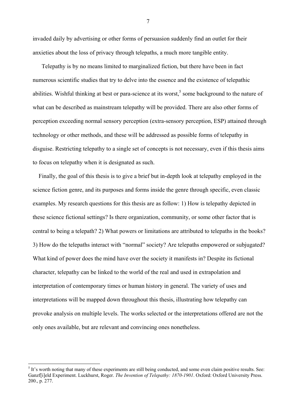invaded daily by advertising or other forms of persuasion suddenly find an outlet for their anxieties about the loss of privacy through telepaths, a much more tangible entity.

 Telepathy is by no means limited to marginalized fiction, but there have been in fact numerous scientific studies that try to delve into the essence and the existence of telepathic abilities. Wishful thinking at best or para-science at its worst,<sup>5</sup> some background to the nature of what can be described as mainstream telepathy will be provided. There are also other forms of perception exceeding normal sensory perception (extra-sensory perception, ESP) attained through technology or other methods, and these will be addressed as possible forms of telepathy in disguise. Restricting telepathy to a single set of concepts is not necessary, even if this thesis aims to focus on telepathy when it is designated as such.

 Finally, the goal of this thesis is to give a brief but in-depth look at telepathy employed in the science fiction genre, and its purposes and forms inside the genre through specific, even classic examples. My research questions for this thesis are as follow: 1) How is telepathy depicted in these science fictional settings? Is there organization, community, or some other factor that is central to being a telepath? 2) What powers or limitations are attributed to telepaths in the books? 3) How do the telepaths interact with "normal" society? Are telepaths empowered or subjugated? What kind of power does the mind have over the society it manifests in? Despite its fictional character, telepathy can be linked to the world of the real and used in extrapolation and interpretation of contemporary times or human history in general. The variety of uses and interpretations will be mapped down throughout this thesis, illustrating how telepathy can provoke analysis on multiple levels. The works selected or the interpretations offered are not the only ones available, but are relevant and convincing ones nonetheless.

 $\overline{a}$ 

 $<sup>5</sup>$  It's worth noting that many of these experiments are still being conducted, and some even claim positive results. See:</sup> Ganzf[i]eld Experiment. Luckhurst, Roger. *The Invention of Telepathy: 1870-1901*. Oxford: Oxford University Press. 200., p. 277.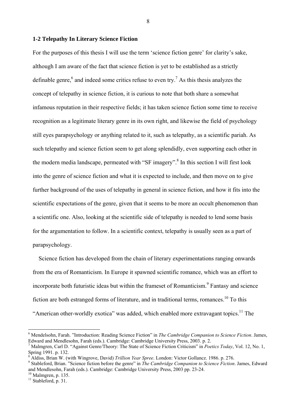## **1-2 Telepathy In Literary Science Fiction**

For the purposes of this thesis I will use the term 'science fiction genre' for clarity's sake, although I am aware of the fact that science fiction is yet to be established as a strictly definable genre,<sup>6</sup> and indeed some critics refuse to even try.<sup>7</sup> As this thesis analyzes the concept of telepathy in science fiction, it is curious to note that both share a somewhat infamous reputation in their respective fields; it has taken science fiction some time to receive recognition as a legitimate literary genre in its own right, and likewise the field of psychology still eyes parapsychology or anything related to it, such as telepathy, as a scientific pariah. As such telepathy and science fiction seem to get along splendidly, even supporting each other in the modern media landscape, permeated with "SF imagery".<sup>8</sup> In this section I will first look into the genre of science fiction and what it is expected to include, and then move on to give further background of the uses of telepathy in general in science fiction, and how it fits into the scientific expectations of the genre, given that it seems to be more an occult phenomenon than a scientific one. Also, looking at the scientific side of telepathy is needed to lend some basis for the argumentation to follow. In a scientific context, telepathy is usually seen as a part of parapsychology.

 Science fiction has developed from the chain of literary experimentations ranging onwards from the era of Romanticism. In Europe it spawned scientific romance, which was an effort to incorporate both futuristic ideas but within the frameset of Romanticism.<sup>9</sup> Fantasy and science fiction are both estranged forms of literature, and in traditional terms, romances.<sup>10</sup> To this "American other-worldly exotica" was added, which enabled more extravagant topics.<sup>11</sup> The

 $10$  Malmgren, p. 135.

 $\overline{a}$ 

<sup>6</sup> Mendelsohn, Farah. "Introduction: Reading Science Fiction" in *The Cambridge Companion to Science Fiction*. James, Edward and Mendlesohn, Farah (eds.). Cambridge: Cambridge University Press, 2003. p. 2.

<sup>7</sup> Malmgren, Carl D. "Against Genre/Theory: The State of Science Fiction Criticism" in *Poetics Today*, Vol. 12, No. 1, Spring 1991. p. 132.

<sup>8</sup> Aldiss, Brian W. (with Wingrove, David) *Trillion Year Spree*. London: Victor Gollancz. 1986. p. 276. 9

Stableford, Brian. "Science fiction before the genre" in *The Cambridge Companion to Science Fiction*. James, Edward and Mendlesohn, Farah (eds.). Cambridge: Cambridge University Press, 2003 pp. 23-24.

 $11$  Stableford, p. 31.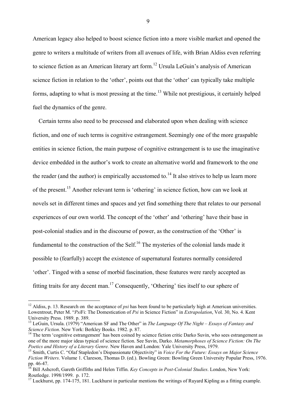American legacy also helped to boost science fiction into a more visible market and opened the genre to writers a multitude of writers from all avenues of life, with Brian Aldiss even referring to science fiction as an American literary art form.<sup>12</sup> Ursula LeGuin's analysis of American science fiction in relation to the 'other', points out that the 'other' can typically take multiple forms, adapting to what is most pressing at the time.<sup>13</sup> While not prestigious, it certainly helped fuel the dynamics of the genre.

 Certain terms also need to be processed and elaborated upon when dealing with science fiction, and one of such terms is cognitive estrangement. Seemingly one of the more graspable entities in science fiction, the main purpose of cognitive estrangement is to use the imaginative device embedded in the author's work to create an alternative world and framework to the one the reader (and the author) is empirically accustomed to.<sup>14</sup> It also strives to help us learn more of the present.15 Another relevant term is 'othering' in science fiction, how can we look at novels set in different times and spaces and yet find something there that relates to our personal experiences of our own world. The concept of the 'other' and 'othering' have their base in post-colonial studies and in the discourse of power, as the construction of the 'Other' is fundamental to the construction of the Self.<sup>16</sup> The mysteries of the colonial lands made it possible to (fearfully) accept the existence of supernatural features normally considered 'other'. Tinged with a sense of morbid fascination, these features were rarely accepted as fitting traits for any decent man.17 Consequently, 'Othering' ties itself to our sphere of

 $\overline{a}$ 

<sup>&</sup>lt;sup>12</sup> Aldiss, p. 13. Research on the acceptance of *psi* has been found to be particularly high at American universities. Lowentrout, Peter M. "*Psi*Fi: The Domestication of *Psi* in Science Fiction" in *Extrapolation*, Vol. 30, No. 4. Kent University Press. 1989. p. 389.

<sup>&</sup>lt;sup>13</sup> LeGuin, Ursula. (1979) "American SF and The Other" in *The Language Of The Night – Essays of Fantasy and Science Fiction*. New York: Berkley Books. 1982. p. 87.

<sup>&</sup>lt;sup>14</sup> The term 'cognitive estrangement' has been coined by science fiction critic Darko Suvin, who sees estrangement as one of the more major ideas typical of science fiction. See Suvin, Darko. *Metamorphoses of Science Fiction: On The* 

<sup>&</sup>lt;sup>15</sup> Smith, Curtis C. "Olaf Stapledon's Dispassionate Objectivity" in *Voice For the Future: Essays on Major Science Fiction Writers*. Volume 1. Clareson, Thomas D. (ed.). Bowling Green: Bowling Green University Popular Press, 1976. pp. 46-47.

<sup>16</sup> Bill Ashcroft, Gareth Griffiths and Helen Tiffin. *Key Concepts in Post-Colonial Studies*. London, New York: Routledge. 1998/1999. p. 172.

 $17$  Luckhurst, pp. 174-175, 181. Luckhurst in particular mentions the writings of Ruyard Kipling as a fitting example.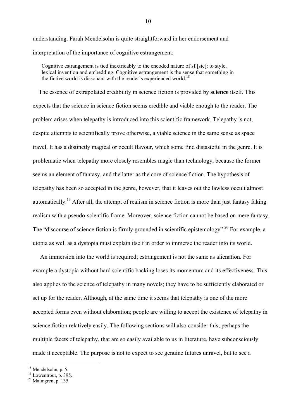understanding. Farah Mendelsohn is quite straightforward in her endorsement and interpretation of the importance of cognitive estrangement:

Cognitive estrangement is tied inextricably to the encoded nature of sf [sic]: to style, lexical invention and embedding. Cognitive estrangement is the sense that something in the fictive world is dissonant with the reader's experienced world.<sup>18</sup>

 The essence of extrapolated credibility in science fiction is provided by **science** itself. This expects that the science in science fiction seems credible and viable enough to the reader. The problem arises when telepathy is introduced into this scientific framework. Telepathy is not, despite attempts to scientifically prove otherwise, a viable science in the same sense as space travel. It has a distinctly magical or occult flavour, which some find distasteful in the genre. It is problematic when telepathy more closely resembles magic than technology, because the former seems an element of fantasy, and the latter as the core of science fiction. The hypothesis of telepathy has been so accepted in the genre, however, that it leaves out the lawless occult almost automatically.<sup>19</sup> After all, the attempt of realism in science fiction is more than just fantasy faking realism with a pseudo-scientific frame. Moreover, science fiction cannot be based on mere fantasy. The "discourse of science fiction is firmly grounded in scientific epistemology".<sup>20</sup> For example, a utopia as well as a dystopia must explain itself in order to immerse the reader into its world.

 An immersion into the world is required; estrangement is not the same as alienation. For example a dystopia without hard scientific backing loses its momentum and its effectiveness. This also applies to the science of telepathy in many novels; they have to be sufficiently elaborated or set up for the reader. Although, at the same time it seems that telepathy is one of the more accepted forms even without elaboration; people are willing to accept the existence of telepathy in science fiction relatively easily. The following sections will also consider this; perhaps the multiple facets of telepathy, that are so easily available to us in literature, have subconsciously made it acceptable. The purpose is not to expect to see genuine futures unravel, but to see a

<sup>18</sup> Mendelsohn, p. 5.

 $19$  Lowentrout, p. 395.

 $20$  Malmgren, p. 135.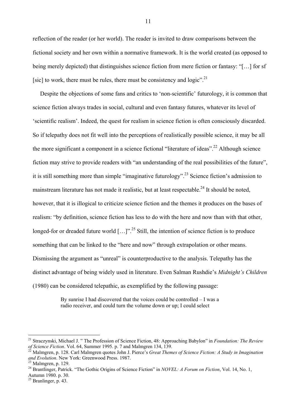reflection of the reader (or her world). The reader is invited to draw comparisons between the fictional society and her own within a normative framework. It is the world created (as opposed to being merely depicted) that distinguishes science fiction from mere fiction or fantasy: "[…] for sf [sic] to work, there must be rules, there must be consistency and logic".<sup>21</sup>

 Despite the objections of some fans and critics to 'non-scientific' futurology, it is common that science fiction always trades in social, cultural and even fantasy futures, whatever its level of 'scientific realism'. Indeed, the quest for realism in science fiction is often consciously discarded. So if telepathy does not fit well into the perceptions of realistically possible science, it may be all the more significant a component in a science fictional "literature of ideas".22 Although science fiction may strive to provide readers with "an understanding of the real possibilities of the future", it is still something more than simple "imaginative futurology".23 Science fiction's admission to mainstream literature has not made it realistic, but at least respectable.<sup>24</sup> It should be noted. however, that it is illogical to criticize science fiction and the themes it produces on the bases of realism: "by definition, science fiction has less to do with the here and now than with that other, longed-for or dreaded future world  $[...]$ <sup>".<sup>25</sup> Still, the intention of science fiction is to produce</sup> something that can be linked to the "here and now" through extrapolation or other means. Dismissing the argument as "unreal" is counterproductive to the analysis. Telepathy has the distinct advantage of being widely used in literature. Even Salman Rushdie's *Midnight's Children* (1980) can be considered telepathic, as exemplified by the following passage:

> By sunrise I had discovered that the voices could be controlled – I was a radio receiver, and could turn the volume down or up; I could select

<sup>&</sup>lt;sup>21</sup> Straczynski, Michael J. " The Profession of Science Fiction, 48: Approaching Babylon" in *Foundation: The Review of Science Fiction*. Vol. 64, Summer 1995. p. 7 and Malmgren 134, 139.

*Malmgren, p. 128. Carl Malmgren quotes John J. Pierce's Great Themes of Science Fiction: A Study in Imagination and Evolution*. New York: Greenwood Press. 1987. 23 Malmgren, p. 129.

<sup>&</sup>lt;sup>24</sup> Brantlinger, Patrick. "The Gothic Origins of Science Fiction" in *NOVEL: A Forum on Fiction*, Vol. 14, No. 1, Autumn 1980. p. 30.

 $^{25}$  Branlinger, p. 43.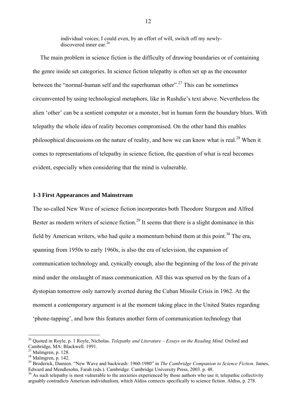individual voices; I could even, by an effort of will, switch off my newlydiscovered inner ear<sup>26</sup>

 The main problem in science fiction is the difficulty of drawing boundaries or of containing the genre inside set categories. In science fiction telepathy is often set up as the encounter between the "normal-human self and the superhuman other".<sup>27</sup> This can be sometimes circumvented by using technological metaphors, like in Rushdie's text above. Nevertheless the alien 'other' can be a sentient computer or a monster, but in human form the boundary blurs. With telepathy the whole idea of reality becomes compromised. On the other hand this enables philosophical discussions on the nature of reality, and how we can know what is real.28 When it comes to representations of telepathy in science fiction, the question of what is real becomes evident, especially when considering that the mind is vulnerable.

#### **1-3 First Appearances and Mainstream**

The so-called New Wave of science fiction incorporates both Theodore Sturgeon and Alfred Bester as modern writers of science fiction.<sup>29</sup> It seems that there is a slight dominance in this field by American writers, who had quite a momentum behind them at this point.<sup>30</sup> The era, spanning from 1950s to early 1960s, is also the era of television, the expansion of communication technology and, cynically enough, also the beginning of the loss of the private mind under the onslaught of mass communication. All this was spurred on by the fears of a dystopian tomorrow only narrowly averted during the Cuban Missile Crisis in 1962. At the moment a contemporary argument is at the moment taking place in the United States regarding 'phone-tapping', and how this features another form of communication technology that

 $\overline{a}$ 

<sup>26</sup> Quoted in Royle, p. 1 Royle, Nicholas. *Telepathy and Literature – Essays on the Reading Mind.* Oxford and Cambridge, MA: Blackwell. 1991.

 $27$  Malmgren, p. 128.

 $28$  Malmgren, p. 142.

<sup>29</sup> Broderick, Damien. "New Wave and backwash: 1960-1980" in *The Cambridge Companion to Science Fiction*. James, Edward and Mendlesohn, Farah (eds.). Cambridge: Cambridge University Press, 2003. p. 48.

 $30$  As such telepathy is most vulnerable to the anxieties experienced by those authors who use it; telepathic collectivity arguably contradicts American individualism, which Aldiss connects specifically to science fiction. Aldiss, p. 278.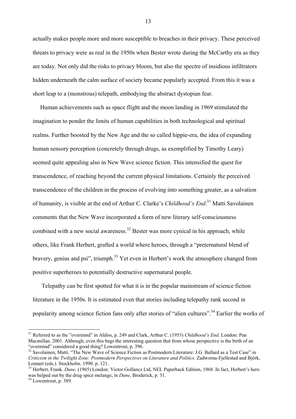actually makes people more and more susceptible to breaches in their privacy. These perceived threats to privacy were as real in the 1950s when Bester wrote during the McCarthy era as they are today. Not only did the risks to privacy bloom, but also the spectre of insidious infiltrators hidden underneath the calm surface of society became popularly accepted. From this it was a short leap to a (monstrous) telepath, embodying the abstract dystopian fear.

 Human achievements such as space flight and the moon landing in 1969 stimulated the imagination to ponder the limits of human capabilities in both technological and spiritual realms. Further boosted by the New Age and the so called hippie-era, the idea of expanding human sensory perception (concretely through drugs, as exemplified by Timothy Leary) seemed quite appealing also in New Wave science fiction. This intensified the quest for transcendence, of reaching beyond the current physical limitations. Certainly the perceived transcendence of the children in the process of evolving into something greater, as a salvation of humanity, is visible at the end of Arthur C. Clarke's *Childhood's End*. 31 Matti Savolainen comments that the New Wave incorporated a form of new literary self-consciousness combined with a new social awareness.<sup>32</sup> Bester was more cynical in his approach, while others, like Frank Herbert, grafted a world where heroes, through a "preternatural blend of bravery, genius and psi", triumph. $33$  Yet even in Herbert's work the atmosphere changed from positive superheroes to potentially destructive supernatural people.

 Telepathy can be first spotted for what it is in the popular mainstream of science fiction literature in the 1950s. It is estimated even that stories including telepathy rank second in popularity among science fiction fans only after stories of "alien cultures".<sup>34</sup> Earlier the works of

 $\overline{a}$ 

<sup>&</sup>lt;sup>31</sup> Referred to as the "overmind" in Aldiss, p. 249 and Clark, Arthur C. (1953) *Childhood's End*. London: Pan Macmillan. 2001. Although, even this begs the interesting question that from whose perspective is the birth of an "overmind" considered a good thing? Lowentrout, p. 396.

<sup>&</sup>lt;sup>32</sup> Savolainen, Matti. "The New Wave of Science Fiction as Postmodern Literature: J.G. Ballard as a Test Case" in *Criticism in the Twilight Zone: Postmodern Perspectives on Literature and Politics.* Zadworna-Fjellestad and Björk, Lennart (eds.). Stockholm. 1990. p. 121.

<sup>&</sup>lt;sup>33</sup> Herbert, Frank. *Dune*. (1965) London: Victor Gollancz Ltd, NEL Paperback Edition, 1968 .In fact, Herbert's hero was helped out by the drug spice melange, in *Dune*, Broderick, p. 51. <sup>34</sup> Lowentrout, p. 389.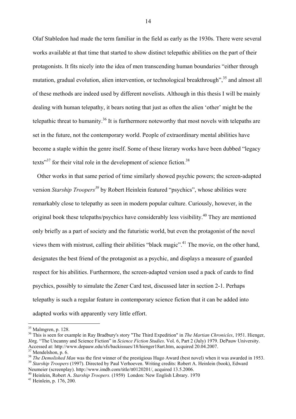Olaf Stabledon had made the term familiar in the field as early as the 1930s. There were several works available at that time that started to show distinct telepathic abilities on the part of their protagonists. It fits nicely into the idea of men transcending human boundaries "either through mutation, gradual evolution, alien intervention, or technological breakthrough",<sup>35</sup> and almost all of these methods are indeed used by different novelists. Although in this thesis I will be mainly dealing with human telepathy, it bears noting that just as often the alien 'other' might be the telepathic threat to humanity.<sup>36</sup> It is furthermore noteworthy that most novels with telepaths are set in the future, not the contemporary world. People of extraordinary mental abilities have become a staple within the genre itself. Some of these literary works have been dubbed "legacy texts $37$  for their vital role in the development of science fiction.<sup>38</sup>

 Other works in that same period of time similarly showed psychic powers; the screen-adapted version *Starship Troopers*<sup>39</sup> by Robert Heinlein featured "psychics", whose abilities were remarkably close to telepathy as seen in modern popular culture. Curiously, however, in the original book these telepaths/psychics have considerably less visibility.40 They are mentioned only briefly as a part of society and the futuristic world, but even the protagonist of the novel views them with mistrust, calling their abilities "black magic".<sup>41</sup> The movie, on the other hand, designates the best friend of the protagonist as a psychic, and displays a measure of guarded respect for his abilities. Furthermore, the screen-adapted version used a pack of cards to find psychics, possibly to simulate the Zener Card test, discussed later in section 2-1. Perhaps telepathy is such a regular feature in contemporary science fiction that it can be added into adapted works with apparently very little effort.

 $\overline{a}$ 

 $35$  Malmgren, p. 128.

<sup>36</sup> This is seen for example in Ray Bradbury's story "The Third Expedition" in *The Martian Chronicles*, 1951. Hienger, Jörg. "The Uncanny and Science Fiction" in *Science Fiction Studies*. Vol. 6, Part 2 (July) 1979. DePauw University. Accessed at: http://www.depauw.edu/sfs/backissues/18/hienger18art.htm, acquired 20.04.2007.

 $37$  Mendelshon, p. 6.

<sup>&</sup>lt;sup>38</sup> The Demolished Man was the first winner of the prestigious Hugo Award (best novel) when it was awarded in 1953.<br><sup>39</sup> Starship Troopers (1997). Directed by Paul Verhoeven. Writing credits: Robert A. Heinlein (book), Ed

Neumeier (screenplay). http://www.imdb.com/title/tt0120201/, acquired 13.5.2006.<br><sup>40</sup> Heinlein, Robert A. *Starship Troopers*. (1959) London: New English Library. 1970<br><sup>41</sup> Heinlein, p. 176, 200.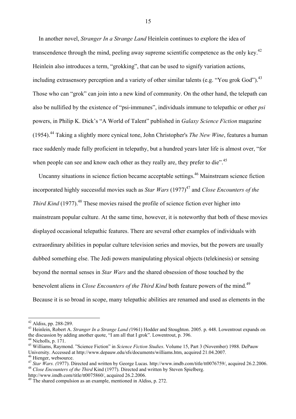In another novel, *Stranger In a Strange Land* Heinlein continues to explore the idea of transcendence through the mind, peeling away supreme scientific competence as the only key.<sup>42</sup> Heinlein also introduces a term, "grokking", that can be used to signify variation actions, including extrasensory perception and a variety of other similar talents (e.g. "You grok God").<sup>43</sup> Those who can "grok" can join into a new kind of community. On the other hand, the telepath can also be nullified by the existence of "psi-immunes", individuals immune to telepathic or other *psi* powers, in Philip K. Dick's "A World of Talent" published in *Galaxy Science Fiction* magazine (1954).44 Taking a slightly more cynical tone, John Christopher's *The New Wine*, features a human race suddenly made fully proficient in telepathy, but a hundred years later life is almost over, "for when people can see and know each other as they really are, they prefer to die".<sup>45</sup>

Uncanny situations in science fiction became acceptable settings.<sup>46</sup> Mainstream science fiction incorporated highly successful movies such as *Star Wars* (1977)<sup>47</sup> and *Close Encounters of the Third Kind* (1977).<sup>48</sup> These movies raised the profile of science fiction ever higher into mainstream popular culture. At the same time, however, it is noteworthy that both of these movies displayed occasional telepathic features. There are several other examples of individuals with extraordinary abilities in popular culture television series and movies, but the powers are usually dubbed something else. The Jedi powers manipulating physical objects (telekinesis) or sensing beyond the normal senses in *Star Wars* and the shared obsession of those touched by the benevolent aliens in *Close Encounters of the Third Kind* both feature powers of the mind.<sup>49</sup> Because it is so broad in scope, many telepathic abilities are renamed and used as elements in the

 $42$  Aldiss, pp. 288-289.

<sup>43</sup> Heinlein, Robert A. *Stranger In a Strange Land (*1961) Hodder and Stoughton. 2005. p. 448. Lowentrout expands on the discussion by adding another quote, "I am all that I grok". Lowentrout, p. 396.  $44$  Nicholls, p. 171.

<sup>45</sup> Williams, Raymond. "Science Fiction" in *Science Fiction Studies*. Volume 15, Part 3 (November) 1988. DePauw University. Accessed at http://www.depauw.edu/sfs/documents/williams.htm, acquired 21.04.2007.

<sup>47</sup> *Star Wars.* (1977). Directed and written by George Lucas. http://www.imdb.com/title/tt0076759/, acquired 26.2.2006.<br><sup>48</sup> *Close Encounters of the Third* Kind (1977). Directed and written by Steven Spielberg.<br>http://www

 $\frac{49}{10}$  The shared compulsion as an example, mentioned in Aldiss, p. 272.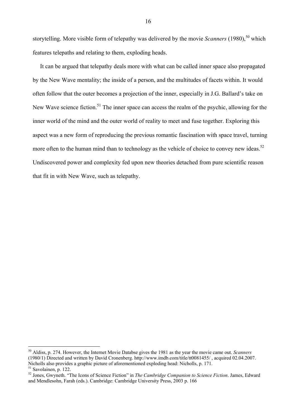storytelling. More visible form of telepathy was delivered by the movie *Scanners* (1980),<sup>50</sup> which features telepaths and relating to them, exploding heads.

 It can be argued that telepathy deals more with what can be called inner space also propagated by the New Wave mentality; the inside of a person, and the multitudes of facets within. It would often follow that the outer becomes a projection of the inner, especially in J.G. Ballard's take on New Wave science fiction.<sup>51</sup> The inner space can access the realm of the psychic, allowing for the inner world of the mind and the outer world of reality to meet and fuse together. Exploring this aspect was a new form of reproducing the previous romantic fascination with space travel, turning more often to the human mind than to technology as the vehicle of choice to convey new ideas.<sup>52</sup> Undiscovered power and complexity fed upon new theories detached from pure scientific reason that fit in with New Wave, such as telepathy.

<sup>50</sup> Aldiss, p. 274. However, the Internet Movie Databse gives the 1981 as the year the movie came out. *Scanners* (1980/1) Directed and written by David Cronenberg. http://www.imdb.com/title/tt0081455/ , acquired 02.04.2007. Nicholls also provides a graphic picture of aforementioned exploding head: Nicholls, p. 171. 51 Savolainen, p. 122.

<sup>52</sup> Jones, Gwyneth. "The Icons of Science Fiction" in *The Cambridge Companion to Science Fiction*. James, Edward and Mendlesohn, Farah (eds.). Cambridge: Cambridge University Press, 2003 p. 166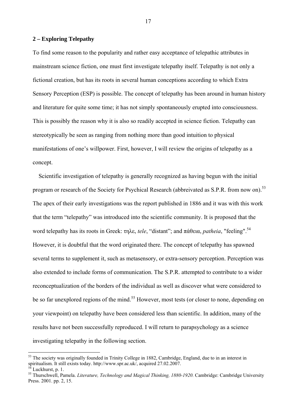#### **2 – Exploring Telepathy**

To find some reason to the popularity and rather easy acceptance of telepathic attributes in mainstream science fiction, one must first investigate telepathy itself. Telepathy is not only a fictional creation, but has its roots in several human conceptions according to which Extra Sensory Perception (ESP) is possible. The concept of telepathy has been around in human history and literature for quite some time; it has not simply spontaneously erupted into consciousness. This is possibly the reason why it is also so readily accepted in science fiction. Telepathy can stereotypically be seen as ranging from nothing more than good intuition to physical manifestations of one's willpower. First, however, I will review the origins of telepathy as a concept.

 Scientific investigation of telepathy is generally recognized as having begun with the initial program or research of the Society for Psychical Research (abbreivated as S.P.R. from now on).<sup>53</sup> The apex of their early investigations was the report published in 1886 and it was with this work that the term "telepathy" was introduced into the scientific community. It is proposed that the word telepathy has its roots in Greek: τηλε, *tele*, "distant"; and πάθεια, *patheia*, "feeling".<sup>54</sup> However, it is doubtful that the word originated there. The concept of telepathy has spawned several terms to supplement it, such as metasensory, or extra-sensory perception. Perception was also extended to include forms of communication. The S.P.R. attempted to contribute to a wider reconceptualization of the borders of the individual as well as discover what were considered to be so far unexplored regions of the mind.<sup>55</sup> However, most tests (or closer to none, depending on your viewpoint) on telepathy have been considered less than scientific. In addition, many of the results have not been successfully reproduced. I will return to parapsychology as a science investigating telepathy in the following section.

 $\overline{a}$ 

<sup>&</sup>lt;sup>53</sup> The society was originally founded in Trinity College in 1882. Cambridge, England, due to in an interest in spiritualism. It still exists today. http://www.spr.ac.uk/, acquired 27.02.2007.<br><sup>54</sup> Luckhurst, p. 1.

<sup>&</sup>lt;sup>55</sup> Thurschwell, Pamela. *Literature, Technology and Magical Thinking, 1880-1920*. Cambridge: Cambridge University Press. 2001. pp. 2, 15.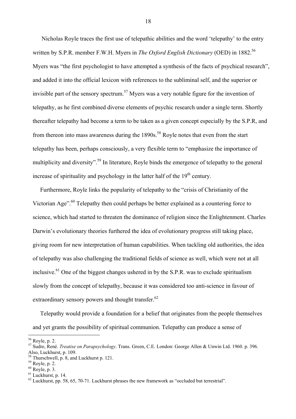Nicholas Royle traces the first use of telepathic abilities and the word 'telepathy' to the entry written by S.P.R. member F.W.H. Myers in *The Oxford English Dictionary* (OED) in 1882.<sup>56</sup> Myers was "the first psychologist to have attempted a synthesis of the facts of psychical research", and added it into the official lexicon with references to the subliminal self, and the superior or invisible part of the sensory spectrum.<sup>57</sup> Myers was a very notable figure for the invention of telepathy, as he first combined diverse elements of psychic research under a single term. Shortly thereafter telepathy had become a term to be taken as a given concept especially by the S.P.R, and from thereon into mass awareness during the  $1890s$ <sup>58</sup> Royle notes that even from the start telepathy has been, perhaps consciously, a very flexible term to "emphasize the importance of multiplicity and diversity".<sup>59</sup> In literature, Royle binds the emergence of telepathy to the general increase of spirituality and psychology in the latter half of the  $19<sup>th</sup>$  century.

 Furthermore, Royle links the popularity of telepathy to the "crisis of Christianity of the Victorian Age".<sup>60</sup> Telepathy then could perhaps be better explained as a countering force to science, which had started to threaten the dominance of religion since the Enlightenment. Charles Darwin's evolutionary theories furthered the idea of evolutionary progress still taking place, giving room for new interpretation of human capabilities. When tackling old authorities, the idea of telepathy was also challenging the traditional fields of science as well, which were not at all inclusive.<sup>61</sup> One of the biggest changes ushered in by the S.P.R. was to exclude spiritualism slowly from the concept of telepathy, because it was considered too anti-science in favour of extraordinary sensory powers and thought transfer. $62$ 

 Telepathy would provide a foundation for a belief that originates from the people themselves and yet grants the possibility of spiritual communion. Telepathy can produce a sense of

<sup>56</sup> Royle, p. 2.

<sup>57</sup> Sudre, René. *Treatise on Parapsychology*. Trans. Green, C.E. London: George Allen & Unwin Ltd. 1960. p. 396. Also, Luckhurst, p. 109.

<sup>&</sup>lt;sup>58</sup> Thurschwell, p. 8, and Luckhurst p. 121.

<sup>59</sup> Royle, p. 2.

<sup>60</sup> Royle, p. 3.

<sup>61</sup> Luckhurst, p. 14.

 $62$  Luckhurst, pp. 58, 65, 70-71. Luckhurst phrases the new framework as "occluded but terrestrial".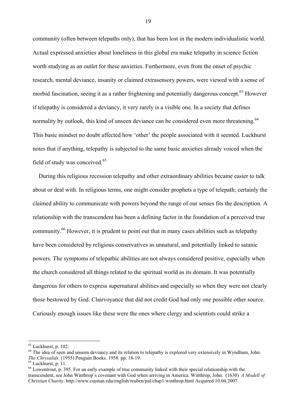community (often between telepaths only), that has been lost in the modern individualistic world. Actual expressed anxieties about loneliness in this global era make telepathy in science fiction worth studying as an outlet for these anxieties. Furthermore, even from the onset of psychic research, mental deviance, insanity or claimed extrasensory powers, were viewed with a sense of morbid fascination, seeing it as a rather frightening and potentially dangerous concept.<sup>63</sup> However if telepathy is considered a deviancy, it very rarely is a visible one. In a society that defines normality by outlook, this kind of unseen deviance can be considered even more threatening.<sup>64</sup> This basic mindset no doubt affected how 'other' the people associated with it seemed. Luckhurst notes that if anything, telepathy is subjected to the same basic anxieties already voiced when the field of study was conceived. $65$ 

 During this religious recession telepathy and other extraordinary abilities became easier to talk about or deal with. In religious terms, one might consider prophets a type of telepath; certainly the claimed ability to communicate with powers beyond the range of our senses fits the description. A relationship with the transcendent has been a defining factor in the foundation of a perceived true community.<sup>66</sup> However, it is prudent to point out that in many cases abilities such as telepathy have been considered by religious conservatives as unnatural, and potentially linked to satanic powers. The symptoms of telepathic abilities are not always considered positive, especially when the church considered all things related to the spiritual world as its domain. It was potentially dangerous for others to express supernatural abilities and especially so when they were not clearly those bestowed by God. Clairvoyance that did not credit God had only one possible other source. Curiously enough issues like these were the ones where clergy and scientists could strike a

 $\overline{a}$ 

 $63$  Luckhurst, p. 102.

<sup>&</sup>lt;sup>64</sup> The idea of seen and unseen deviancy and its relation to telepathy is explored very extensively in Wyndham, John. *The Chrysalids.* (1955) Penguin Books. 1958. pp. 18-19. 65 Luckhurst, p. 11.

<sup>66</sup> Lowentrout, p. 395. For an early example of true community linked with their special relationship with the transcendent, see John Winthrop's covenant with God when arriving in America. Winthrop, John. (1630) *A Modell of Christian Charity*. http://www.csustan.edu/english/reuben/pal/chap1/winthrop.html Acquired 10.04.2007.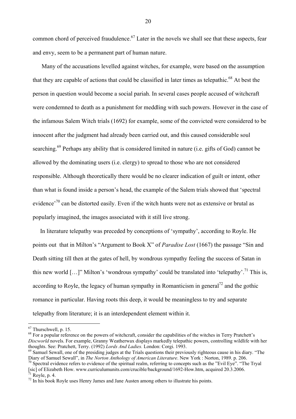common chord of perceived fraudulence.<sup>67</sup> Later in the novels we shall see that these aspects, fear and envy, seem to be a permanent part of human nature.

 Many of the accusations levelled against witches, for example, were based on the assumption that they are capable of actions that could be classified in later times as telepathic.<sup>68</sup> At best the person in question would become a social pariah. In several cases people accused of witchcraft were condemned to death as a punishment for meddling with such powers. However in the case of the infamous Salem Witch trials (1692) for example, some of the convicted were considered to be innocent after the judgment had already been carried out, and this caused considerable soul searching.<sup>69</sup> Perhaps any ability that is considered limited in nature (i.e. gifts of God) cannot be allowed by the dominating users (i.e. clergy) to spread to those who are not considered responsible. Although theoretically there would be no clearer indication of guilt or intent, other than what is found inside a person's head, the example of the Salem trials showed that 'spectral evidence<sup> $10$ </sup> can be distorted easily. Even if the witch hunts were not as extensive or brutal as popularly imagined, the images associated with it still live strong.

 In literature telepathy was preceded by conceptions of 'sympathy', according to Royle. He points out that in Milton's "Argument to Book X" of *Paradise Lost* (1667) the passage "Sin and Death sitting till then at the gates of hell, by wondrous sympathy feeling the success of Satan in this new world  $[...]$ " Milton's 'wondrous sympathy' could be translated into 'telepathy'.<sup>71</sup> This is, according to Royle, the legacy of human sympathy in Romanticism in general<sup>72</sup> and the gothic romance in particular. Having roots this deep, it would be meaningless to try and separate telepathy from literature; it is an interdependent element within it.

 $67$  Thurschwell, p. 15.

<sup>&</sup>lt;sup>68</sup> For a popular reference on the powers of witchcraft, consider the capabilities of the witches in Terry Pratchett's *Discworld* novels. For example, Granny Weatherwax displays markedly telepathic powers, controlling wildlife with her thoughts. See: Pratchett, Terry. (1992) *Lords And Ladies*. London: Corgi. 1993.

<sup>&</sup>lt;sup>69</sup> Samuel Sewall, one of the presiding judges at the Trials questions their previously righteous cause in his diary. "The Diary of Samuel Sewall", in *The Norton Anthology of American Literature*. New York : Norton, 1989

 $\frac{70}{10}$  Spectral evidence refers to evidence of the spiritual realm, referring to concepts such as the "Evil Eye". "The Tryal [sic] of Elizabeth How. www.curriculumunits.com/crucible/background/1692-How.htm, acquired 20.3.2006. Royle, p. 4.

 $72$  In his book Royle uses Henry James and Jane Austen among others to illustrate his points.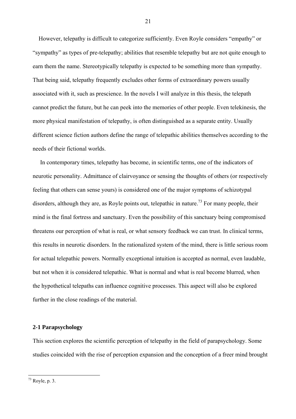However, telepathy is difficult to categorize sufficiently. Even Royle considers "empathy" or "sympathy" as types of pre-telepathy; abilities that resemble telepathy but are not quite enough to earn them the name. Stereotypically telepathy is expected to be something more than sympathy. That being said, telepathy frequently excludes other forms of extraordinary powers usually associated with it, such as prescience. In the novels I will analyze in this thesis, the telepath cannot predict the future, but he can peek into the memories of other people. Even telekinesis, the more physical manifestation of telepathy, is often distinguished as a separate entity. Usually different science fiction authors define the range of telepathic abilities themselves according to the needs of their fictional worlds.

 In contemporary times, telepathy has become, in scientific terms, one of the indicators of neurotic personality. Admittance of clairvoyance or sensing the thoughts of others (or respectively feeling that others can sense yours) is considered one of the major symptoms of schizotypal disorders, although they are, as Royle points out, telepathic in nature.<sup>73</sup> For many people, their mind is the final fortress and sanctuary. Even the possibility of this sanctuary being compromised threatens our perception of what is real, or what sensory feedback we can trust. In clinical terms, this results in neurotic disorders. In the rationalized system of the mind, there is little serious room for actual telepathic powers. Normally exceptional intuition is accepted as normal, even laudable, but not when it is considered telepathic. What is normal and what is real become blurred, when the hypothetical telepaths can influence cognitive processes. This aspect will also be explored further in the close readings of the material.

## **2-1 Parapsychology**

This section explores the scientific perception of telepathy in the field of parapsychology. Some studies coincided with the rise of perception expansion and the conception of a freer mind brought

21

 $73$  Royle, p. 3.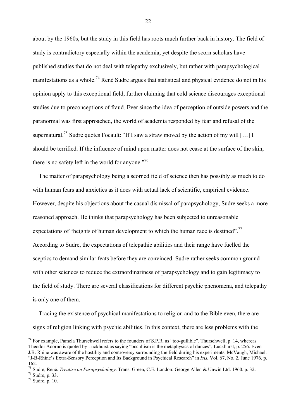about by the 1960s, but the study in this field has roots much further back in history. The field of study is contradictory especially within the academia, yet despite the scorn scholars have published studies that do not deal with telepathy exclusively, but rather with parapsychological manifestations as a whole.<sup>74</sup> René Sudre argues that statistical and physical evidence do not in his opinion apply to this exceptional field, further claiming that cold science discourages exceptional studies due to preconceptions of fraud. Ever since the idea of perception of outside powers and the paranormal was first approached, the world of academia responded by fear and refusal of the supernatural.<sup>75</sup> Sudre quotes Focault: "If I saw a straw moved by the action of my will [...] I should be terrified. If the influence of mind upon matter does not cease at the surface of the skin, there is no safety left in the world for anyone. $^{376}$ 

 The matter of parapsychology being a scorned field of science then has possibly as much to do with human fears and anxieties as it does with actual lack of scientific, empirical evidence. However, despite his objections about the casual dismissal of parapsychology, Sudre seeks a more reasoned approach. He thinks that parapsychology has been subjected to unreasonable expectations of "heights of human development to which the human race is destined".<sup>77</sup> According to Sudre, the expectations of telepathic abilities and their range have fuelled the sceptics to demand similar feats before they are convinced. Sudre rather seeks common ground with other sciences to reduce the extraordinariness of parapsychology and to gain legitimacy to the field of study. There are several classifications for different psychic phenomena, and telepathy is only one of them.

 Tracing the existence of psychical manifestations to religion and to the Bible even, there are signs of religion linking with psychic abilities. In this context, there are less problems with the

 $\overline{a}$ 

<sup>&</sup>lt;sup>74</sup> For example, Pamela Thurschwell refers to the founders of S.P.R. as "too-gullible". Thurschwell, p. 14, whereas Theodor Adorno is quoted by Luckhurst as saying "occultism is the metaphysics of dunces", Luckhurst, p. 256. Even J.B. Rhine was aware of the hostility and controversy surrounding the field during his experiments. McVaugh, Michael. "J-B-Rhine's Extra-Sensory Perception and Its Background in Psychical Research" in *Isis*, Vol. 67, No. 2, June 1976. p. 162.

<sup>75</sup> Sudre, René. *Treatise on Parapsychology*. Trans. Green, C.E. London: George Allen & Unwin Ltd. 1960. p. 32. 76 Sudre, p. 33.

 $77$  Sudre, p. 10.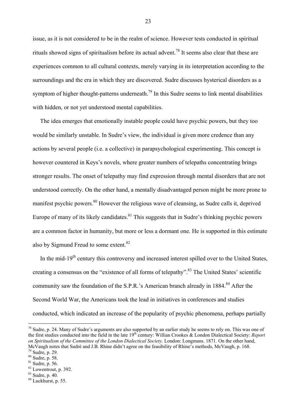issue, as it is not considered to be in the realm of science. However tests conducted in spiritual rituals showed signs of spiritualism before its actual advent.<sup>78</sup> It seems also clear that these are experiences common to all cultural contexts, merely varying in its interpretation according to the surroundings and the era in which they are discovered. Sudre discusses hysterical disorders as a symptom of higher thought-patterns underneath.<sup>79</sup> In this Sudre seems to link mental disabilities with hidden, or not yet understood mental capabilities.

 The idea emerges that emotionally instable people could have psychic powers, but they too would be similarly unstable. In Sudre's view, the individual is given more credence than any actions by several people (i.e. a collective) in parapsychological experimenting. This concept is however countered in Keys's novels, where greater numbers of telepaths concentrating brings stronger results. The onset of telepathy may find expression through mental disorders that are not understood correctly. On the other hand, a mentally disadvantaged person might be more prone to manifest psychic powers.<sup>80</sup> However the religious wave of cleansing, as Sudre calls it, deprived Europe of many of its likely candidates.<sup>81</sup> This suggests that in Sudre's thinking psychic powers are a common factor in humanity, but more or less a dormant one. He is supported in this estimate also by Sigmund Freud to some extent. $82$ 

In the mid-19<sup>th</sup> century this controversy and increased interest spilled over to the United States, creating a consensus on the "existence of all forms of telepathy".<sup>83</sup> The United States' scientific community saw the foundation of the S.P.R.'s American branch already in  $1884$ .<sup>84</sup> After the Second World War, the Americans took the lead in initiatives in conferences and studies conducted, which indicated an increase of the popularity of psychic phenomena, perhaps partially

 $\overline{a}$ 

 $78$  Sudre, p. 24. Many of Sudre's arguments are also supported by an earlier study he seems to rely on. This was one of the first studies conducted into the field in the late 19<sup>th</sup> century: Willian Crookes & London Dialectical Society: *Report on Spiritualism of the Committee of the London Dialectical Society.* London: Longmans. 1871. On the other hand, McVaugh notes that Sudré and J.B. Rhine didn't agree on the feasibility of Rhine's methods, McVaugh, p. 168. <sup>79</sup> Sudre, p. 29.

<sup>80</sup> Sudre, p. 58.

 $81 \text{ Sudre}, p. 56.$ 

<sup>82</sup> Lowentrout, p. 392.

 $83$  Sudre, p. 40.

 $84$  Luckhurst, p. 55.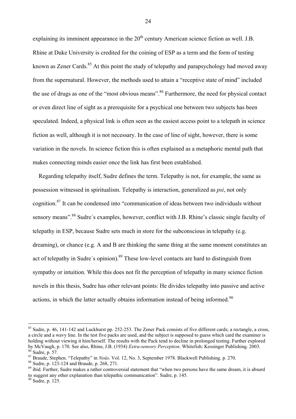explaining its imminent appearance in the  $20<sup>th</sup>$  century American science fiction as well. J.B. Rhine at Duke University is credited for the coining of ESP as a term and the form of testing known as Zener Cards.<sup>85</sup> At this point the study of telepathy and parapsychology had moved away from the supernatural. However, the methods used to attain a "receptive state of mind" included the use of drugs as one of the "most obvious means".<sup>86</sup> Furthermore, the need for physical contact or even direct line of sight as a prerequisite for a psychical one between two subjects has been speculated. Indeed, a physical link is often seen as the easiest access point to a telepath in science fiction as well, although it is not necessary. In the case of line of sight, however, there is some variation in the novels. In science fiction this is often explained as a metaphoric mental path that makes connecting minds easier once the link has first been established.

 Regarding telepathy itself, Sudre defines the term. Telepathy is not, for example, the same as possession witnessed in spiritualism. Telepathy is interaction, generalized as *psi*, not only cognition.87 It can be condensed into "communication of ideas between two individuals without sensory means".<sup>88</sup> Sudre's examples, however, conflict with J.B. Rhine's classic single faculty of telepathy in ESP, because Sudre sets much in store for the subconscious in telepathy (e.g. dreaming), or chance (e.g. A and B are thinking the same thing at the same moment constitutes an act of telepathy in Sudre's opinion).<sup>89</sup> These low-level contacts are hard to distinguish from sympathy or intuition. While this does not fit the perception of telepathy in many science fiction novels in this thesis, Sudre has other relevant points: He divides telepathy into passive and active actions, in which the latter actually obtains information instead of being informed.<sup>90</sup>

 $\overline{a}$ 

<sup>&</sup>lt;sup>85</sup> Sudre, p. 46, 141-142 and Luckhurst pp. 252-253. The Zener Pack consists of five different cards; a rectangle, a cross, a circle and a wavy line. In the test five packs are used, and the subject is supposed to guess which card the examiner is holding without viewing it him/herself. The results with the Pack tend to decline in prolonged testing. Further explored by McVaugh, p. 170. See also, Rhine, J.B. (1934) *Extra-sensory Perception*. Whitefish: Kessinger Publishing. 2003. 86 Sudre, p. 57.

<sup>87</sup> Braude, Stephen. "Telepathy" in *Noûs*. Vol. 12, No. 3, September 1978. Blackwell Publishing. p. 270. <sup>88</sup> Sudre, p. 123-124 and Braude, p. 268, 271.

<sup>&</sup>lt;sup>89</sup> ibid. Further, Sudre makes a rather controversial statement that "when two persons have the same dream, it is absurd to suggest any other explanation than telepathic communication". Sudre, p. 145. 90 Sudre, p. 125.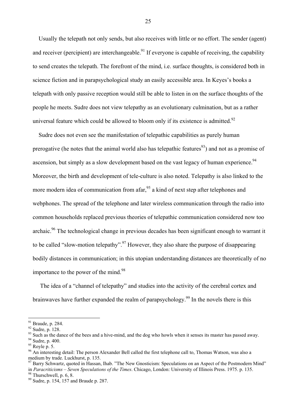Usually the telepath not only sends, but also receives with little or no effort. The sender (agent) and receiver (percipient) are interchangeable.<sup>91</sup> If everyone is capable of receiving, the capability to send creates the telepath. The forefront of the mind, i.e. surface thoughts, is considered both in science fiction and in parapsychological study an easily accessible area. In Keyes's books a telepath with only passive reception would still be able to listen in on the surface thoughts of the people he meets. Sudre does not view telepathy as an evolutionary culmination, but as a rather universal feature which could be allowed to bloom only if its existence is admitted.<sup>92</sup>

 Sudre does not even see the manifestation of telepathic capabilities as purely human prerogative (he notes that the animal world also has telepathic features<sup>93</sup>) and not as a promise of ascension, but simply as a slow development based on the vast legacy of human experience.  $94$ Moreover, the birth and development of tele-culture is also noted. Telepathy is also linked to the more modern idea of communication from afar, <sup>95</sup> a kind of next step after telephones and webphones. The spread of the telephone and later wireless communication through the radio into common households replaced previous theories of telepathic communication considered now too archaic.<sup>96</sup> The technological change in previous decades has been significant enough to warrant it to be called "slow-motion telepathy".<sup>97</sup> However, they also share the purpose of disappearing bodily distances in communication; in this utopian understanding distances are theoretically of no importance to the power of the mind.<sup>98</sup>

 The idea of a "channel of telepathy" and studies into the activity of the cerebral cortex and brainwaves have further expanded the realm of parapsychology.<sup>99</sup> In the novels there is this

 $\overline{a}$ 

 $91$  Braude, p. 284.

<sup>92</sup> Sudre, p. 128.

 $93$  Such as the dance of the bees and a hive-mind, and the dog who howls when it senses its master has passed away.

<sup>94</sup> Sudre, p. 400.

<sup>95</sup> Royle p. 5.

<sup>&</sup>lt;sup>96</sup> An interesting detail: The person Alexander Bell called the first telephone call to, Thomas Watson, was also a medium by trade. Luckhurst, p. 135.

Barry Schwartz, quoted in Hassan, Ihab. "The New Gnosticism: Speculations on an Aspect of the Postmodern Mind" in *Paracriticisms – Seven Speculations of the Times*. Chicago, London: University of Illinois Press. 1975. p. 135. 98 Thurschwell, p. 6, 8.

<sup>99</sup> Sudre, p. 154, 157 and Braude p. 287.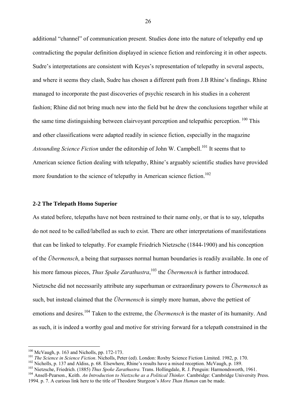additional "channel" of communication present. Studies done into the nature of telepathy end up contradicting the popular definition displayed in science fiction and reinforcing it in other aspects. Sudre's interpretations are consistent with Keyes's representation of telepathy in several aspects, and where it seems they clash, Sudre has chosen a different path from J.B Rhine's findings. Rhine managed to incorporate the past discoveries of psychic research in his studies in a coherent fashion; Rhine did not bring much new into the field but he drew the conclusions together while at the same time distinguishing between clairvoyant perception and telepathic perception.  $100$  This and other classifications were adapted readily in science fiction, especially in the magazine *Astounding Science Fiction* under the editorship of John W. Campbell.<sup>101</sup> It seems that to American science fiction dealing with telepathy, Rhine's arguably scientific studies have provided more foundation to the science of telepathy in American science fiction.<sup>102</sup>

### **2-2 The Telepath Homo Superior**

As stated before, telepaths have not been restrained to their name only, or that is to say, telepaths do not need to be called/labelled as such to exist. There are other interpretations of manifestations that can be linked to telepathy. For example Friedrich Nietzsche (1844-1900) and his conception of the *Übermensch*, a being that surpasses normal human boundaries is readily available. In one of his more famous pieces, *Thus Spake Zarathustra*, 103 the *Übermensch* is further introduced. Nietzsche did not necessarily attribute any superhuman or extraordinary powers to *Übermensch* as such, but instead claimed that the *Übermensch* is simply more human, above the pettiest of emotions and desires.<sup>104</sup> Taken to the extreme, the *Übermensch* is the master of its humanity. And as such, it is indeed a worthy goal and motive for striving forward for a telepath constrained in the

 $100$  McVaugh, p. 163 and Nicholls, pp. 172-173.

<sup>&</sup>lt;sup>101</sup> The Science in Science Fiction. Nicholls, Peter (ed). London: Roxby Science Fiction Limited. 1982, p. 170.<br><sup>102</sup> Nicholls, p. 137 and Aldiss, p. 68. Elsewhere, Rhine's results have a mixed reception. McVaugh, p. 189.

<sup>1994.</sup> p. 7. A curious link here to the title of Theodore Sturgeon's *More Than Human* can be made.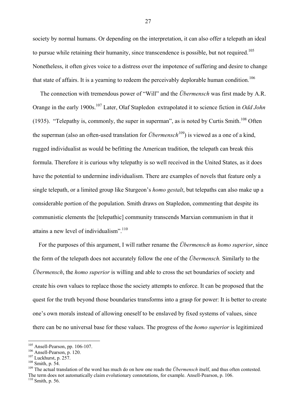society by normal humans. Or depending on the interpretation, it can also offer a telepath an ideal to pursue while retaining their humanity, since transcendence is possible, but not required.<sup>105</sup> Nonetheless, it often gives voice to a distress over the impotence of suffering and desire to change that state of affairs. It is a yearning to redeem the perceivably deplorable human condition.<sup>106</sup>

 The connection with tremendous power of "Will" and the *Übermensch* was first made by A.R. Orange in the early 1900s.107 Later, Olaf Stapledon extrapolated it to science fiction in *Odd John* (1935). "Telepathy is, commonly, the super in superman", as is noted by Curtis Smith.<sup>108</sup> Often the superman (also an often-used translation for *Übermensch<sup>109</sup>*) is viewed as a one of a kind, rugged individualist as would be befitting the American tradition, the telepath can break this formula. Therefore it is curious why telepathy is so well received in the United States, as it does have the potential to undermine individualism. There are examples of novels that feature only a single telepath, or a limited group like Sturgeon's *homo gestalt*, but telepaths can also make up a considerable portion of the population. Smith draws on Stapledon, commenting that despite its communistic elements the [telepathic] community transcends Marxian communism in that it attains a new level of individualism".<sup>110</sup>

 For the purposes of this argument, I will rather rename the *Übermensch* as *homo superior*, since the form of the telepath does not accurately follow the one of the *Übermensch.* Similarly to the *Übermensch*, the *homo superior* is willing and able to cross the set boundaries of society and create his own values to replace those the society attempts to enforce. It can be proposed that the quest for the truth beyond those boundaries transforms into a grasp for power: It is better to create one's own morals instead of allowing oneself to be enslaved by fixed systems of values, since there can be no universal base for these values. The progress of the *homo superior* is legitimized

 $105$  Ansell-Pearson, pp. 106-107.

<sup>&</sup>lt;sup>106</sup> Ansell-Pearson, p. 120.<br><sup>107</sup> Luckhurst, p. 257.<br><sup>108</sup> Smith, p. 54.<br><sup>109</sup> The actual translation of the word has much do on how one reads the *Übermensch* itself, and thus often contested. The term does not automatically claim evolutionary connotations, for example. Ansell-Pearson, p. 106.  $110$  Smith, p. 56.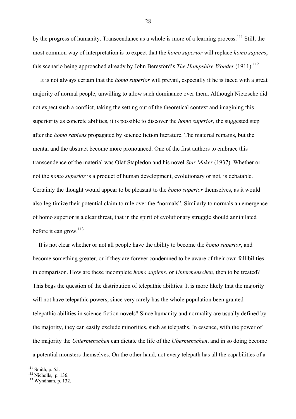by the progress of humanity. Transcendance as a whole is more of a learning process.<sup>111</sup> Still, the most common way of interpretation is to expect that the *homo superior* will replace *homo sapiens*, this scenario being approached already by John Beresford's *The Hampshire Wonder* (1911).<sup>112</sup>

 It is not always certain that the *homo superior* will prevail, especially if he is faced with a great majority of normal people, unwilling to allow such dominance over them. Although Nietzsche did not expect such a conflict, taking the setting out of the theoretical context and imagining this superiority as concrete abilities, it is possible to discover the *homo superior*, the suggested step after the *homo sapiens* propagated by science fiction literature. The material remains, but the mental and the abstract become more pronounced. One of the first authors to embrace this transcendence of the material was Olaf Stapledon and his novel *Star Maker* (1937). Whether or not the *homo superior* is a product of human development, evolutionary or not, is debatable. Certainly the thought would appear to be pleasant to the *homo superior* themselves, as it would also legitimize their potential claim to rule over the "normals". Similarly to normals an emergence of homo superior is a clear threat, that in the spirit of evolutionary struggle should annihilated before it can grow.<sup>113</sup>

 It is not clear whether or not all people have the ability to become the *homo superior*, and become something greater, or if they are forever condemned to be aware of their own fallibilities in comparison. How are these incomplete *homo sapiens*, or *Untermenschen,* then to be treated? This begs the question of the distribution of telepathic abilities: It is more likely that the majority will not have telepathic powers, since very rarely has the whole population been granted telepathic abilities in science fiction novels? Since humanity and normality are usually defined by the majority, they can easily exclude minorities, such as telepaths. In essence, with the power of the majority the *Untermenschen* can dictate the life of the *Übermenschen*, and in so doing become a potential monsters themselves. On the other hand, not every telepath has all the capabilities of a

 $\overline{a}$ 

<sup>&</sup>lt;sup>111</sup> Smith, p. 55.<br><sup>112</sup> Nicholls, p. 136.<br><sup>113</sup> Wyndham, p. 132.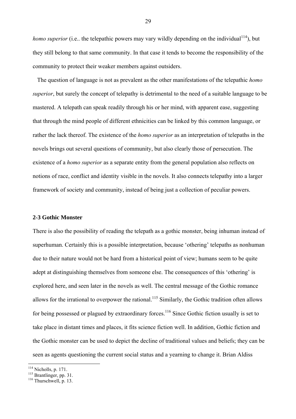*homo superior* (i.e., the telepathic powers may vary wildly depending on the individual<sup>114</sup>), but they still belong to that same community. In that case it tends to become the responsibility of the community to protect their weaker members against outsiders.

 The question of language is not as prevalent as the other manifestations of the telepathic *homo superior*, but surely the concept of telepathy is detrimental to the need of a suitable language to be mastered. A telepath can speak readily through his or her mind, with apparent ease, suggesting that through the mind people of different ethnicities can be linked by this common language, or rather the lack thereof. The existence of the *homo superior* as an interpretation of telepaths in the novels brings out several questions of community, but also clearly those of persecution. The existence of a *homo superior* as a separate entity from the general population also reflects on notions of race, conflict and identity visible in the novels. It also connects telepathy into a larger framework of society and community, instead of being just a collection of peculiar powers.

## **2-3 Gothic Monster**

There is also the possibility of reading the telepath as a gothic monster, being inhuman instead of superhuman. Certainly this is a possible interpretation, because 'othering' telepaths as nonhuman due to their nature would not be hard from a historical point of view; humans seem to be quite adept at distinguishing themselves from someone else. The consequences of this 'othering' is explored here, and seen later in the novels as well. The central message of the Gothic romance allows for the irrational to overpower the rational.<sup>115</sup> Similarly, the Gothic tradition often allows for being possessed or plagued by extraordinary forces.<sup>116</sup> Since Gothic fiction usually is set to take place in distant times and places, it fits science fiction well. In addition, Gothic fiction and the Gothic monster can be used to depict the decline of traditional values and beliefs; they can be seen as agents questioning the current social status and a yearning to change it. Brian Aldiss

<sup>&</sup>lt;sup>114</sup> Nicholls, p. 171.<br><sup>115</sup> Brantlinger, pp. 31.<br><sup>116</sup> Thurschwell, p. 13.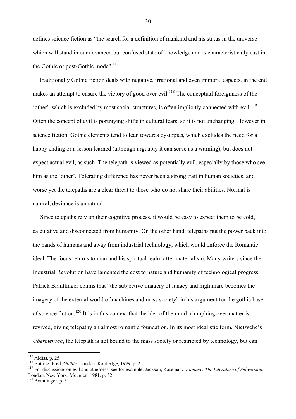defines science fiction as "the search for a definition of mankind and his status in the universe which will stand in our advanced but confused state of knowledge and is characteristically cast in the Gothic or post-Gothic mode".<sup>117</sup>

 Traditionally Gothic fiction deals with negative, irrational and even immoral aspects, in the end makes an attempt to ensure the victory of good over evil.<sup>118</sup> The conceptual foreignness of the 'other', which is excluded by most social structures, is often implicitly connected with evil.<sup>119</sup> Often the concept of evil is portraying shifts in cultural fears, so it is not unchanging. However in science fiction, Gothic elements tend to lean towards dystopias, which excludes the need for a happy ending or a lesson learned (although arguably it can serve as a warning), but does not expect actual evil, as such. The telepath is viewed as potentially evil, especially by those who see him as the 'other'. Tolerating difference has never been a strong trait in human societies, and worse yet the telepaths are a clear threat to those who do not share their abilities. Normal is natural, deviance is unnatural.

 Since telepaths rely on their cognitive process, it would be easy to expect them to be cold, calculative and disconnected from humanity. On the other hand, telepaths put the power back into the hands of humans and away from industrial technology, which would enforce the Romantic ideal. The focus returns to man and his spiritual realm after materialism. Many writers since the Industrial Revolution have lamented the cost to nature and humanity of technological progress. Patrick Brantlinger claims that "the subjective imagery of lunacy and nightmare becomes the imagery of the external world of machines and mass society" in his argument for the gothic base of science fiction.<sup>120</sup> It is in this context that the idea of the mind triumphing over matter is revived, giving telepathy an almost romantic foundation. In its most idealistic form, Nietzsche's *Übermensch*, the telepath is not bound to the mass society or restricted by technology, but can

 $117$  Aldiss, p. 25.

<sup>118</sup> Botting, Fred. *Gothic*. London: Routledge, 1999. p. 2<br><sup>119</sup> For discussions on evil and otherness, see for example: Jackson, Rosemary. *Fantasy: The Literature of Subversion*. London, New York: Methuen. 1981. p. 52.

 $120$  Brantlinger, p. 31.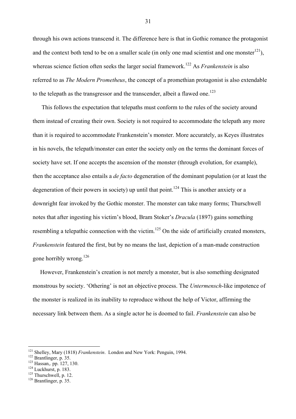through his own actions transcend it. The difference here is that in Gothic romance the protagonist and the context both tend to be on a smaller scale (in only one mad scientist and one monster<sup>121</sup>), whereas science fiction often seeks the larger social framework.<sup>122</sup> As *Frankenstein* is also referred to as *The Modern Prometheus*, the concept of a promethian protagonist is also extendable to the telepath as the transgressor and the transcender, albeit a flawed one.<sup>123</sup>

 This follows the expectation that telepaths must conform to the rules of the society around them instead of creating their own. Society is not required to accommodate the telepath any more than it is required to accommodate Frankenstein's monster. More accurately, as Keyes illustrates in his novels, the telepath/monster can enter the society only on the terms the dominant forces of society have set. If one accepts the ascension of the monster (through evolution, for example), then the acceptance also entails a *de facto* degeneration of the dominant population (or at least the degeneration of their powers in society) up until that point.<sup>124</sup> This is another anxiety or a downright fear invoked by the Gothic monster. The monster can take many forms; Thurschwell notes that after ingesting his victim's blood, Bram Stoker's *Dracula* (1897) gains something resembling a telepathic connection with the victim.<sup>125</sup> On the side of artificially created monsters, *Frankenstein* featured the first, but by no means the last, depiction of a man-made construction gone horribly wrong.<sup>126</sup>

 However, Frankenstein's creation is not merely a monster, but is also something designated monstrous by society. 'Othering' is not an objective process. The *Untermensch*-like impotence of the monster is realized in its inability to reproduce without the help of Victor, affirming the necessary link between them. As a single actor he is doomed to fail. *Frankenstein* can also be

<sup>&</sup>lt;sup>121</sup> Shelley, Mary (1818) *Frankenstein*. London and New York: Penguin, 1994.<br><sup>122</sup> Brantlinger, p. 35.<br><sup>123</sup> Hassan,. pp. 127, 130.<br><sup>124</sup> Luckhurst, p. 183. <sup>125</sup> Thurschwell, p. 12. <sup>126</sup> Brantlinger, p. 35.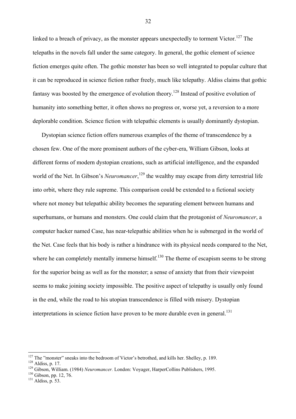linked to a breach of privacy, as the monster appears unexpectedly to torment Victor.<sup>127</sup> The telepaths in the novels fall under the same category. In general, the gothic element of science fiction emerges quite often. The gothic monster has been so well integrated to popular culture that it can be reproduced in science fiction rather freely, much like telepathy. Aldiss claims that gothic fantasy was boosted by the emergence of evolution theory.<sup>128</sup> Instead of positive evolution of humanity into something better, it often shows no progress or, worse yet, a reversion to a more deplorable condition. Science fiction with telepathic elements is usually dominantly dystopian.

 Dystopian science fiction offers numerous examples of the theme of transcendence by a chosen few. One of the more prominent authors of the cyber-era, William Gibson, looks at different forms of modern dystopian creations, such as artificial intelligence, and the expanded world of the Net. In Gibson's *Neuromancer*,<sup>129</sup> the wealthy may escape from dirty terrestrial life into orbit, where they rule supreme. This comparison could be extended to a fictional society where not money but telepathic ability becomes the separating element between humans and superhumans, or humans and monsters. One could claim that the protagonist of *Neuromancer*, a computer hacker named Case, has near-telepathic abilities when he is submerged in the world of the Net. Case feels that his body is rather a hindrance with its physical needs compared to the Net, where he can completely mentally immerse himself.<sup>130</sup> The theme of escapism seems to be strong for the superior being as well as for the monster; a sense of anxiety that from their viewpoint seems to make joining society impossible. The positive aspect of telepathy is usually only found in the end, while the road to his utopian transcendence is filled with misery. Dystopian interpretations in science fiction have proven to be more durable even in general.<sup>131</sup>

<sup>&</sup>lt;sup>127</sup> The "monster" sneaks into the bedroom of Victor's betrothed, and kills her. Shelley, p. 189.

<sup>&</sup>lt;sup>128</sup> Aldiss, p. 17.<br><sup>129</sup> Gibson, William. (1984) *Neuromancer*. London: Voyager, HarperCollins Publishers, 1995.<br><sup>130</sup> Gibson, pp. 12, 76.<br><sup>131</sup> Aldiss. p. 53.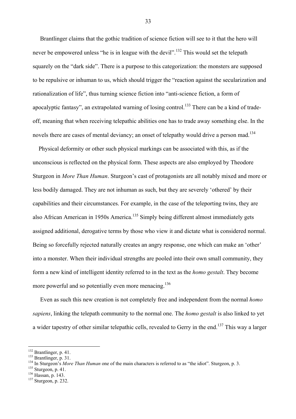Brantlinger claims that the gothic tradition of science fiction will see to it that the hero will never be empowered unless "he is in league with the devil".<sup>132</sup> This would set the telepath squarely on the "dark side". There is a purpose to this categorization: the monsters are supposed to be repulsive or inhuman to us, which should trigger the "reaction against the secularization and rationalization of life", thus turning science fiction into "anti-science fiction, a form of apocalyptic fantasy", an extrapolated warning of losing control.<sup>133</sup> There can be a kind of tradeoff, meaning that when receiving telepathic abilities one has to trade away something else. In the novels there are cases of mental deviancy; an onset of telepathy would drive a person mad.<sup>134</sup>

 Physical deformity or other such physical markings can be associated with this, as if the unconscious is reflected on the physical form. These aspects are also employed by Theodore Sturgeon in *More Than Human*. Sturgeon's cast of protagonists are all notably mixed and more or less bodily damaged. They are not inhuman as such, but they are severely 'othered' by their capabilities and their circumstances. For example, in the case of the teleporting twins, they are also African American in 1950s America.<sup>135</sup> Simply being different almost immediately gets assigned additional, derogative terms by those who view it and dictate what is considered normal. Being so forcefully rejected naturally creates an angry response, one which can make an 'other' into a monster. When their individual strengths are pooled into their own small community, they form a new kind of intelligent identity referred to in the text as the *homo gestalt*. They become more powerful and so potentially even more menacing.<sup>136</sup>

Even as such this new creation is not completely free and independent from the normal *homo sapiens*, linking the telepath community to the normal one. The *homo gestalt* is also linked to yet a wider tapestry of other similar telepathic cells, revealed to Gerry in the end.137 This way a larger

<sup>&</sup>lt;sup>132</sup> Brantlinger, p. 41.

Brantlinger, p. 31.<br>
<sup>134</sup> In Sturgeon's *More Than Human* one of the main characters is referred to as "the idiot". Sturgeon, p. 3.<br>
<sup>134</sup> Sturgeon, p. 41.<br>
<sup>136</sup> Hassan, p. 143.<br>
<sup>136</sup> Hassan, p. 143.<br>
<sup>137</sup> Sturgeon. p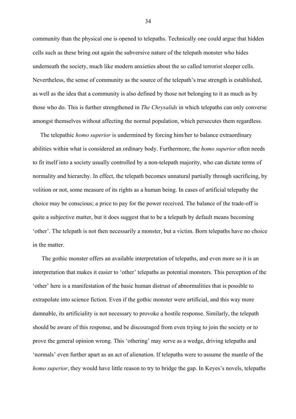community than the physical one is opened to telepaths. Technically one could argue that hidden cells such as these bring out again the subversive nature of the telepath monster who hides underneath the society, much like modern anxieties about the so called terrorist sleeper cells. Nevertheless, the sense of community as the source of the telepath's true strength is established, as well as the idea that a community is also defined by those not belonging to it as much as by those who do. This is further strengthened in *The Chrysalids* in which telepaths can only converse amongst themselves without affecting the normal population, which persecutes them regardless.

 The telepathic *homo superior* is undermined by forcing him/her to balance extraordinary abilities within what is considered an ordinary body. Furthermore, the *homo superior* often needs to fit itself into a society usually controlled by a non-telepath majority, who can dictate terms of normality and hierarchy. In effect, the telepath becomes unnatural partially through sacrificing, by volition or not, some measure of its rights as a human being. In cases of artificial telepathy the choice may be conscious; a price to pay for the power received. The balance of the trade-off is quite a subjective matter, but it does suggest that to be a telepath by default means becoming 'other'. The telepath is not then necessarily a monster, but a victim. Born telepaths have no choice in the matter.

 The gothic monster offers an available interpretation of telepaths, and even more so it is an interpretation that makes it easier to 'other' telepaths as potential monsters. This perception of the 'other' here is a manifestation of the basic human distrust of abnormalities that is possible to extrapolate into science fiction. Even if the gothic monster were artificial, and this way more damnable, its artificiality is not necessary to provoke a hostile response. Similarly, the telepath should be aware of this response, and be discouraged from even trying to join the society or to prove the general opinion wrong. This 'othering' may serve as a wedge, driving telepaths and 'normals' even further apart as an act of alienation. If telepaths were to assume the mantle of the *homo superior*, they would have little reason to try to bridge the gap. In Keyes's novels, telepaths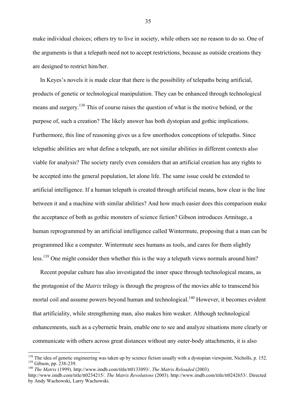make individual choices; others try to live in society, while others see no reason to do so. One of the arguments is that a telepath need not to accept restrictions, because as outside creations they are designed to restrict him/her.

 In Keyes's novels it is made clear that there is the possibility of telepaths being artificial, products of genetic or technological manipulation. They can be enhanced through technological means and surgery.<sup>138</sup> This of course raises the question of what is the motive behind, or the purpose of, such a creation? The likely answer has both dystopian and gothic implications. Furthermore, this line of reasoning gives us a few unorthodox conceptions of telepaths. Since telepathic abilities are what define a telepath, are not similar abilities in different contexts also viable for analysis? The society rarely even considers that an artificial creation has any rights to be accepted into the general population, let alone life. The same issue could be extended to artificial intelligence. If a human telepath is created through artificial means, how clear is the line between it and a machine with similar abilities? And how much easier does this comparison make the acceptance of both as gothic monsters of science fiction? Gibson introduces Armitage, a human reprogrammed by an artificial intelligence called Wintermute, proposing that a man can be programmed like a computer. Wintermute sees humans as tools, and cares for them slightly less.<sup>139</sup> One might consider then whether this is the way a telepath views normals around him?

 Recent popular culture has also investigated the inner space through technological means, as the protagonist of the *Matrix* trilogy is through the progress of the movies able to transcend his mortal coil and assume powers beyond human and technological.<sup>140</sup> However, it becomes evident that artificiality, while strengthening man, also makes him weaker. Although technological enhancements, such as a cybernetic brain, enable one to see and analyze situations more clearly or communicate with others across great distances without any outer-body attachments, it is also

 $\overline{a}$ 

<sup>&</sup>lt;sup>138</sup> The idea of genetic engineering was taken up by science fiction usually with a dystopian viewpoint, Nicholls, p. 152.<br><sup>139</sup> Gibson, pp. 238-239.<br><sup>140</sup> *The Matrix* (1999). http://www.imdb.com/title/tt0133093/. *The* 

http://www.imdb.com/title/tt0234215/. *The Matrix Revolutions* (2003). http://www.imdb.com/title/tt0242653/. Directed by Andy Wachowski, Larry Wachowski.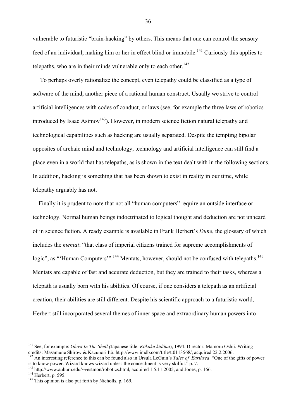vulnerable to futuristic "brain-hacking" by others. This means that one can control the sensory feed of an individual, making him or her in effect blind or immobile.<sup>141</sup> Curiously this applies to telepaths, who are in their minds vulnerable only to each other.<sup>142</sup>

 To perhaps overly rationalize the concept, even telepathy could be classified as a type of software of the mind, another piece of a rational human construct. Usually we strive to control artificial intelligences with codes of conduct, or laws (see, for example the three laws of robotics introduced by Isaac Asimov<sup>143</sup>). However, in modern science fiction natural telepathy and technological capabilities such as hacking are usually separated. Despite the tempting bipolar opposites of archaic mind and technology, technology and artificial intelligence can still find a place even in a world that has telepaths, as is shown in the text dealt with in the following sections. In addition, hacking is something that has been shown to exist in reality in our time, while telepathy arguably has not.

 Finally it is prudent to note that not all "human computers" require an outside interface or technology. Normal human beings indoctrinated to logical thought and deduction are not unheard of in science fiction. A ready example is available in Frank Herbert's *Dune*, the glossary of which includes the *mentat*: "that class of imperial citizens trained for supreme accomplishments of logic", as "'Human Computers'".<sup>144</sup> Mentats, however, should not be confused with telepaths.<sup>145</sup> Mentats are capable of fast and accurate deduction, but they are trained to their tasks, whereas a telepath is usually born with his abilities. Of course, if one considers a telepath as an artificial creation, their abilities are still different. Despite his scientific approach to a futuristic world, Herbert still incorporated several themes of inner space and extraordinary human powers into

<sup>141</sup> See, for example: *Ghost In The Shell (*Japanese title: *Kôkaku kidôtai*), 1994. Director: Mamoru Oshii. Writing

credits: Masamune Shirow & Kazunori Itô. http://www.imdb.com/title/tt0113568/, acquired 22.2.2006.<br><sup>142</sup> An interesting reference to this can be found also in Ursula LeGuin's *Tales of Earthsea*: "One of the gifts of power

<sup>&</sup>lt;sup>143</sup> http://www.auburn.edu/~vestmon/robotics.html, acquired 1.5.11.2005, and Jones, p. 166.<br><sup>144</sup> Herbert, p. 595.<br><sup>145</sup> This opinion is also put forth by Nicholls, p. 169.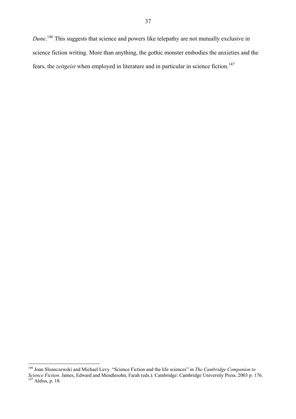*Dune*. 146 This suggests that science and powers like telepathy are not mutually exclusive in science fiction writing. More than anything, the gothic monster embodies the anxieties and the fears, the *zeitgeist* when employed in literature and in particular in science fiction.<sup>147</sup>

 $\overline{a}$ 

<sup>146</sup> Joan Sloanczewski and Michael Levy. "Science Fiction and the life sciences" in *The Cambridge Companion to Science Fiction*. James, Edward and Mendlesohn, Farah (eds.). Cambridge: Cambridge University Press, 2003 p. 176. <sup>147</sup> Aldiss, p. 18.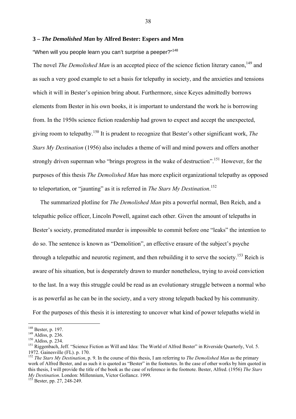## **3 –** *The Demolished Man* **by Alfred Bester: Espers and Men**

"When will you people learn you can't surprise a peeper?"<sup>148</sup>

The novel *The Demolished Man* is an accepted piece of the science fiction literary canon,<sup>149</sup> and as such a very good example to set a basis for telepathy in society, and the anxieties and tensions which it will in Bester's opinion bring about. Furthermore, since Keyes admittedly borrows elements from Bester in his own books, it is important to understand the work he is borrowing from. In the 1950s science fiction readership had grown to expect and accept the unexpected, giving room to telepathy.150 It is prudent to recognize that Bester's other significant work, *The Stars My Destination* (1956) also includes a theme of will and mind powers and offers another strongly driven superman who "brings progress in the wake of destruction".<sup>151</sup> However, for the purposes of this thesis *The Demolished Man* has more explicit organizational telepathy as opposed to teleportation, or "jaunting" as it is referred in *The Stars My Destination*. 152

 The summarized plotline for *The Demolished Man* pits a powerful normal, Ben Reich, and a telepathic police officer, Lincoln Powell, against each other. Given the amount of telepaths in Bester's society, premeditated murder is impossible to commit before one "leaks" the intention to do so. The sentence is known as "Demolition", an effective erasure of the subject's psyche through a telepathic and neurotic regiment, and then rebuilding it to serve the society.<sup>153</sup> Reich is aware of his situation, but is desperately drawn to murder nonetheless, trying to avoid conviction to the last. In a way this struggle could be read as an evolutionary struggle between a normal who is as powerful as he can be in the society, and a very strong telepath backed by his community. For the purposes of this thesis it is interesting to uncover what kind of power telepaths wield in

 $148$  Bester, p. 197.

<sup>&</sup>lt;sup>149</sup> Aldiss, p. 236.<br><sup>150</sup> Aldiss, p. 234.<br><sup>151</sup> Riggenbach, Jeff. "Science Fiction as Will and Idea: The World of Alfred Bester" in Riverside Quarterly, Vol. 5. 1972. Gainesville (FL). p. 170.

<sup>152</sup> *The Stars My Destination*, p. 9. In the course of this thesis, I am referring to *The Demolished Man* as the primary work of Alfred Bester, and as such it is quoted as "Bester" in the footnotes. In the case of other works by him quoted in this thesis, I will provide the title of the book as the case of reference in the footnote. Bester, Alfred. (1956) *The Stars My Destination*. London: Millennium, Victor Gollancz. 1999. 153 Bester, pp. 27, 248-249.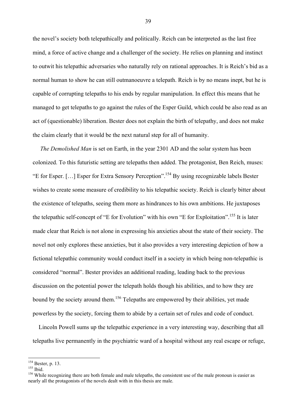the novel's society both telepathically and politically. Reich can be interpreted as the last free mind, a force of active change and a challenger of the society. He relies on planning and instinct to outwit his telepathic adversaries who naturally rely on rational approaches. It is Reich's bid as a normal human to show he can still outmanoeuvre a telepath. Reich is by no means inept, but he is capable of corrupting telepaths to his ends by regular manipulation. In effect this means that he managed to get telepaths to go against the rules of the Esper Guild, which could be also read as an act of (questionable) liberation. Bester does not explain the birth of telepathy, and does not make the claim clearly that it would be the next natural step for all of humanity.

 *The Demolished Man* is set on Earth, in the year 2301 AD and the solar system has been colonized. To this futuristic setting are telepaths then added. The protagonist, Ben Reich, muses: "E for Esper. […] Esper for Extra Sensory Perception".154 By using recognizable labels Bester wishes to create some measure of credibility to his telepathic society. Reich is clearly bitter about the existence of telepaths, seeing them more as hindrances to his own ambitions. He juxtaposes the telepathic self-concept of "E for Evolution" with his own "E for Exploitation".<sup>155</sup> It is later made clear that Reich is not alone in expressing his anxieties about the state of their society. The novel not only explores these anxieties, but it also provides a very interesting depiction of how a fictional telepathic community would conduct itself in a society in which being non-telepathic is considered "normal". Bester provides an additional reading, leading back to the previous discussion on the potential power the telepath holds though his abilities, and to how they are bound by the society around them.<sup>156</sup> Telepaths are empowered by their abilities, yet made powerless by the society, forcing them to abide by a certain set of rules and code of conduct.

 Lincoln Powell sums up the telepathic experience in a very interesting way, describing that all telepaths live permanently in the psychiatric ward of a hospital without any real escape or refuge,

 $154$  Bester, p. 13.

<sup>155</sup> Ibid.<br><sup>155</sup> Bester, p. 15.<br><sup>156</sup> While recognizing there are both female and male telepaths, the consistent use of the male pronoun is easier as nearly all the protagonists of the novels dealt with in this thesis are male.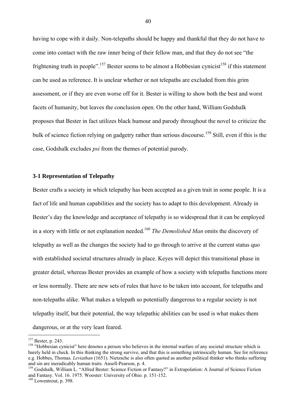having to cope with it daily. Non-telepaths should be happy and thankful that they do not have to come into contact with the raw inner being of their fellow man, and that they do not see "the frightening truth in people".<sup>157</sup> Bester seems to be almost a Hobbesian cynicist<sup>158</sup> if this statement can be used as reference. It is unclear whether or not telepaths are excluded from this grim assessment, or if they are even worse off for it. Bester is willing to show both the best and worst facets of humanity, but leaves the conclusion open. On the other hand, William Godshalk proposes that Bester in fact utilizes black humour and parody throughout the novel to criticize the bulk of science fiction relying on gadgetry rather than serious discourse.<sup>159</sup> Still, even if this is the case, Godshalk excludes *psi* from the themes of potential parody.

### **3-1 Representation of Telepathy**

Bester crafts a society in which telepathy has been accepted as a given trait in some people. It is a fact of life and human capabilities and the society has to adapt to this development. Already in Bester's day the knowledge and acceptance of telepathy is so widespread that it can be employed in a story with little or not explanation needed.160 *The Demolished Man* omits the discovery of telepathy as well as the changes the society had to go through to arrive at the current status quo with established societal structures already in place. Keyes will depict this transitional phase in greater detail, whereas Bester provides an example of how a society with telepaths functions more or less normally. There are new sets of rules that have to be taken into account, for telepaths and non-telepaths alike. What makes a telepath so potentially dangerous to a regular society is not telepathy itself, but their potential, the way telepathic abilities can be used is what makes them dangerous, or at the very least feared.

<sup>&</sup>lt;sup>157</sup> Bester, p. 243.

<sup>&</sup>lt;sup>158</sup> "Hobbesian cynicist" here denotes a person who believes in the internal warfare of any societal structure which is barely held in check. In this thinking the strong survive, and that this is something intrinsically human. See for reference e.g. Hobbes, Thomas. *Leviathan* (1651). Nietzsche is also often quoted as another political thinker who thinks suffering

<sup>&</sup>lt;sup>159</sup> Godshalk, William L. "Alfred Bester: Science Fiction or Fantasy?" in Extrapolation: A Journal of Science Fiction and Fantasy. Vol. 16. 1975. Wooster: University of Ohio. p. 151-152.

 $160$  Lowentrout, p. 398.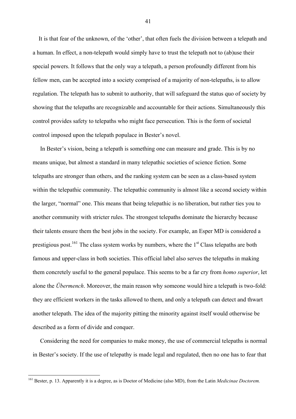It is that fear of the unknown, of the 'other', that often fuels the division between a telepath and a human. In effect, a non-telepath would simply have to trust the telepath not to (ab)use their special powers. It follows that the only way a telepath, a person profoundly different from his fellow men, can be accepted into a society comprised of a majority of non-telepaths, is to allow regulation. The telepath has to submit to authority, that will safeguard the status quo of society by showing that the telepaths are recognizable and accountable for their actions. Simultaneously this control provides safety to telepaths who might face persecution. This is the form of societal control imposed upon the telepath populace in Bester's novel.

 In Bester's vision, being a telepath is something one can measure and grade. This is by no means unique, but almost a standard in many telepathic societies of science fiction. Some telepaths are stronger than others, and the ranking system can be seen as a class-based system within the telepathic community. The telepathic community is almost like a second society within the larger, "normal" one. This means that being telepathic is no liberation, but rather ties you to another community with stricter rules. The strongest telepaths dominate the hierarchy because their talents ensure them the best jobs in the society. For example, an Esper MD is considered a prestigious post.<sup>161</sup> The class system works by numbers, where the  $1<sup>st</sup>$  Class telepaths are both famous and upper-class in both societies. This official label also serves the telepaths in making them concretely useful to the general populace. This seems to be a far cry from *homo superior*, let alone the *Übermench*. Moreover, the main reason why someone would hire a telepath is two-fold: they are efficient workers in the tasks allowed to them, and only a telepath can detect and thwart another telepath. The idea of the majority pitting the minority against itself would otherwise be described as a form of divide and conquer.

 Considering the need for companies to make money, the use of commercial telepaths is normal in Bester's society. If the use of telepathy is made legal and regulated, then no one has to fear that

 $\overline{a}$ 

<sup>161</sup> Bester, p. 13. Apparently it is a degree, as is Doctor of Medicine (also MD), from the Latin *Medicinae Doctorem.*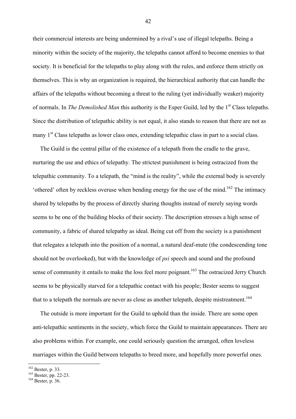their commercial interests are being undermined by a rival's use of illegal telepaths. Being a minority within the society of the majority, the telepaths cannot afford to become enemies to that society. It is beneficial for the telepaths to play along with the rules, and enforce them strictly on themselves. This is why an organization is required, the hierarchical authority that can handle the affairs of the telepaths without becoming a threat to the ruling (yet individually weaker) majority of normals. In *The Demolished Man* this authority is the Esper Guild, led by the 1<sup>st</sup> Class telepaths. Since the distribution of telepathic ability is not equal, it also stands to reason that there are not as many 1<sup>st</sup> Class telepaths as lower class ones, extending telepathic class in part to a social class.

 The Guild is the central pillar of the existence of a telepath from the cradle to the grave, nurturing the use and ethics of telepathy. The strictest punishment is being ostracized from the telepathic community. To a telepath, the "mind is the reality", while the external body is severely 'othered' often by reckless overuse when bending energy for the use of the mind.<sup>162</sup> The intimacy shared by telepaths by the process of directly sharing thoughts instead of merely saying words seems to be one of the building blocks of their society. The description stresses a high sense of community, a fabric of shared telepathy as ideal. Being cut off from the society is a punishment that relegates a telepath into the position of a normal, a natural deaf-mute (the condescending tone should not be overlooked), but with the knowledge of *psi* speech and sound and the profound sense of community it entails to make the loss feel more poignant.<sup>163</sup> The ostracized Jerry Church seems to be physically starved for a telepathic contact with his people; Bester seems to suggest that to a telepath the normals are never as close as another telepath, despite mistreatment.<sup>164</sup>

 The outside is more important for the Guild to uphold than the inside. There are some open anti-telepathic sentiments in the society, which force the Guild to maintain appearances. There are also problems within. For example, one could seriously question the arranged, often loveless marriages within the Guild between telepaths to breed more, and hopefully more powerful ones.

 $\overline{a}$ 

<sup>&</sup>lt;sup>162</sup> Bester, p. 33.<br><sup>163</sup> Bester, pp. 22-23.<br><sup>164</sup> Bester, p. 36.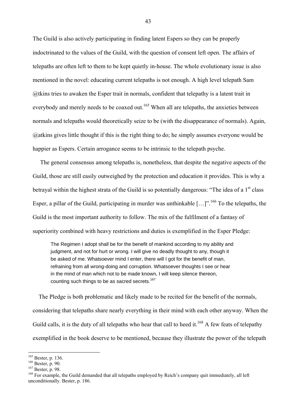The Guild is also actively participating in finding latent Espers so they can be properly indoctrinated to the values of the Guild, with the question of consent left open. The affairs of telepaths are often left to them to be kept quietly in-house. The whole evolutionary issue is also mentioned in the novel: educating current telepaths is not enough. A high level telepath Sam @tkins tries to awaken the Esper trait in normals, confident that telepathy is a latent trait in everybody and merely needs to be coaxed out.<sup>165</sup> When all are telepaths, the anxieties between normals and telepaths would theoretically seize to be (with the disappearance of normals). Again, @atkins gives little thought if this is the right thing to do; he simply assumes everyone would be happier as Espers. Certain arrogance seems to be intrinsic to the telepath psyche.

 The general consensus among telepaths is, nonetheless, that despite the negative aspects of the Guild, those are still easily outweighed by the protection and education it provides. This is why a betrayal within the highest strata of the Guild is so potentially dangerous: "The idea of a  $1<sup>st</sup>$  class Esper, a pillar of the Guild, participating in murder was unthinkable  $[...]$ . <sup>166</sup> To the telepaths, the Guild is the most important authority to follow. The mix of the fulfilment of a fantasy of superiority combined with heavy restrictions and duties is exemplified in the Esper Pledge:

The Regimen I adopt shall be for the benefit of mankind according to my ability and judgment, and not for hurt or wrong. I will give no deadly thought to any, though it be asked of me. Whatsoever mind I enter, there will I got for the benefit of man, refraining from all wrong-doing and corruption. Whatsoever thoughts I see or hear in the mind of man which not to be made known, I will keep silence thereon, counting such things to be as sacred secrets.<sup>167</sup>

 The Pledge is both problematic and likely made to be recited for the benefit of the normals, considering that telepaths share nearly everything in their mind with each other anyway. When the Guild calls, it is the duty of all telepaths who hear that call to heed it.<sup>168</sup> A few feats of telepathy exemplified in the book deserve to be mentioned, because they illustrate the power of the telepath

 $165$  Bester, p. 136.

<sup>166</sup> Bester, p. 90.<br><sup>167</sup> Bester, p. 98.<br><sup>168</sup> For example, the Guild demanded that all telepaths employed by Reich's company quit immediately, all left unconditionally. Bester, p. 186.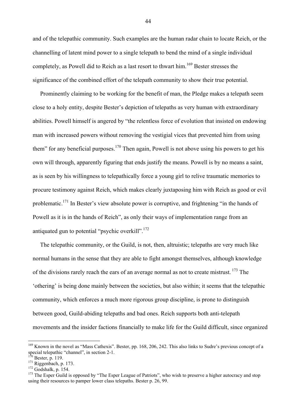and of the telepathic community. Such examples are the human radar chain to locate Reich, or the channelling of latent mind power to a single telepath to bend the mind of a single individual completely, as Powell did to Reich as a last resort to thwart him.<sup>169</sup> Bester stresses the significance of the combined effort of the telepath community to show their true potential.

 Prominently claiming to be working for the benefit of man, the Pledge makes a telepath seem close to a holy entity, despite Bester's depiction of telepaths as very human with extraordinary abilities. Powell himself is angered by "the relentless force of evolution that insisted on endowing man with increased powers without removing the vestigial vices that prevented him from using them" for any beneficial purposes.<sup>170</sup> Then again, Powell is not above using his powers to get his own will through, apparently figuring that ends justify the means. Powell is by no means a saint, as is seen by his willingness to telepathically force a young girl to relive traumatic memories to procure testimony against Reich, which makes clearly juxtaposing him with Reich as good or evil problematic.<sup>171</sup> In Bester's view absolute power is corruptive, and frightening "in the hands of Powell as it is in the hands of Reich", as only their ways of implementation range from an antiquated gun to potential "psychic overkill".<sup>172</sup>

 The telepathic community, or the Guild, is not, then, altruistic; telepaths are very much like normal humans in the sense that they are able to fight amongst themselves, although knowledge of the divisions rarely reach the ears of an average normal as not to create mistrust.  $^{173}$  The 'othering' is being done mainly between the societies, but also within; it seems that the telepathic community, which enforces a much more rigorous group discipline, is prone to distinguish between good, Guild-abiding telepaths and bad ones. Reich supports both anti-telepath movements and the insider factions financially to make life for the Guild difficult, since organized

 $\overline{a}$ 

<sup>&</sup>lt;sup>169</sup> Known in the novel as "Mass Cathexis". Bester, pp. 168, 206, 242. This also links to Sudre's previous concept of a special telepathic "channel", in section 2-1.<br> $^{170}$  Bester, p. 119.

<sup>171</sup> Riggenbach, p. 173.<br><sup>171</sup> Riggenbach, p. 173.<br><sup>172</sup> Godshalk, p. 154.<br><sup>173</sup> The Esper Guild is opposed by "The Esper League of Patriots", who wish to preserve a higher autocracy and stop using their resources to pamper lower class telepaths. Bester p. 26, 99.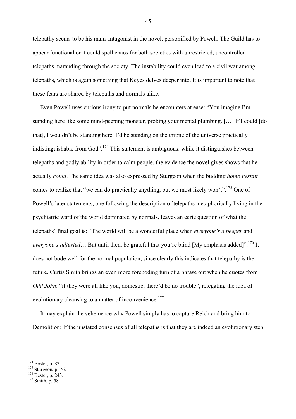telepathy seems to be his main antagonist in the novel, personified by Powell. The Guild has to appear functional or it could spell chaos for both societies with unrestricted, uncontrolled telepaths marauding through the society. The instability could even lead to a civil war among telepaths, which is again something that Keyes delves deeper into. It is important to note that these fears are shared by telepaths and normals alike.

 Even Powell uses curious irony to put normals he encounters at ease: "You imagine I'm standing here like some mind-peeping monster, probing your mental plumbing. […] If I could [do that], I wouldn't be standing here. I'd be standing on the throne of the universe practically indistinguishable from God".174 This statement is ambiguous: while it distinguishes between telepaths and godly ability in order to calm people, the evidence the novel gives shows that he actually *could*. The same idea was also expressed by Sturgeon when the budding *homo gestalt* comes to realize that "we can do practically anything, but we most likely won't".<sup>175</sup> One of Powell's later statements, one following the description of telepaths metaphorically living in the psychiatric ward of the world dominated by normals, leaves an eerie question of what the telepaths' final goal is: "The world will be a wonderful place when *everyone's a peeper* and *everyone's adjusted*... But until then, be grateful that you're blind [My emphasis added]".<sup>176</sup> It does not bode well for the normal population, since clearly this indicates that telepathy is the future. Curtis Smith brings an even more foreboding turn of a phrase out when he quotes from *Odd John*: "if they were all like you, domestic, there'd be no trouble", relegating the idea of evolutionary cleansing to a matter of inconvenience.<sup>177</sup>

 It may explain the vehemence why Powell simply has to capture Reich and bring him to Demolition: If the unstated consensus of all telepaths is that they are indeed an evolutionary step

 $174$  Bester, p. 82.

<sup>&</sup>lt;sup>175</sup> Sturgeon, p. 76. <sup>176</sup> Bester, p. 243. <sup>177</sup> Smith, p. 58.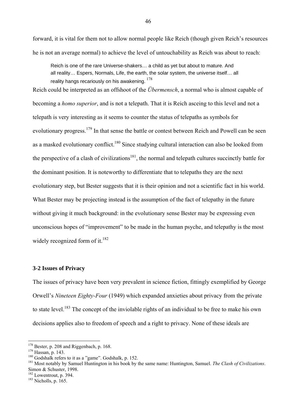forward, it is vital for them not to allow normal people like Reich (though given Reich's resources he is not an average normal) to achieve the level of untouchability as Reich was about to reach:

Reich is one of the rare Universe-shakers… a child as yet but about to mature. And all reality… Espers, Normals, Life, the earth, the solar system, the universe itself… all reality hangs recariously on his awakening.  $178$ 

Reich could be interpreted as an offshoot of the *Übermensch*, a normal who is almost capable of becoming a *homo superior*, and is not a telepath. That it is Reich asceing to this level and not a telepath is very interesting as it seems to counter the status of telepaths as symbols for evolutionary progress.<sup>179</sup> In that sense the battle or contest between Reich and Powell can be seen as a masked evolutionary conflict.<sup>180</sup> Since studying cultural interaction can also be looked from the perspective of a clash of civilizations<sup>181</sup>, the normal and telepath cultures succinctly battle for the dominant position. It is noteworthy to differentiate that to telepaths they are the next evolutionary step, but Bester suggests that it is their opinion and not a scientific fact in his world. What Bester may be projecting instead is the assumption of the fact of telepathy in the future without giving it much background: in the evolutionary sense Bester may be expressing even unconscious hopes of "improvement" to be made in the human psyche, and telepathy is the most widely recognized form of it. $182$ 

### **3-2 Issues of Privacy**

The issues of privacy have been very prevalent in science fiction, fittingly exemplified by George Orwell's *Nineteen Eighty-Four* (1949) which expanded anxieties about privacy from the private to state level.<sup>183</sup> The concept of the inviolable rights of an individual to be free to make his own decisions applies also to freedom of speech and a right to privacy. None of these ideals are

 $182$  Lowentrout, p. 394.<br><sup>183</sup> Nicholls, p. 165.

 $178$  Bester, p. 208 and Riggenbach, p. 168.

<sup>&</sup>lt;sup>179</sup> Hassan, p. 143.<br><sup>180</sup> Godshalk refers to it as a "game". Godshalk, p. 152.<br><sup>181</sup> Most notably by Samuel Huntington in his book by the same name: Huntington, Samuel. *The Clash of Civilizations*. Simon & Schuster, 1998.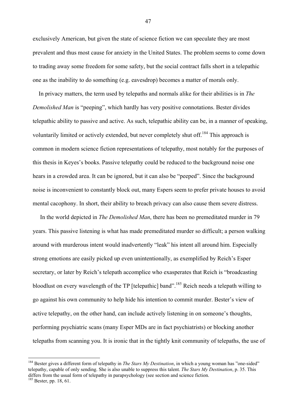exclusively American, but given the state of science fiction we can speculate they are most prevalent and thus most cause for anxiety in the United States. The problem seems to come down to trading away some freedom for some safety, but the social contract falls short in a telepathic one as the inability to do something (e.g. eavesdrop) becomes a matter of morals only.

 In privacy matters, the term used by telepaths and normals alike for their abilities is in *The Demolished Man* is "peeping", which hardly has very positive connotations. Bester divides telepathic ability to passive and active. As such, telepathic ability can be, in a manner of speaking, voluntarily limited or actively extended, but never completely shut off.<sup>184</sup> This approach is common in modern science fiction representations of telepathy, most notably for the purposes of this thesis in Keyes's books. Passive telepathy could be reduced to the background noise one hears in a crowded area. It can be ignored, but it can also be "peeped". Since the background noise is inconvenient to constantly block out, many Espers seem to prefer private houses to avoid mental cacophony. In short, their ability to breach privacy can also cause them severe distress.

 In the world depicted in *The Demolished Man*, there has been no premeditated murder in 79 years. This passive listening is what has made premeditated murder so difficult; a person walking around with murderous intent would inadvertently "leak" his intent all around him. Especially strong emotions are easily picked up even unintentionally, as exemplified by Reich's Esper secretary, or later by Reich's telepath accomplice who exasperates that Reich is "broadcasting bloodlust on every wavelength of the TP [telepathic] band".185 Reich needs a telepath willing to go against his own community to help hide his intention to commit murder. Bester's view of active telepathy, on the other hand, can include actively listening in on someone's thoughts, performing psychiatric scans (many Esper MDs are in fact psychiatrists) or blocking another telepaths from scanning you. It is ironic that in the tightly knit community of telepaths, the use of

 $\overline{a}$ 

<sup>&</sup>lt;sup>184</sup> Bester gives a different form of telepathy in *The Stars My Destination*, in which a young woman has "one-sided" telepathy, capable of only sending. She is also unable to suppress this talent. *The Stars My Destination*, p. 35. This differs from the usual form of telepathy in parapsychology (see section and science fiction.

 $185$  Bester, pp. 18, 61.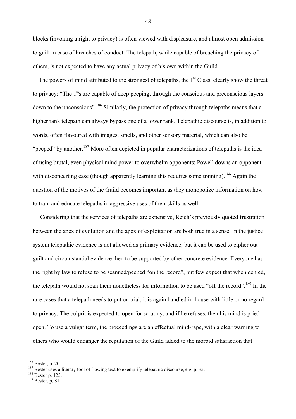blocks (invoking a right to privacy) is often viewed with displeasure, and almost open admission to guilt in case of breaches of conduct. The telepath, while capable of breaching the privacy of others, is not expected to have any actual privacy of his own within the Guild.

The powers of mind attributed to the strongest of telepaths, the 1<sup>st</sup> Class, clearly show the threat to privacy: "The  $1<sup>st</sup>s$  are capable of deep peeping, through the conscious and preconscious layers down to the unconscious".186 Similarly, the protection of privacy through telepaths means that a higher rank telepath can always bypass one of a lower rank. Telepathic discourse is, in addition to words, often flavoured with images, smells, and other sensory material, which can also be "peeped" by another.<sup>187</sup> More often depicted in popular characterizations of telepaths is the idea of using brutal, even physical mind power to overwhelm opponents; Powell downs an opponent with disconcerting ease (though apparently learning this requires some training).<sup>188</sup> Again the question of the motives of the Guild becomes important as they monopolize information on how to train and educate telepaths in aggressive uses of their skills as well.

 Considering that the services of telepaths are expensive, Reich's previously quoted frustration between the apex of evolution and the apex of exploitation are both true in a sense. In the justice system telepathic evidence is not allowed as primary evidence, but it can be used to cipher out guilt and circumstantial evidence then to be supported by other concrete evidence. Everyone has the right by law to refuse to be scanned/peeped "on the record", but few expect that when denied, the telepath would not scan them nonetheless for information to be used "off the record".189 In the rare cases that a telepath needs to put on trial, it is again handled in-house with little or no regard to privacy. The culprit is expected to open for scrutiny, and if he refuses, then his mind is pried open. To use a vulgar term, the proceedings are an effectual mind-rape, with a clear warning to others who would endanger the reputation of the Guild added to the morbid satisfaction that

 $186$  Bester, p. 20.

<sup>&</sup>lt;sup>187</sup> Bester uses a literary tool of flowing text to exemplify telepathic discourse, e.g. p. 35. <sup>188</sup> Bester p. 125.<br><sup>188</sup> Bester, p. 81.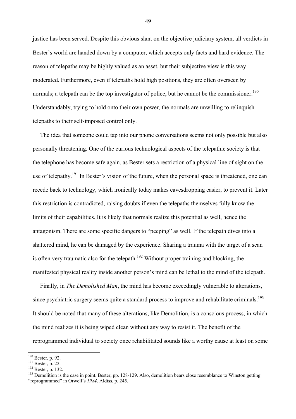justice has been served. Despite this obvious slant on the objective judiciary system, all verdicts in Bester's world are handed down by a computer, which accepts only facts and hard evidence. The reason of telepaths may be highly valued as an asset, but their subjective view is this way moderated. Furthermore, even if telepaths hold high positions, they are often overseen by normals; a telepath can be the top investigator of police, but he cannot be the commissioner.<sup>190</sup> Understandably, trying to hold onto their own power, the normals are unwilling to relinquish telepaths to their self-imposed control only.

 The idea that someone could tap into our phone conversations seems not only possible but also personally threatening. One of the curious technological aspects of the telepathic society is that the telephone has become safe again, as Bester sets a restriction of a physical line of sight on the use of telepathy.<sup>191</sup> In Bester's vision of the future, when the personal space is threatened, one can recede back to technology, which ironically today makes eavesdropping easier, to prevent it. Later this restriction is contradicted, raising doubts if even the telepaths themselves fully know the limits of their capabilities. It is likely that normals realize this potential as well, hence the antagonism. There are some specific dangers to "peeping" as well. If the telepath dives into a shattered mind, he can be damaged by the experience. Sharing a trauma with the target of a scan is often very traumatic also for the telepath.<sup>192</sup> Without proper training and blocking, the manifested physical reality inside another person's mind can be lethal to the mind of the telepath.

 Finally, in *The Demolished Man*, the mind has become exceedingly vulnerable to alterations, since psychiatric surgery seems quite a standard process to improve and rehabilitate criminals.<sup>193</sup> It should be noted that many of these alterations, like Demolition, is a conscious process, in which the mind realizes it is being wiped clean without any way to resist it. The benefit of the reprogrammed individual to society once rehabilitated sounds like a worthy cause at least on some

 $190$  Bester, p. 92.

<sup>191</sup> Bester, p. 22.<br>
<sup>192</sup> Bester, p. 132.<br>
<sup>192</sup> Bester, p. 132.<br>
<sup>193</sup> Demolition is the case in point. Bester, pp. 128-129. Also, demolition bears close resemblance to Winston getting "reprogrammed" in Orwell's *1984*. Aldiss, p. 245.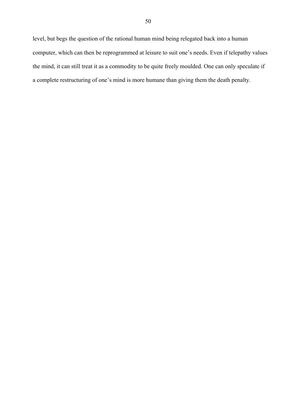level, but begs the question of the rational human mind being relegated back into a human computer, which can then be reprogrammed at leisure to suit one's needs. Even if telepathy values the mind, it can still treat it as a commodity to be quite freely moulded. One can only speculate if a complete restructuring of one's mind is more humane than giving them the death penalty.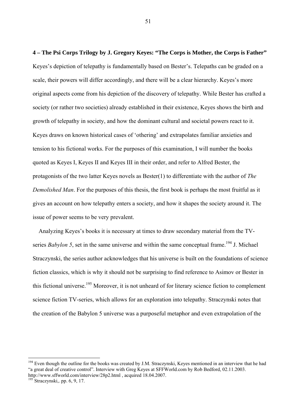**4 – The Psi Corps Trilogy by J. Gregory Keyes: "The Corps is Mother, the Corps is Father"**  Keyes's depiction of telepathy is fundamentally based on Bester's. Telepaths can be graded on a scale, their powers will differ accordingly, and there will be a clear hierarchy. Keyes's more original aspects come from his depiction of the discovery of telepathy. While Bester has crafted a society (or rather two societies) already established in their existence, Keyes shows the birth and growth of telepathy in society, and how the dominant cultural and societal powers react to it. Keyes draws on known historical cases of 'othering' and extrapolates familiar anxieties and tension to his fictional works. For the purposes of this examination, I will number the books quoted as Keyes I, Keyes II and Keyes III in their order, and refer to Alfred Bester, the protagonists of the two latter Keyes novels as Bester(1) to differentiate with the author of *The Demolished Man*. For the purposes of this thesis, the first book is perhaps the most fruitful as it gives an account on how telepathy enters a society, and how it shapes the society around it. The issue of power seems to be very prevalent.

 Analyzing Keyes's books it is necessary at times to draw secondary material from the TVseries *Babylon 5*, set in the same universe and within the same conceptual frame.<sup>194</sup> J. Michael Straczynski, the series author acknowledges that his universe is built on the foundations of science fiction classics, which is why it should not be surprising to find reference to Asimov or Bester in this fictional universe.<sup>195</sup> Moreover, it is not unheard of for literary science fiction to complement science fiction TV-series, which allows for an exploration into telepathy. Straczynski notes that the creation of the Babylon 5 universe was a purposeful metaphor and even extrapolation of the

 $\overline{a}$ 

 $194$  Even though the outline for the books was created by J.M. Straczynski, Keyes mentioned in an interview that he had "a great deal of creative control". Interview with Greg Keyes at SFFWorld.com by Rob Bedford, 02.11.2003.

http://www.sffworld.com/interview/28p2.html , acquired 18.04.2007.

 $195$  Straczynski,. pp. 6, 9, 17.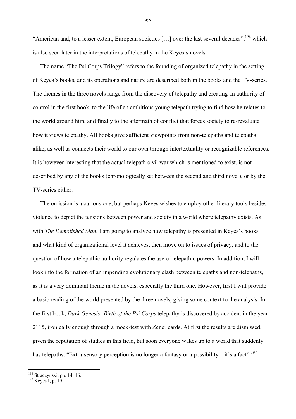"American and, to a lesser extent, European societies [...] over the last several decades",<sup>196</sup> which is also seen later in the interpretations of telepathy in the Keyes's novels.

 The name "The Psi Corps Trilogy" refers to the founding of organized telepathy in the setting of Keyes's books, and its operations and nature are described both in the books and the TV-series. The themes in the three novels range from the discovery of telepathy and creating an authority of control in the first book, to the life of an ambitious young telepath trying to find how he relates to the world around him, and finally to the aftermath of conflict that forces society to re-revaluate how it views telepathy. All books give sufficient viewpoints from non-telepaths and telepaths alike, as well as connects their world to our own through intertextuality or recognizable references. It is however interesting that the actual telepath civil war which is mentioned to exist, is not described by any of the books (chronologically set between the second and third novel), or by the TV-series either.

 The omission is a curious one, but perhaps Keyes wishes to employ other literary tools besides violence to depict the tensions between power and society in a world where telepathy exists. As with *The Demolished Man*, I am going to analyze how telepathy is presented in Keyes's books and what kind of organizational level it achieves, then move on to issues of privacy, and to the question of how a telepathic authority regulates the use of telepathic powers. In addition, I will look into the formation of an impending evolutionary clash between telepaths and non-telepaths, as it is a very dominant theme in the novels, especially the third one. However, first I will provide a basic reading of the world presented by the three novels, giving some context to the analysis. In the first book, *Dark Genesis: Birth of the Psi Corps* telepathy is discovered by accident in the year 2115, ironically enough through a mock-test with Zener cards. At first the results are dismissed, given the reputation of studies in this field, but soon everyone wakes up to a world that suddenly has telepaths: "Extra-sensory perception is no longer a fantasy or a possibility – it's a fact".<sup>197</sup>

 $\overline{a}$ 

<sup>&</sup>lt;sup>196</sup> Straczynski, pp. 14, 16.<br><sup>197</sup> Keyes I, p. 19.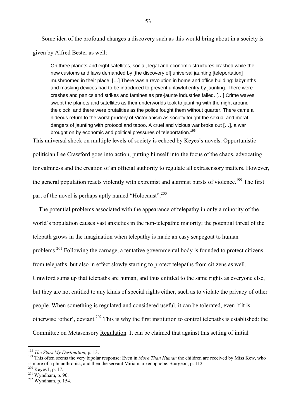Some idea of the profound changes a discovery such as this would bring about in a society is given by Alfred Bester as well:

On three planets and eight satellites, social, legal and economic structures crashed while the new customs and laws demanded by [the discovery of] universal jaunting [teleportation] mushroomed in their place. […] There was a revolution in home and office building: labyrinths and masking devices had to be introduced to prevent unlawful entry by jaunting. There were crashes and panics and strikes and famines as pre-jaunte industries failed. […] Crime waves swept the planets and satellites as their underworlds took to jaunting with the night around the clock, and there were brutalities as the police fought them without quarter. There came a hideous return to the worst prudery of Victorianism as society fought the sexual and moral dangers of jaunting with protocol and taboo. A cruel and vicious war broke out […], a war brought on by economic and political pressures of teleportation.<sup>198</sup>

This universal shock on multiple levels of society is echoed by Keyes's novels. Opportunistic politician Lee Crawford goes into action, putting himself into the focus of the chaos, advocating for calmness and the creation of an official authority to regulate all extrasensory matters. However, the general population reacts violently with extremist and alarmist bursts of violence.<sup>199</sup> The first part of the novel is perhaps aptly named "Holocaust".<sup>200</sup>

 The potential problems associated with the appearance of telepathy in only a minority of the world's population causes vast anxieties in the non-telepathic majority; the potential threat of the telepath grows in the imagination when telepathy is made an easy scapegoat to human problems.201 Following the carnage, a tentative governmental body is founded to protect citizens from telepaths, but also in effect slowly starting to protect telepaths from citizens as well. Crawford sums up that telepaths are human, and thus entitled to the same rights as everyone else, but they are not entitled to any kinds of special rights either, such as to violate the privacy of other people. When something is regulated and considered useful, it can be tolerated, even if it is otherwise 'other', deviant.202 This is why the first institution to control telepaths is established: the Committee on Metasensory Regulation. It can be claimed that against this setting of initial

<sup>&</sup>lt;sup>198</sup> The Stars My Destination, p. 13.

<sup>&</sup>lt;sup>199</sup> This often seems the very bipolar response: Even in *More Than Human* the children are received by Miss Kew, who is more of a philanthropist, and then the servant Miriam, a xenophobe. Sturgeon, p. 112.

 $\frac{200}{200}$  Keyes I, p. 17.<br>
<sup>201</sup> Wyndham, p. 90.<br>
<sup>202</sup> Wyndham, p. 154.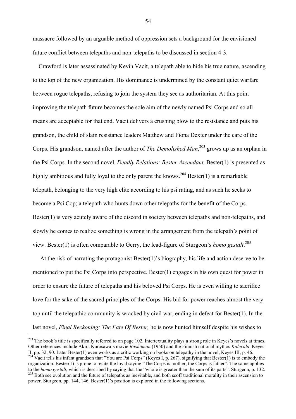massacre followed by an arguable method of oppression sets a background for the envisioned future conflict between telepaths and non-telepaths to be discussed in section 4-3.

 Crawford is later assassinated by Kevin Vacit, a telepath able to hide his true nature, ascending to the top of the new organization. His dominance is undermined by the constant quiet warfare between rogue telepaths, refusing to join the system they see as authoritarian. At this point improving the telepath future becomes the sole aim of the newly named Psi Corps and so all means are acceptable for that end. Vacit delivers a crushing blow to the resistance and puts his grandson, the child of slain resistance leaders Matthew and Fiona Dexter under the care of the Corps. His grandson, named after the author of *The Demolished Man*, 203 grows up as an orphan in the Psi Corps. In the second novel, *Deadly Relations: Bester Ascendant,* Bester(1) is presented as highly ambitious and fully loyal to the only parent the knows.<sup>204</sup> Bester(1) is a remarkable telepath, belonging to the very high elite according to his psi rating, and as such he seeks to become a Psi Cop; a telepath who hunts down other telepaths for the benefit of the Corps. Bester(1) is very acutely aware of the discord in society between telepaths and non-telepaths, and slowly he comes to realize something is wrong in the arrangement from the telepath's point of view. Bester(1) is often comparable to Gerry, the lead-figure of Sturgeon's *homo gestalt*. 205

 At the risk of narrating the protagonist Bester(1)'s biography, his life and action deserve to be mentioned to put the Psi Corps into perspective. Bester(1) engages in his own quest for power in order to ensure the future of telepaths and his beloved Psi Corps. He is even willing to sacrifice love for the sake of the sacred principles of the Corps. His bid for power reaches almost the very top until the telepathic community is wracked by civil war, ending in defeat for Bester(1). In the last novel, *Final Reckoning: The Fate Of Bester,* he is now hunted himself despite his wishes to

 $\overline{a}$ 

<sup>&</sup>lt;sup>203</sup> The book's title is specifically referred to on page 102. Intertextuality plays a strong role in Keyes's novels at times. Other references include Akira Kurosawa's movie *Rashōmon* (1950) and the Finnish national mythos *Kalevala*. Keyes

II, pp. 32, 90. Later Bester(1) even works as a critic working on books on telepathy in the novel, Keyes III, p. 46.<br><sup>204</sup> Vacit tells his infant grandson that "You are Psi Corps" (Keyes I, p. 267), signifying that Bester( organization. Bester(1) is prone to recite the loyal saying "The Corps is mother, the Corps is father". The same applies to the *homo gestalt*, which is described by saying that the "whole is greater than the sum of its parts". Sturgeon, p. 132.<br><sup>205</sup> Both see evolution and the future of telepaths as inevitable, and both scoff traditional mo power. Sturgeon, pp. 144, 146. Bester(1)'s position is explored in the following sections.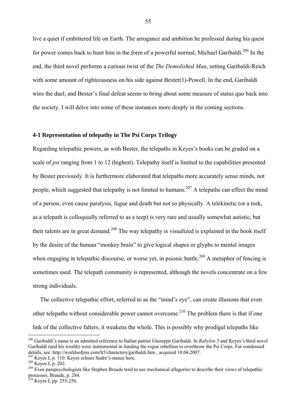live a quiet if embittered life on Earth. The arrogance and ambition he professed during his quest for power comes back to hunt him in the form of a powerful normal, Michael Garibaldi.<sup>206</sup> In the end, the third novel performs a curious twist of the *The Demolished Man*, setting Garibaldi-Reich with some amount of righteousness on his side against Bester(1)-Powell. In the end, Garibaldi wins the duel, and Bester's final defeat seems to bring about some measure of status quo back into the society. I will delve into some of these instances more deeply in the coming sections.

# **4-1 Representation of telepathy in The Psi Corps Trilogy**

Regarding telepathic powers, as with Bester, the telepaths in Keyes's books can be graded on a scale of *psi* ranging from 1 to 12 (highest). Telepathy itself is limited to the capabilities presented by Bester previously. It is furthermore elaborated that telepaths more accurately sense minds, not people, which suggested that telepathy is not limited to humans.<sup>207</sup> A telepaths can effect the mind of a person, even cause paralysis, fugue and death but not so physically. A telekinetic (or a teek, as a telepath is colloquially referred to as a teep) is very rare and usually somewhat autistic, but their talents are in great demand.<sup>208</sup> The way telepathy is visualized is explained in the book itself by the desire of the human "monkey brain" to give logical shapes or glyphs to mental images when engaging in telepathic discourse, or worse yet, in psionic battle.<sup>209</sup> A metaphor of fencing is sometimes used. The telepath community is represented, although the novels concentrate on a few strong individuals.

 The collective telepathic effort, referred to as the "mind's eye", can create illusions that even other telepaths without considerable power cannot overcome.<sup>210</sup> The problem there is that if one link of the collective falters, it weakens the whole. This is possibly why prodigal telepaths like

 $\overline{a}$ 

<sup>206</sup> Garibaldi's name is an admitted reference to Italian patriot Giuseppe Garibaldi. In *Babylon 5* and Keyes's third novel Garibaldi (and his wealth) were instrumental in funding the rogue rebellion to overthrow the Psi Corps. For condensed details, see: http://worldsofjms.com/b5/characters/garibaldi.htm , acquired 10.04.2007.<br>
<sup>207</sup> Keyes I, p. 110. Keyes echoes Sudre's stance here.<br>
<sup>208</sup> Keyes I, p. 202.<br>
<sup>209</sup> Even parapsychologists like Stephen Braude t

processes. Braude, p. 284.

 $2^{210}$  Keyes I, pp. 255-256.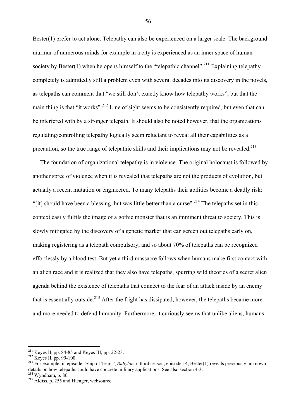Bester(1) prefer to act alone. Telepathy can also be experienced on a larger scale. The background murmur of numerous minds for example in a city is experienced as an inner space of human society by Bester(1) when he opens himself to the "telepathic channel".<sup>211</sup> Explaining telepathy completely is admittedly still a problem even with several decades into its discovery in the novels, as telepaths can comment that "we still don't exactly know how telepathy works", but that the main thing is that "it works".<sup>212</sup> Line of sight seems to be consistently required, but even that can be interfered with by a stronger telepath. It should also be noted however, that the organizations regulating/controlling telepathy logically seem reluctant to reveal all their capabilities as a precaution, so the true range of telepathic skills and their implications may not be revealed.<sup>213</sup>

 The foundation of organizational telepathy is in violence. The original holocaust is followed by another spree of violence when it is revealed that telepaths are not the products of evolution, but actually a recent mutation or engineered. To many telepaths their abilities become a deadly risk: "[it] should have been a blessing, but was little better than a curse".<sup>214</sup> The telepaths set in this context easily fulfils the image of a gothic monster that is an imminent threat to society. This is slowly mitigated by the discovery of a genetic marker that can screen out telepaths early on, making registering as a telepath compulsory, and so about 70% of telepaths can be recognized effortlessly by a blood test. But yet a third massacre follows when humans make first contact with an alien race and it is realized that they also have telepaths, spurring wild theories of a secret alien agenda behind the existence of telepaths that connect to the fear of an attack inside by an enemy that is essentially outside.<sup>215</sup> After the fright has dissipated, however, the telepaths became more and more needed to defend humanity. Furthermore, it curiously seems that unlike aliens, humans

 $211$  Keyes II, pp. 84-85 and Keyes III, pp. 22-23.

<sup>211</sup> Keyes II, pp. 84-85 and Keyes III, pp. 22-23. 212 Keyes II, pp. 99-100. 213 For example, in episode "Ship of Tears", *Babylon 5*, third season, episode 14, Bester(1) reveals previously unknown details on how telepaths could have concrete military applications. See also section 4-3.<br><sup>214</sup> Wyndham, p. 86.

<sup>&</sup>lt;sup>215</sup> Aldiss, p. 255 and Hienger, websource.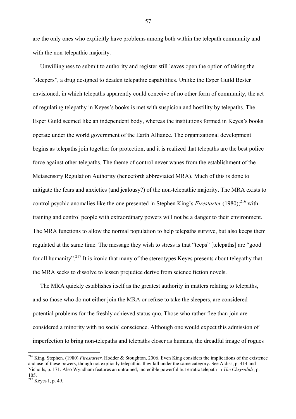are the only ones who explicitly have problems among both within the telepath community and with the non-telepathic majority.

 Unwillingness to submit to authority and register still leaves open the option of taking the "sleepers", a drug designed to deaden telepathic capabilities. Unlike the Esper Guild Bester envisioned, in which telepaths apparently could conceive of no other form of community, the act of regulating telepathy in Keyes's books is met with suspicion and hostility by telepaths. The Esper Guild seemed like an independent body, whereas the institutions formed in Keyes's books operate under the world government of the Earth Alliance. The organizational development begins as telepaths join together for protection, and it is realized that telepaths are the best police force against other telepaths. The theme of control never wanes from the establishment of the Metasensory Regulation Authority (henceforth abbreviated MRA). Much of this is done to mitigate the fears and anxieties (and jealousy?) of the non-telepathic majority. The MRA exists to control psychic anomalies like the one presented in Stephen King's *Firestarter* (1980);<sup>216</sup> with training and control people with extraordinary powers will not be a danger to their environment. The MRA functions to allow the normal population to help telepaths survive, but also keeps them regulated at the same time. The message they wish to stress is that "teeps" [telepaths] are "good for all humanity".<sup>217</sup> It is ironic that many of the stereotypes Keyes presents about telepathy that the MRA seeks to dissolve to lessen prejudice derive from science fiction novels.

 The MRA quickly establishes itself as the greatest authority in matters relating to telepaths, and so those who do not either join the MRA or refuse to take the sleepers, are considered potential problems for the freshly achieved status quo. Those who rather flee than join are considered a minority with no social conscience. Although one would expect this admission of imperfection to bring non-telepaths and telepaths closer as humans, the dreadful image of rogues

 $\overline{a}$ 

<sup>216</sup> King, Stephen. (1980) *Firestarter*. Hodder & Stoughton, 2006. Even King considers the implications of the existence and use of these powers, though not explicitly telepathic, they fall under the same category. See Aldiss, p. 414 and Nicholls, p. 171. Also Wyndham features an untrained, incredible powerful but erratic telepath in *The Chrysalids*, p. 105.

 $2^{17}$  Keyes I, p. 49.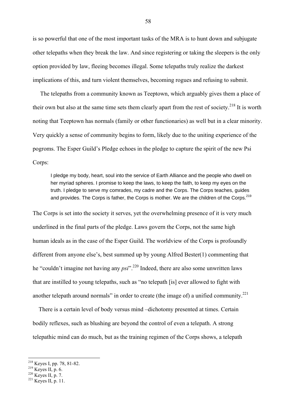is so powerful that one of the most important tasks of the MRA is to hunt down and subjugate other telepaths when they break the law. And since registering or taking the sleepers is the only option provided by law, fleeing becomes illegal. Some telepaths truly realize the darkest implications of this, and turn violent themselves, becoming rogues and refusing to submit.

 The telepaths from a community known as Teeptown, which arguably gives them a place of their own but also at the same time sets them clearly apart from the rest of society.<sup>218</sup> It is worth noting that Teeptown has normals (family or other functionaries) as well but in a clear minority. Very quickly a sense of community begins to form, likely due to the uniting experience of the pogroms. The Esper Guild's Pledge echoes in the pledge to capture the spirit of the new Psi Corps:

I pledge my body, heart, soul into the service of Earth Alliance and the people who dwell on her myriad spheres. I promise to keep the laws, to keep the faith, to keep my eyes on the truth. I pledge to serve my comrades, my cadre and the Corps. The Corps teaches, guides and provides. The Corps is father, the Corps is mother. We are the children of the Corps.<sup>219</sup>

The Corps is set into the society it serves, yet the overwhelming presence of it is very much underlined in the final parts of the pledge. Laws govern the Corps, not the same high human ideals as in the case of the Esper Guild. The worldview of the Corps is profoundly different from anyone else's, best summed up by young Alfred Bester(1) commenting that he "couldn't imagine not having any *psi*".220 Indeed, there are also some unwritten laws that are instilled to young telepaths, such as "no telepath [is] ever allowed to fight with another telepath around normals" in order to create (the image of) a unified community.<sup>221</sup>

 There is a certain level of body versus mind –dichotomy presented at times. Certain bodily reflexes, such as blushing are beyond the control of even a telepath. A strong telepathic mind can do much, but as the training regimen of the Corps shows, a telepath

 $218$  Keyes I, pp. 78, 81-82.

<sup>&</sup>lt;sup>219</sup> Keyes II, p. 6.<br><sup>220</sup> Keyes II, p. 7.<br><sup>221</sup> Keyes II, p. 11.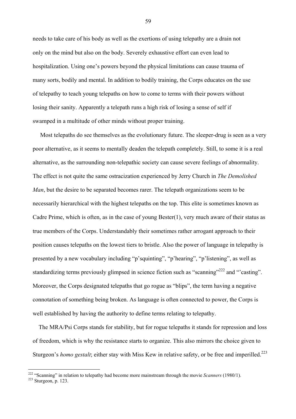needs to take care of his body as well as the exertions of using telepathy are a drain not only on the mind but also on the body. Severely exhaustive effort can even lead to hospitalization. Using one's powers beyond the physical limitations can cause trauma of many sorts, bodily and mental. In addition to bodily training, the Corps educates on the use of telepathy to teach young telepaths on how to come to terms with their powers without losing their sanity. Apparently a telepath runs a high risk of losing a sense of self if swamped in a multitude of other minds without proper training.

 Most telepaths do see themselves as the evolutionary future. The sleeper-drug is seen as a very poor alternative, as it seems to mentally deaden the telepath completely. Still, to some it is a real alternative, as the surrounding non-telepathic society can cause severe feelings of abnormality. The effect is not quite the same ostracization experienced by Jerry Church in *The Demolished Man*, but the desire to be separated becomes rarer. The telepath organizations seem to be necessarily hierarchical with the highest telepaths on the top. This elite is sometimes known as Cadre Prime, which is often, as in the case of young Bester(1), very much aware of their status as true members of the Corps. Understandably their sometimes rather arrogant approach to their position causes telepaths on the lowest tiers to bristle. Also the power of language in telepathy is presented by a new vocabulary including "p'squinting", "p'hearing", "p'listening", as well as standardizing terms previously glimpsed in science fiction such as "scanning"<sup>222</sup> and "'casting". Moreover, the Corps designated telepaths that go rogue as "blips", the term having a negative connotation of something being broken. As language is often connected to power, the Corps is well established by having the authority to define terms relating to telepathy.

 The MRA/Psi Corps stands for stability, but for rogue telepaths it stands for repression and loss of freedom, which is why the resistance starts to organize. This also mirrors the choice given to Sturgeon's *homo gestalt*; either stay with Miss Kew in relative safety, or be free and imperilled.<sup>223</sup>

 $\overline{a}$ 

<sup>&</sup>lt;sup>222</sup> "Scanning" in relation to telepathy had become more mainstream through the movie *Scanners* (1980/1).<br><sup>223</sup> Sturgeon, p. 123.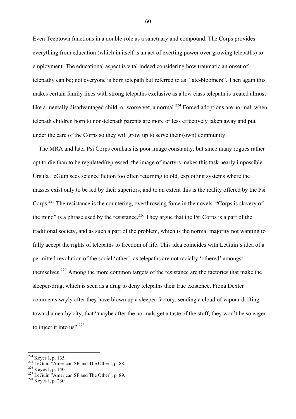Even Teeptown functions in a double-role as a sanctuary and compound. The Corps provides everything from education (which in itself is an act of exerting power over growing telepaths) to employment. The educational aspect is vital indeed considering how traumatic an onset of telepathy can be; not everyone is born telepath but referred to as "late-bloomers". Then again this makes certain family lines with strong telepaths exclusive as a low class telepath is treated almost like a mentally disadvantaged child, or worse yet, a normal.<sup>224</sup> Forced adoptions are normal, when telepath children born to non-telepath parents are more or less effectively taken away and put under the care of the Corps so they will grow up to serve their (own) community.

 The MRA and later Psi Corps combats its poor image constantly, but since many rogues rather opt to die than to be regulated/repressed, the image of martyrs makes this task nearly impossible. Ursula LeGuin sees science fiction too often returning to old, exploiting systems where the masses exist only to be led by their superiors, and to an extent this is the reality offered by the Psi Corps.225 The resistance is the countering, overthrowing force in the novels. "Corps is slavery of the mind" is a phrase used by the resistance.<sup>226</sup> They argue that the Psi Corps is a part of the traditional society, and as such a part of the problem, which is the normal majority not wanting to fully accept the rights of telepaths to freedom of life. This idea coincides with LeGuin's idea of a permitted revolution of the social 'other', as telepaths are not racially 'othered' amongst themselves.227 Among the more common targets of the resistance are the factories that make the sleeper-drug, which is seen as a drug to deny telepaths their true existence. Fiona Dexter comments wryly after they have blown up a sleeper-factory, sending a cloud of vapour drifting toward a nearby city, that "maybe after the normals get a taste of the stuff, they won't be so eager to inject it into us".<sup>228</sup>

 $224$  Keyes I, p. 135.

<sup>&</sup>lt;sup>225</sup> LeGuin "American SF and The Other", p. 88.<br><sup>226</sup> Keyes I, p. 140.<br><sup>227</sup> LeGuin "American SF and The Other", p. 89.<br><sup>228</sup> Keves I, p. 230.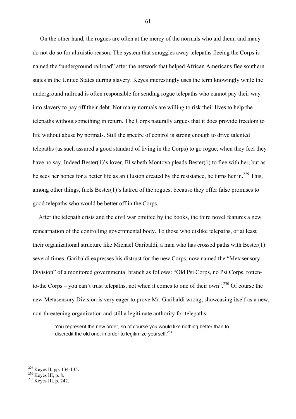On the other hand, the rogues are often at the mercy of the normals who aid them, and many do not do so for altruistic reason. The system that smuggles away telepaths fleeing the Corps is named the "underground railroad" after the network that helped African Americans flee southern states in the United States during slavery. Keyes interestingly uses the term knowingly while the underground railroad is often responsible for sending rogue telepaths who cannot pay their way into slavery to pay off their debt. Not many normals are willing to risk their lives to help the telepaths without something in return. The Corps naturally argues that it does provide freedom to life without abuse by normals. Still the spectre of control is strong enough to drive talented telepaths (as such assured a good standard of living in the Corps) to go rogue, when they feel they have no say. Indeed Bester(1)'s lover, Elisabeth Montoya pleads Bester(1) to flee with her, but as he sees her hopes for a better life as an illusion created by the resistance, he turns her in.<sup>229</sup> This, among other things, fuels Bester(1)'s hatred of the rogues, because they offer false promises to good telepaths who would be better off in the Corps.

 After the telepath crisis and the civil war omitted by the books, the third novel features a new reincarnation of the controlling governmental body. To those who dislike telepaths, or at least their organizational structure like Michael Garibaldi, a man who has crossed paths with Bester(1) several times. Garibaldi expresses his distrust for the new Corps, now named the "Metasensory Division" of a monitored governmental branch as follows: "Old Psi Corps, no Psi Corps, rottento-the Corps – you can't trust telepaths, not when it comes to one of their own".<sup>230</sup> Of course the new Metasensory Division is very eager to prove Mr. Garibaldi wrong, showcasing itself as a new, non-threatening organization and still a legitimate authority for telepaths:

You represent the new order, so of course you would like nothing better than to discredit the old one, in order to legitimize vourself.<sup>231</sup>

 $\overline{a}$ 

<sup>&</sup>lt;sup>229</sup> Keyes II, pp. 134-135.<br><sup>230</sup> Keyes III, p. 8.<br><sup>231</sup> Keyes III, p. 242.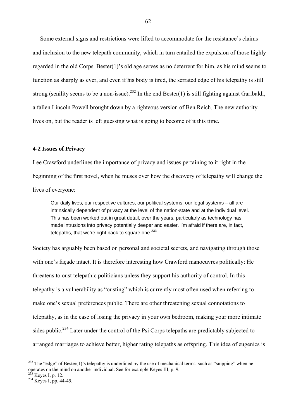Some external signs and restrictions were lifted to accommodate for the resistance's claims and inclusion to the new telepath community, which in turn entailed the expulsion of those highly regarded in the old Corps. Bester(1)'s old age serves as no deterrent for him, as his mind seems to function as sharply as ever, and even if his body is tired, the serrated edge of his telepathy is still strong (senility seems to be a non-issue).<sup>232</sup> In the end Bester(1) is still fighting against Garibaldi, a fallen Lincoln Powell brought down by a righteous version of Ben Reich. The new authority lives on, but the reader is left guessing what is going to become of it this time.

### **4-2 Issues of Privacy**

Lee Crawford underlines the importance of privacy and issues pertaining to it right in the beginning of the first novel, when he muses over how the discovery of telepathy will change the lives of everyone:

Our daily lives, our respective cultures, our political systems, our legal systems – all are intrinsically dependent of privacy at the level of the nation-state and at the individual level. This has been worked out in great detail, over the years, particularly as technology has made intrusions into privacy potentially deeper and easier. I'm afraid if there are, in fact, telepaths, that we're right back to square one. $233$ 

Society has arguably been based on personal and societal secrets, and navigating through those with one's façade intact. It is therefore interesting how Crawford manoeuvres politically: He threatens to oust telepathic politicians unless they support his authority of control. In this telepathy is a vulnerability as "ousting" which is currently most often used when referring to make one's sexual preferences public. There are other threatening sexual connotations to telepathy, as in the case of losing the privacy in your own bedroom, making your more intimate sides public.<sup>234</sup> Later under the control of the Psi Corps telepaths are predictably subjected to arranged marriages to achieve better, higher rating telepaths as offspring. This idea of eugenics is

 $\overline{a}$ 

<sup>&</sup>lt;sup>232</sup> The "edge" of Bester(1)'s telepathy is underlined by the use of mechanical terms, such as "snipping" when he operates on the mind on another individual. See for example Keyes III, p. 9.

 $^{233}_{234}$  Keyes I, p. 12.<br><sup>234</sup> Keyes I, pp. 44-45.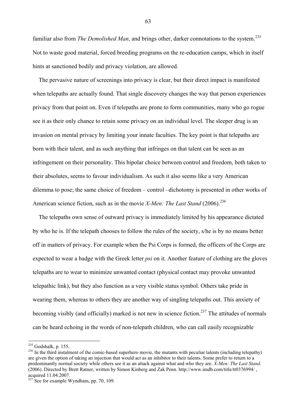familiar also from *The Demolished Man*, and brings other, darker connotations to the system.<sup>235</sup> Not to waste good material, forced breeding programs on the re-education camps, which in itself hints at sanctioned bodily and privacy violation, are allowed.

 The pervasive nature of screenings into privacy is clear, but their direct impact is manifested when telepaths are actually found. That single discovery changes the way that person experiences privacy from that point on. Even if telepaths are prone to form communities, many who go rogue see it as their only chance to retain some privacy on an individual level. The sleeper drug is an invasion on mental privacy by limiting your innate faculties. The key point is that telepaths are born with their talent, and as such anything that infringes on that talent can be seen as an infringement on their personality. This bipolar choice between control and freedom, both taken to their absolutes, seems to favour individualism. As such it also seems like a very American dilemma to pose; the same choice of freedom – control –dichotomy is presented in other works of American science fiction, such as in the movie *X-Men: The Last Stand* (2006).<sup>236</sup>

 The telepaths own sense of outward privacy is immediately limited by his appearance dictated by who he is. If the telepath chooses to follow the rules of the society, s/he is by no means better off in matters of privacy. For example when the Psi Corps is formed, the officers of the Corps are expected to wear a badge with the Greek letter *psi* on it. Another feature of clothing are the gloves telepaths are to wear to minimize unwanted contact (physical contact may provoke unwanted telepathic link), but they also function as a very visible status symbol. Others take pride in wearing them, whereas to others they are another way of singling telepaths out. This anxiety of becoming visibly (and officially) marked is not new in science fiction.<sup>237</sup> The attitudes of normals can be heard echoing in the words of non-telepath children, who can call easily recognizable

 $^{235}$  Godshalk, p. 155.

 $236$  In the third instalment of the comic-based superhero movie, the mutants with peculiar talents (including telepathy) are given the option of taking an injection that would act as an inhibitor to their talents. Some prefer to return to a predominantly normal society while others see it as an attack against what and who they are. *X-Men: The Last Stand.* (2006). Directed by Brett Ratner, written by Simon Kinberg and Zak Penn. http://www.imdb.com/title/tt0376994/ , acquired 11.04.2007.

 $237$  See for example Wyndham, pp. 70, 109.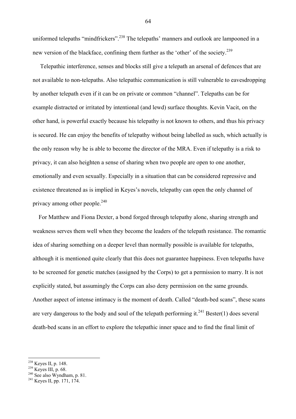uniformed telepaths "mindfrickers".<sup>238</sup> The telepaths' manners and outlook are lampooned in a new version of the blackface, confining them further as the 'other' of the society.<sup>239</sup>

 Telepathic interference, senses and blocks still give a telepath an arsenal of defences that are not available to non-telepaths. Also telepathic communication is still vulnerable to eavesdropping by another telepath even if it can be on private or common "channel". Telepaths can be for example distracted or irritated by intentional (and lewd) surface thoughts. Kevin Vacit, on the other hand, is powerful exactly because his telepathy is not known to others, and thus his privacy is secured. He can enjoy the benefits of telepathy without being labelled as such, which actually is the only reason why he is able to become the director of the MRA. Even if telepathy is a risk to privacy, it can also heighten a sense of sharing when two people are open to one another, emotionally and even sexually. Especially in a situation that can be considered repressive and existence threatened as is implied in Keyes's novels, telepathy can open the only channel of privacy among other people. $^{240}$ 

 For Matthew and Fiona Dexter, a bond forged through telepathy alone, sharing strength and weakness serves them well when they become the leaders of the telepath resistance. The romantic idea of sharing something on a deeper level than normally possible is available for telepaths, although it is mentioned quite clearly that this does not guarantee happiness. Even telepaths have to be screened for genetic matches (assigned by the Corps) to get a permission to marry. It is not explicitly stated, but assumingly the Corps can also deny permission on the same grounds. Another aspect of intense intimacy is the moment of death. Called "death-bed scans", these scans are very dangerous to the body and soul of the telepath performing it.<sup>241</sup> Bester(1) does several death-bed scans in an effort to explore the telepathic inner space and to find the final limit of

- 
- <sup>239</sup> Keyes III, p. 68. <sup>240</sup> See also Wyndham, p. 81. <sup>241</sup> Keyes II, pp. 171, 174.

<sup>&</sup>lt;sup>238</sup> Keyes II, p. 148.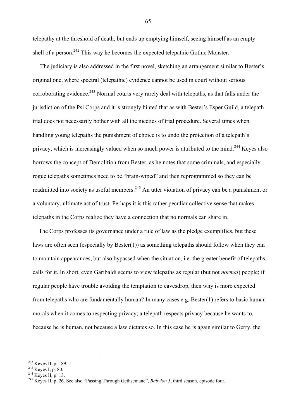telepathy at the threshold of death, but ends up emptying himself, seeing himself as an empty shell of a person.<sup>242</sup> This way he becomes the expected telepathic Gothic Monster.

 The judiciary is also addressed in the first novel, sketching an arrangement similar to Bester's original one, where spectral (telepathic) evidence cannot be used in court without serious corroborating evidence.<sup>243</sup> Normal courts very rarely deal with telepaths, as that falls under the jurisdiction of the Psi Corps and it is strongly hinted that as with Bester's Esper Guild, a telepath trial does not necessarily bother with all the niceties of trial procedure. Several times when handling young telepaths the punishment of choice is to undo the protection of a telepath's privacy, which is increasingly valued when so much power is attributed to the mind.<sup>244</sup> Keyes also borrows the concept of Demolition from Bester, as he notes that some criminals, and especially rogue telepaths sometimes need to be "brain-wiped" and then reprogrammed so they can be readmitted into society as useful members.<sup>245</sup> An utter violation of privacy can be a punishment or a voluntary, ultimate act of trust. Perhaps it is this rather peculiar collective sense that makes telepaths in the Corps realize they have a connection that no normals can share in.

 The Corps professes its governance under a rule of law as the pledge exemplifies, but these laws are often seen (especially by Bester(1)) as something telepaths should follow when they can to maintain appearances, but also bypassed when the situation, i.e. the greater benefit of telepaths, calls for it. In short, even Garibaldi seems to view telepaths as regular (but not *normal*) people; if regular people have trouble avoiding the temptation to eavesdrop, then why is more expected from telepaths who are fundamentally human? In many cases e.g. Bester(1) refers to basic human morals when it comes to respecting privacy; a telepath respects privacy because he wants to, because he is human, not because a law dictates so. In this case he is again similar to Gerry, the

<sup>&</sup>lt;sup>242</sup> Keyes II, p. 189.

<sup>243</sup> Keyes I, p. 189.<br><sup>244</sup> Keyes I, p. 80.<br><sup>244</sup> Keyes II, p. 13. 245 Keyes II, p. 26. See also "Passing Through Gethsemane", *Babylon 5*, third season, episode four.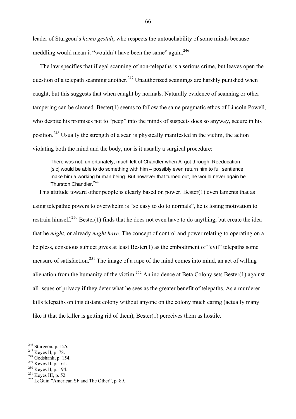leader of Sturgeon's *homo gestalt*, who respects the untouchability of some minds because meddling would mean it "wouldn't have been the same" again.<sup>246</sup>

 The law specifies that illegal scanning of non-telepaths is a serious crime, but leaves open the question of a telepath scanning another.<sup>247</sup> Unauthorized scannings are harshly punished when caught, but this suggests that when caught by normals. Naturally evidence of scanning or other tampering can be cleaned. Bester(1) seems to follow the same pragmatic ethos of Lincoln Powell, who despite his promises not to "peep" into the minds of suspects does so anyway, secure in his position.248 Usually the strength of a scan is physically manifested in the victim, the action violating both the mind and the body, nor is it usually a surgical procedure:

There was not, unfortunately, much left of Chandler when Al got through. Reeducation [sic] would be able to do something with him – possibly even return him to full sentience, make him a working human being. But however that turned out, he would never again be Thurston Chandler.<sup>249</sup>

 This attitude toward other people is clearly based on power. Bester(1) even laments that as using telepathic powers to overwhelm is "so easy to do to normals", he is losing motivation to restrain himself.<sup>250</sup> Bester(1) finds that he does not even have to do anything, but create the idea that he *might*, or already *might have*. The concept of control and power relating to operating on a helpless, conscious subject gives at least Bester(1) as the embodiment of "evil" telepaths some measure of satisfaction.<sup>251</sup> The image of a rape of the mind comes into mind, an act of willing alienation from the humanity of the victim.<sup>252</sup> An incidence at Beta Colony sets Bester(1) against all issues of privacy if they deter what he sees as the greater benefit of telepaths. As a murderer kills telepaths on this distant colony without anyone on the colony much caring (actually many like it that the killer is getting rid of them), Bester(1) perceives them as hostile.

 $246$  Sturgeon, p. 125.

<sup>&</sup>lt;sup>247</sup> Keyes II, p. 78.<br><sup>248</sup> Godshank, p. 154.<br><sup>249</sup> Keyes II, p. 161.<br><sup>251</sup> Keyes III, p. 52.<br><sup>251</sup> Keyes III, p. 52.<br><sup>252</sup> LeGuin "American SF and The Other", p. 89.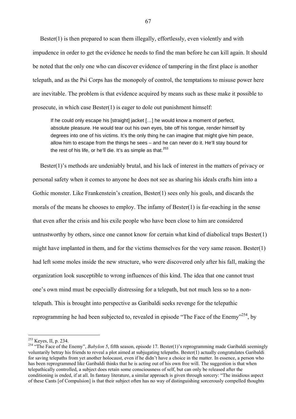Bester(1) is then prepared to scan them illegally, effortlessly, even violently and with impudence in order to get the evidence he needs to find the man before he can kill again. It should be noted that the only one who can discover evidence of tampering in the first place is another telepath, and as the Psi Corps has the monopoly of control, the temptations to misuse power here are inevitable. The problem is that evidence acquired by means such as these make it possible to prosecute, in which case Bester(1) is eager to dole out punishment himself:

If he could only escape his [straight] jacket [...] he would know a moment of perfect, absolute pleasure. He would tear out his own eyes, bite off his tongue, render himself by degrees into one of his victims. It's the only thing he can imagine that might give him peace, allow him to escape from the things he sees – and he can never do it. He'll stay bound for the rest of his life, or he'll die. It's as simple as that. $253$ 

 Bester(1)'s methods are undeniably brutal, and his lack of interest in the matters of privacy or personal safety when it comes to anyone he does not see as sharing his ideals crafts him into a Gothic monster. Like Frankenstein's creation, Bester(1) sees only his goals, and discards the morals of the means he chooses to employ. The infamy of Bester(1) is far-reaching in the sense that even after the crisis and his exile people who have been close to him are considered untrustworthy by others, since one cannot know for certain what kind of diabolical traps Bester(1) might have implanted in them, and for the victims themselves for the very same reason. Bester(1) had left some moles inside the new structure, who were discovered only after his fall, making the organization look susceptible to wrong influences of this kind. The idea that one cannot trust one's own mind must be especially distressing for a telepath, but not much less so to a nontelepath. This is brought into perspective as Garibaldi seeks revenge for the telepathic reprogramming he had been subjected to, revealed in episode "The Face of the Enemy"<sup>254</sup>, by

<sup>&</sup>lt;sup>253</sup> Keyes, II, p. 234.

<sup>&</sup>lt;sup>254</sup> "The Face of the Enemy", *Babylon 5*, fifth season, episode 17. Bester(1)'s reprogramming made Garibaldi seemingly voluntarily betray his friends to reveal a plot aimed at subjugating telepaths. Bester(1) actually congratulates Garibaldi for saving telepaths from yet another holocaust, even if he didn't have a choice in the matter. In essence, a person who has been reprogrammed like Garibaldi thinks that he is acting out of his own free will. The suggestion is that when telepathically controlled, a subject does retain some consciousness of self, but can only be released after the conditioning is ended, if at all. In fantasy literature, a similar approach is given through sorcery: "The insidious aspect of these Cants [of Compulsion] is that their subject often has no way of distinguishing sorcerously compelled thoughts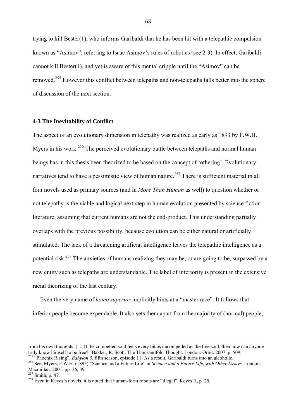trying to kill Bester(1), who informs Garibaldi that he has been hit with a telepathic compulsion known as "Asimov", referring to Isaac Asimov's rules of robotics (see 2-3). In effect, Garibaldi cannot kill Bester(1), and yet is aware of this mental cripple until the "Asimov" can be removed.255 However this conflict between telepaths and non-telepaths falls better into the sphere of discussion of the next section.

### **4-3 The Inevitability of Conflict**

The aspect of an evolutionary dimension in telepathy was realized as early as 1893 by F.W.H. Myers in his work.<sup>256</sup> The perceived evolutionary battle between telepaths and normal human beings has in this thesis been theorized to be based on the concept of 'othering'. Evolutionary narratives tend to have a pessimistic view of human nature.<sup>257</sup> There is sufficient material in all four novels used as primary sources (and in *More Than Human* as well) to question whether or not telepathy is the viable and logical next step in human evolution presented by science fiction literature, assuming that current humans are not the end-product. This understanding partially overlaps with the previous possibility, because evolution can be either natural or artificially stimulated. The lack of a threatening artificial intelligence leaves the telepathic intelligence as a potential risk.<sup>258</sup> The anxieties of humans realizing they may be, or are going to be, surpassed by a new entity such as telepaths are understandable. The label of inferiority is present in the extensive racial theorizing of the last century.

 Even the very name of *homo superior* implicitly hints at a "master race". It follows that inferior people become expendable. It also sets them apart from the majority of (normal) people,

from his own thoughts. [...] If the compelled soul feels every bit as uncompelled as the free soul, then how can anyone truly know himself to be free?" Bakker, R. Scott. The Thousandfold Thought. London: Orbit. 2007. p. 509.<br><sup>255</sup> "Phoenix Rising", *Babylon 5*, fifth season, episode 11. As a result, Garibaldi turns into an alcoholic.<br><sup>256</sup>

Macmillan. 2001. pp. 36, 39.<br><sup>257</sup> Smith, p. 47.

 $258$  Even in Keyes's novels, it is noted that human-form robots are "illegal", Keyes II, p. 25.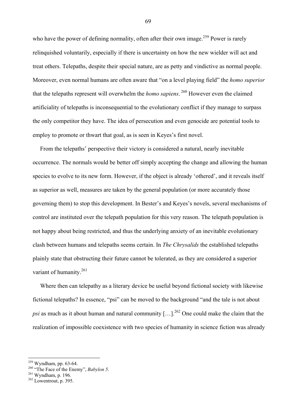who have the power of defining normality, often after their own image.<sup>259</sup> Power is rarely relinquished voluntarily, especially if there is uncertainty on how the new wielder will act and treat others. Telepaths, despite their special nature, are as petty and vindictive as normal people. Moreover, even normal humans are often aware that "on a level playing field" the *homo superior* that the telepaths represent will overwhelm the *homo sapiens*.<sup>260</sup> However even the claimed artificiality of telepaths is inconsequential to the evolutionary conflict if they manage to surpass the only competitor they have. The idea of persecution and even genocide are potential tools to employ to promote or thwart that goal, as is seen in Keyes's first novel.

 From the telepaths' perspective their victory is considered a natural, nearly inevitable occurrence. The normals would be better off simply accepting the change and allowing the human species to evolve to its new form. However, if the object is already 'othered', and it reveals itself as superior as well, measures are taken by the general population (or more accurately those governing them) to stop this development. In Bester's and Keyes's novels, several mechanisms of control are instituted over the telepath population for this very reason. The telepath population is not happy about being restricted, and thus the underlying anxiety of an inevitable evolutionary clash between humans and telepaths seems certain. In *The Chrysalids* the established telepaths plainly state that obstructing their future cannot be tolerated, as they are considered a superior variant of humanity.<sup>261</sup>

 Where then can telepathy as a literary device be useful beyond fictional society with likewise fictional telepaths? In essence, "psi" can be moved to the background "and the tale is not about *psi* as much as it about human and natural community  $[...]^{262}$  One could make the claim that the realization of impossible coexistence with two species of humanity in science fiction was already

 $259$  Wyndham, pp. 63-64.

<sup>&</sup>lt;sup>260</sup> "The Face of the Enemy", *Babylon 5*.<br><sup>261</sup> Wyndham, p. 196.<br><sup>262</sup> Lowentrout, p. 395.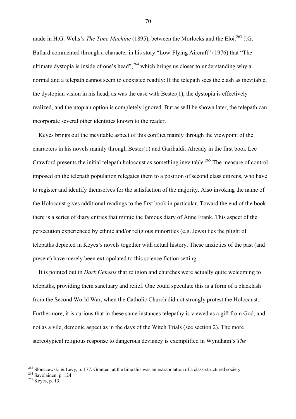made in H.G. Wells's *The Time Machine* (1895), between the Morlocks and the Eloi.<sup>263</sup> J.G. Ballard commented through a character in his story "Low-Flying Aircraft" (1976) that "The ultimate dystopia is inside of one's head",  $^{264}$  which brings us closer to understanding why a normal and a telepath cannot seem to coexisted readily: If the telepath sees the clash as inevitable, the dystopian vision in his head, as was the case with Bester(1), the dystopia is effectively realized, and the utopian option is completely ignored. But as will be shown later, the telepath can incorporate several other identities known to the reader.

 Keyes brings out the inevitable aspect of this conflict mainly through the viewpoint of the characters in his novels mainly through Bester(1) and Garibaldi. Already in the first book Lee Crawford presents the initial telepath holocaust as something inevitable.<sup>265</sup> The measure of control imposed on the telepath population relegates them to a position of second class citizens, who have to register and identify themselves for the satisfaction of the majority. Also invoking the name of the Holocaust gives additional readings to the first book in particular. Toward the end of the book there is a series of diary entries that mimic the famous diary of Anne Frank. This aspect of the persecution experienced by ethnic and/or religious minorities (e.g. Jews) ties the plight of telepaths depicted in Keyes's novels together with actual history. These anxieties of the past (and present) have merely been extrapolated to this science fiction setting.

 It is pointed out in *Dark Genesis* that religion and churches were actually quite welcoming to telepaths, providing them sanctuary and relief. One could speculate this is a form of a blacklash from the Second World War, when the Catholic Church did not strongly protest the Holocaust. Furthermore, it is curious that in these same instances telepathy is viewed as a gift from God, and not as a vile, demonic aspect as in the days of the Witch Trials (see section 2). The more stereotypical religious response to dangerous deviancy is exemplified in Wyndham's *The* 

 $\overline{a}$ 

<sup>&</sup>lt;sup>263</sup> Slonczewski & Levy, p. 177. Granted, at the time this was an extrapolation of a class-structured society.<br><sup>264</sup> Savolainen, p. 124.<br><sup>265</sup> Keyes, p. 13.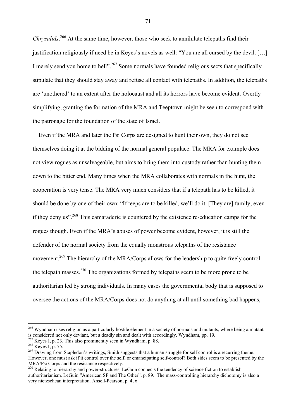Chrysalids.<sup>266</sup> At the same time, however, those who seek to annihilate telepaths find their justification religiously if need be in Keyes's novels as well: "You are all cursed by the devil. […] I merely send you home to hell".<sup>267</sup> Some normals have founded religious sects that specifically stipulate that they should stay away and refuse all contact with telepaths. In addition, the telepaths are 'unothered' to an extent after the holocaust and all its horrors have become evident. Overtly simplifying, granting the formation of the MRA and Teeptown might be seen to correspond with the patronage for the foundation of the state of Israel.

 Even if the MRA and later the Psi Corps are designed to hunt their own, they do not see themselves doing it at the bidding of the normal general populace. The MRA for example does not view rogues as unsalvageable, but aims to bring them into custody rather than hunting them down to the bitter end. Many times when the MRA collaborates with normals in the hunt, the cooperation is very tense. The MRA very much considers that if a telepath has to be killed, it should be done by one of their own: "If teeps are to be killed, we'll do it. [They are] family, even if they deny us".268 This camaraderie is countered by the existence re-education camps for the rogues though. Even if the MRA's abuses of power become evident, however, it is still the defender of the normal society from the equally monstrous telepaths of the resistance movement.<sup>269</sup> The hierarchy of the MRA/Corps allows for the leadership to quite freely control the telepath masses.<sup>270</sup> The organizations formed by telepaths seem to be more prone to be authoritarian led by strong individuals. In many cases the governmental body that is supposed to oversee the actions of the MRA/Corps does not do anything at all until something bad happens,

 $\overline{a}$ 

<sup>&</sup>lt;sup>266</sup> Wyndham uses religion as a particularly hostile element in a society of normals and mutants, where being a mutant is considered not only deviant, but a deadly sin and dealt with accordingly. Wyndham, pp. 19.

 $^{267}$  Keyes I, p. 23. This also prominently seen in Wyndham, p. 88.<br><sup>268</sup> Keyes I, p. 75.<br><sup>269</sup> Drawing from Stapledon's writings, Smith suggests that a human struggle for self control is a recurring theme. However, one must ask if it control over the self, or emancipating self-control? Both sides seem to be presented by the MRA/Psi Corps and the resistance respectively.

<sup>&</sup>lt;sup>270</sup> Relating to hierarchy and power-structures, LeGuin connects the tendency of science fiction to establish authoritarianism. LeGuin "American SF and The Other", p. 89. The mass-controlling hierarchy dichotomy is also a very nietzschean interpretation. Ansell-Pearson, p. 4, 6.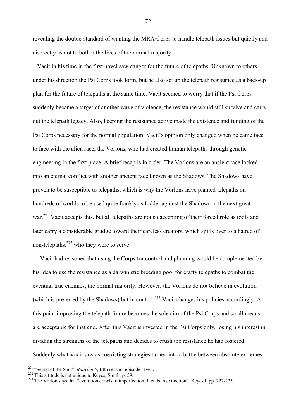revealing the double-standard of wanting the MRA/Corps to handle telepath issues but quietly and discreetly as not to bother the lives of the normal majority.

 Vacit in his time in the first novel saw danger for the future of telepaths. Unknown to others, under his direction the Psi Corps took form, but he also set up the telepath resistance as a back-up plan for the future of telepaths at the same time. Vacit seemed to worry that if the Psi Corps suddenly became a target of another wave of violence, the resistance would still survive and carry out the telepath legacy. Also, keeping the resistance active made the existence and funding of the Psi Corps necessary for the normal population. Vacit's opinion only changed when he came face to face with the alien race, the Vorlons, who had created human telepaths through genetic engineering in the first place. A brief recap is in order. The Vorlons are an ancient race locked into an eternal conflict with another ancient race known as the Shadows. The Shadows have proven to be susceptible to telepaths, which is why the Vorlons have planted telepaths on hundreds of worlds to be used quite frankly as fodder against the Shadows in the next great war.<sup>271</sup> Vacit accepts this, but all telepaths are not so accepting of their forced role as tools and later carry a considerable grudge toward their careless creators, which spills over to a hatred of non-telepaths.<sup>272</sup> who they were to serve.

 Vacit had reasoned that using the Corps for control and planning would be complemented by his idea to use the resistance as a darwinistic breeding pool for crafty telepaths to combat the eventual true enemies, the normal majority. However, the Vorlons do not believe in evolution (which is preferred by the Shadows) but in control.<sup>273</sup> Vacit changes his policies accordingly. At this point improving the telepath future becomes the sole aim of the Psi Corps and so all means are acceptable for that end. After this Vacit is invested in the Psi Corps only, losing his interest in dividing the strengths of the telepaths and decides to crush the resistance he had fostered. Suddenly what Vacit saw as coexisting strategies turned into a battle between absolute extremes

<sup>&</sup>lt;sup>271</sup> "Secret of the Soul", *Babylon 5*, fifth season, episode seven.

<sup>&</sup>lt;sup>272</sup> This attitude is not unique to Keyes; Smith, p. 59.<br><sup>273</sup> The Vorlon says that "evolution crawls to imperfection. It ends in extinction". Keyes I, pp. 222-223.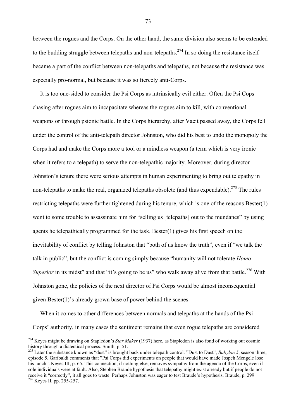between the rogues and the Corps. On the other hand, the same division also seems to be extended to the budding struggle between telepaths and non-telepaths.<sup>274</sup> In so doing the resistance itself became a part of the conflict between non-telepaths and telepaths, not because the resistance was especially pro-normal, but because it was so fiercely anti-Corps.

 It is too one-sided to consider the Psi Corps as intrinsically evil either. Often the Psi Cops chasing after rogues aim to incapacitate whereas the rogues aim to kill, with conventional weapons or through psionic battle. In the Corps hierarchy, after Vacit passed away, the Corps fell under the control of the anti-telepath director Johnston, who did his best to undo the monopoly the Corps had and make the Corps more a tool or a mindless weapon (a term which is very ironic when it refers to a telepath) to serve the non-telepathic majority. Moreover, during director Johnston's tenure there were serious attempts in human experimenting to bring out telepathy in non-telepaths to make the real, organized telepaths obsolete (and thus expendable).<sup>275</sup> The rules restricting telepaths were further tightened during his tenure, which is one of the reasons Bester(1) went to some trouble to assassinate him for "selling us [telepaths] out to the mundanes" by using agents he telepathically programmed for the task. Bester(1) gives his first speech on the inevitability of conflict by telling Johnston that "both of us know the truth", even if "we talk the talk in public", but the conflict is coming simply because "humanity will not tolerate *Homo Superior* in its midst" and that "it's going to be us" who walk away alive from that battle.<sup>276</sup> With Johnston gone, the policies of the next director of Psi Corps would be almost inconsequential given Bester(1)'s already grown base of power behind the scenes.

When it comes to other differences between normals and telepaths at the hands of the Psi Corps' authority, in many cases the sentiment remains that even rogue telepaths are considered

 $\overline{a}$ 

<sup>274</sup> Keyes might be drawing on Stapledon's *Star Maker* (1937) here, as Stapledon is also fond of working out cosmic history through a dialectical process. Smith, p. 51.<br><sup>275</sup> Later the substance known as "dust" is brought back under telepath control. "Dust to Dust", *Babylon 5*, season three,

episode 5. Garibaldi comments that "Psi Corps did experiments on people that would have made Jospeh Mengele lose his lunch". Keyes III, p. 65. This connection, if nothing else, removes sympathy from the agenda of the Corps, even if sole individuals were at fault. Also, Stephen Braude hypothesis that telepathy might exist already but if people do not receive it "correctly", it all goes to waste. Perhaps Johnston was eager to test Braude's hypothesis. Braude, p. 299. 276 Keyes II, pp. 255-257.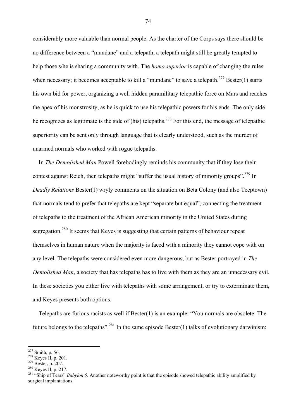considerably more valuable than normal people. As the charter of the Corps says there should be no difference between a "mundane" and a telepath, a telepath might still be greatly tempted to help those s/he is sharing a community with. The *homo superior* is capable of changing the rules when necessary; it becomes acceptable to kill a "mundane" to save a telepath.<sup>277</sup> Bester(1) starts his own bid for power, organizing a well hidden paramilitary telepathic force on Mars and reaches the apex of his monstrosity, as he is quick to use his telepathic powers for his ends. The only side he recognizes as legitimate is the side of (his) telepaths.<sup>278</sup> For this end, the message of telepathic superiority can be sent only through language that is clearly understood, such as the murder of unarmed normals who worked with rogue telepaths.

 In *The Demolished Man* Powell forebodingly reminds his community that if they lose their contest against Reich, then telepaths might "suffer the usual history of minority groups".<sup>279</sup> In *Deadly Relations* Bester(1) wryly comments on the situation on Beta Colony (and also Teeptown) that normals tend to prefer that telepaths are kept "separate but equal", connecting the treatment of telepaths to the treatment of the African American minority in the United States during segregation.<sup>280</sup> It seems that Keyes is suggesting that certain patterns of behaviour repeat themselves in human nature when the majority is faced with a minority they cannot cope with on any level. The telepaths were considered even more dangerous, but as Bester portrayed in *The Demolished Man*, a society that has telepaths has to live with them as they are an unnecessary evil. In these societies you either live with telepaths with some arrangement, or try to exterminate them, and Keyes presents both options.

 Telepaths are furious racists as well if Bester(1) is an example: "You normals are obsolete. The future belongs to the telepaths".<sup>281</sup> In the same episode Bester(1) talks of evolutionary darwinism:

<sup>&</sup>lt;sup>277</sup> Smith, p. 56.

<sup>278</sup> Keyes II, p. 201.<br><sup>279</sup> Bester, p. 201.<br><sup>279</sup> Bester, p. 207.<br><sup>280</sup> Keyes II, p. 217.<br><sup>281</sup> "Ship of Tears" *Babylon 5*. Another noteworthy point is that the episode showed telepathic ability amplified by surgical implantations.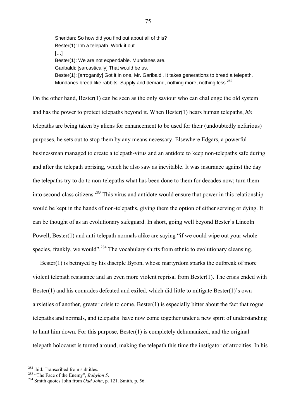Sheridan: So how did you find out about all of this? Bester(1): I'm a telepath. Work it out. […] Bester(1): We are not expendable. Mundanes are. Garibaldi: [sarcastically] That would be us. Bester(1): [arrogantly] Got it in one, Mr. Garibaldi. It takes generations to breed a telepath. Mundanes breed like rabbits. Supply and demand, nothing more, nothing less.<sup>282</sup>

On the other hand, Bester(1) can be seen as the only saviour who can challenge the old system and has the power to protect telepaths beyond it. When Bester(1) hears human telepaths, *his* telepaths are being taken by aliens for enhancement to be used for their (undoubtedly nefarious) purposes, he sets out to stop them by any means necessary. Elsewhere Edgars, a powerful businessman managed to create a telepath-virus and an antidote to keep non-telepaths safe during and after the telepath uprising, which he also saw as inevitable. It was insurance against the day the telepaths try to do to non-telepaths what has been done to them for decades now; turn them into second-class citizens.<sup>283</sup> This virus and antidote would ensure that power in this relationship would be kept in the hands of non-telepaths, giving them the option of either serving or dying. It can be thought of as an evolutionary safeguard. In short, going well beyond Bester's Lincoln Powell, Bester(1) and anti-telepath normals alike are saying "if we could wipe out your whole species, frankly, we would".<sup>284</sup> The vocabulary shifts from ethnic to evolutionary cleansing.

Bester(1) is betrayed by his disciple Byron, whose martyrdom sparks the outbreak of more violent telepath resistance and an even more violent reprisal from Bester(1). The crisis ended with Bester(1) and his comrades defeated and exiled, which did little to mitigate Bester(1)'s own anxieties of another, greater crisis to come. Bester(1) is especially bitter about the fact that rogue telepaths and normals, and telepaths have now come together under a new spirit of understanding to hunt him down. For this purpose, Bester(1) is completely dehumanized, and the original telepath holocaust is turned around, making the telepath this time the instigator of atrocities. In his

<sup>&</sup>lt;sup>282</sup> ibid. Transcribed from subtitles.

<sup>283 &</sup>quot;The Face of the Enemy", *Babylon 5*.<br><sup>283</sup> Smith quotes John from *Odd John*, p. 121. Smith, p. 56.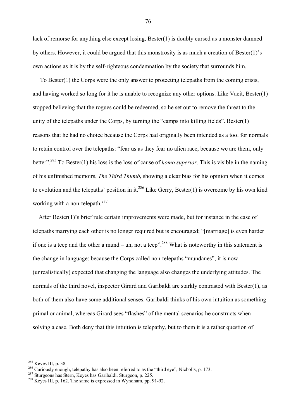lack of remorse for anything else except losing, Bester(1) is doubly cursed as a monster damned by others. However, it could be argued that this monstrosity is as much a creation of Bester(1)'s own actions as it is by the self-righteous condemnation by the society that surrounds him.

 To Bester(1) the Corps were the only answer to protecting telepaths from the coming crisis, and having worked so long for it he is unable to recognize any other options. Like Vacit, Bester(1) stopped believing that the rogues could be redeemed, so he set out to remove the threat to the unity of the telepaths under the Corps, by turning the "camps into killing fields". Bester(1) reasons that he had no choice because the Corps had originally been intended as a tool for normals to retain control over the telepaths: "fear us as they fear no alien race, because we are them, only better".285 To Bester(1) his loss is the loss of cause of *homo superior*. This is visible in the naming of his unfinished memoirs, *The Third Thumb*, showing a clear bias for his opinion when it comes to evolution and the telepaths' position in it.<sup>286</sup> Like Gerry, Bester(1) is overcome by his own kind working with a non-telepath.<sup>287</sup>

 After Bester(1)'s brief rule certain improvements were made, but for instance in the case of telepaths marrying each other is no longer required but is encouraged; "[marriage] is even harder if one is a teep and the other a mund – uh, not a teep".<sup>288</sup> What is noteworthy in this statement is the change in language: because the Corps called non-telepaths "mundanes", it is now (unrealistically) expected that changing the language also changes the underlying attitudes. The normals of the third novel, inspector Girard and Garibaldi are starkly contrasted with Bester(1), as both of them also have some additional senses. Garibaldi thinks of his own intuition as something primal or animal, whereas Girard sees "flashes" of the mental scenarios he constructs when solving a case. Both deny that this intuition is telepathy, but to them it is a rather question of

 $285$  Keves III, p. 38.

<sup>&</sup>lt;sup>286</sup> Curiously enough, telepathy has also been referred to as the "third eye", Nicholls, p. 173.<br><sup>287</sup> Sturgeons has Stern, Keyes has Garibaldi. Sturgeon, p. 225.<br><sup>288</sup> Keves III, p. 162. The same is expressed in Wyndham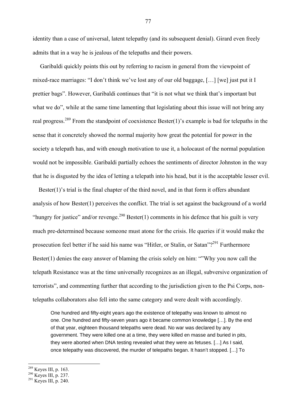identity than a case of universal, latent telepathy (and its subsequent denial). Girard even freely admits that in a way he is jealous of the telepaths and their powers.

 Garibaldi quickly points this out by referring to racism in general from the viewpoint of mixed-race marriages: "I don't think we've lost any of our old baggage, […] [we] just put it I prettier bags". However, Garibaldi continues that "it is not what we think that's important but what we do", while at the same time lamenting that legislating about this issue will not bring any real progress.<sup>289</sup> From the standpoint of coexistence Bester(1)'s example is bad for telepaths in the sense that it concretely showed the normal majority how great the potential for power in the society a telepath has, and with enough motivation to use it, a holocaust of the normal population would not be impossible. Garibaldi partially echoes the sentiments of director Johnston in the way that he is disgusted by the idea of letting a telepath into his head, but it is the acceptable lesser evil.

Bester $(1)$ 's trial is the final chapter of the third novel, and in that form it offers abundant analysis of how Bester(1) perceives the conflict. The trial is set against the background of a world "hungry for justice" and/or revenge.<sup>290</sup> Bester(1) comments in his defence that his guilt is very much pre-determined because someone must atone for the crisis. He queries if it would make the prosecution feel better if he said his name was "Hitler, or Stalin, or Satan"?<sup>291</sup> Furthermore Bester(1) denies the easy answer of blaming the crisis solely on him: ""Why you now call the telepath Resistance was at the time universally recognizes as an illegal, subversive organization of terrorists", and commenting further that according to the jurisdiction given to the Psi Corps, nontelepaths collaborators also fell into the same category and were dealt with accordingly.

One hundred and fifty-eight years ago the existence of telepathy was known to almost no one. One hundred and fifty-seven years ago it became common knowledge […]. By the end of that year, eighteen thousand telepaths were dead. No war was declared by any government. They were killed one at a time, they were killed en masse and buried in pits, they were aborted when DNA testing revealed what they were as fetuses. […] As I said, once telepathy was discovered, the murder of telepaths began. It hasn't stopped. […] To

 $\overline{a}$ 

<sup>&</sup>lt;sup>289</sup> Keyes III, p. 163.<br><sup>290</sup> Keyes III, p. 237.<br><sup>291</sup> Keyes III, p. 240.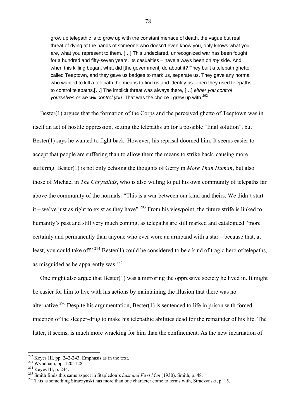grow up telepathic is to grow up with the constant menace of death, the vague but real threat of dying at the hands of someone who doesn't even know you, only knows what you *are*, what you represent to them. […] This undeclared, unrecognized war has been fought for a hundred and fifty-seven years. Its casualties – have always been on *my* side. And when this killing began, what did [the government] do about it? They built a telepath ghetto called Teeptown, and they gave us badges to mark us, separate us. They gave any normal who wanted to kill a telepath the means to find us and identify us. Then they used telepaths to control telepaths.[…] The implicit threat was always there, […] *either you control yourselves or we will control you.* That was the choice I grew up with.<sup>292</sup>

Bester(1) argues that the formation of the Corps and the perceived ghetto of Teeptown was in itself an act of hostile oppression, setting the telepaths up for a possible "final solution", but Bester(1) says he wanted to fight back. However, his reprisal doomed him: It seems easier to accept that people are suffering than to allow them the means to strike back, causing more suffering. Bester(1) is not only echoing the thoughts of Gerry in *More Than Human*, but also those of Michael in *The Chrysalids*, who is also willing to put his own community of telepaths far above the community of the normals: "This is a war between our kind and theirs. We didn't start it – we've just as right to exist as they have".<sup>293</sup> From his viewpoint, the future strife is linked to humanity's past and still very much coming, as telepaths are still marked and catalogued "more certainly and permanently than anyone who ever wore an armband with a star – because that, at least, you could take off".<sup>294</sup> Bester(1) could be considered to be a kind of tragic hero of telepaths, as misguided as he apparently was. $295$ 

 One might also argue that Bester(1) was a mirroring the oppressive society he lived in. It might be easier for him to live with his actions by maintaining the illusion that there was no alternative.<sup>296</sup> Despite his argumentation, Bester(1) is sentenced to life in prison with forced injection of the sleeper-drug to make his telepathic abilities dead for the remainder of his life. The latter, it seems, is much more wracking for him than the confinement. As the new incarnation of

 $292$  Keyes III, pp. 242-243. Emphasis as in the text.

<sup>&</sup>lt;sup>293</sup> Wyndham, pp. 242 243. Emphasis as in the cent.<br><sup>294</sup> Keyes III, p. 244.<br><sup>295</sup> Smith finds this same aspect in Stapledon's *Last and First Men* (1930). Smith, p. 48.<br><sup>296</sup> This is something Straczynski has more than o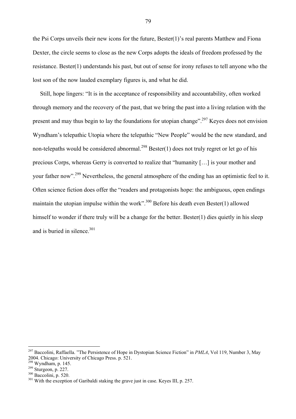the Psi Corps unveils their new icons for the future, Bester(1)'s real parents Matthew and Fiona Dexter, the circle seems to close as the new Corps adopts the ideals of freedom professed by the resistance. Bester(1) understands his past, but out of sense for irony refuses to tell anyone who the lost son of the now lauded exemplary figures is, and what he did.

 Still, hope lingers: "It is in the acceptance of responsibility and accountability, often worked through memory and the recovery of the past, that we bring the past into a living relation with the present and may thus begin to lay the foundations for utopian change".<sup>297</sup> Keyes does not envision Wyndham's telepathic Utopia where the telepathic "New People" would be the new standard, and non-telepaths would be considered abnormal.<sup>298</sup> Bester(1) does not truly regret or let go of his precious Corps, whereas Gerry is converted to realize that "humanity […] is your mother and your father now".299 Nevertheless, the general atmosphere of the ending has an optimistic feel to it. Often science fiction does offer the "readers and protagonists hope: the ambiguous, open endings maintain the utopian impulse within the work".<sup>300</sup> Before his death even Bester(1) allowed himself to wonder if there truly will be a change for the better. Bester(1) dies quietly in his sleep and is buried in silence.<sup>301</sup>

 $\overline{a}$ 

<sup>297</sup> Baccolini, Raffaella. "The Persistence of Hope in Dystopian Science Fiction" in *PMLA*, Vol 119, Number 3, May 2004. Chicago: University of Chicago Press. p. 521.

<sup>&</sup>lt;sup>299</sup> Sturgeon, p. 227.  $\frac{300}{300}$  Baccolini, p. 520. 301 With the exception of Garibaldi staking the grave just in case. Keyes III, p. 257.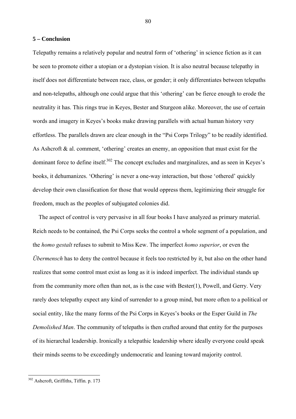## **5 – Conclusion**

Telepathy remains a relatively popular and neutral form of 'othering' in science fiction as it can be seen to promote either a utopian or a dystopian vision. It is also neutral because telepathy in itself does not differentiate between race, class, or gender; it only differentiates between telepaths and non-telepaths, although one could argue that this 'othering' can be fierce enough to erode the neutrality it has. This rings true in Keyes, Bester and Sturgeon alike. Moreover, the use of certain words and imagery in Keyes's books make drawing parallels with actual human history very effortless. The parallels drawn are clear enough in the "Psi Corps Trilogy" to be readily identified. As Ashcroft & al. comment, 'othering' creates an enemy, an opposition that must exist for the dominant force to define itself.<sup>302</sup> The concept excludes and marginalizes, and as seen in Keyes's books, it dehumanizes. 'Othering' is never a one-way interaction, but those 'othered' quickly develop their own classification for those that would oppress them, legitimizing their struggle for freedom, much as the peoples of subjugated colonies did.

 The aspect of control is very pervasive in all four books I have analyzed as primary material. Reich needs to be contained, the Psi Corps seeks the control a whole segment of a population, and the *homo gestalt* refuses to submit to Miss Kew. The imperfect *homo superior*, or even the *Übermensch* has to deny the control because it feels too restricted by it, but also on the other hand realizes that some control must exist as long as it is indeed imperfect. The individual stands up from the community more often than not, as is the case with Bester(1), Powell, and Gerry. Very rarely does telepathy expect any kind of surrender to a group mind, but more often to a political or social entity, like the many forms of the Psi Corps in Keyes's books or the Esper Guild in *The Demolished Man*. The community of telepaths is then crafted around that entity for the purposes of its hierarchal leadership. Ironically a telepathic leadership where ideally everyone could speak their minds seems to be exceedingly undemocratic and leaning toward majority control.

 $\overline{a}$ 

<sup>80</sup>

<sup>302</sup> Ashcroft, Griffiths, Tiffin. p. 173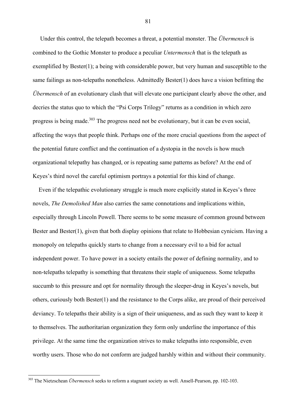Under this control, the telepath becomes a threat, a potential monster. The *Übermensch* is combined to the Gothic Monster to produce a peculiar *Untermensch* that is the telepath as exemplified by Bester(1); a being with considerable power, but very human and susceptible to the same failings as non-telepaths nonetheless. Admittedly Bester(1) does have a vision befitting the *Übermensch* of an evolutionary clash that will elevate one participant clearly above the other, and decries the status quo to which the "Psi Corps Trilogy" returns as a condition in which zero progress is being made.<sup>303</sup> The progress need not be evolutionary, but it can be even social, affecting the ways that people think. Perhaps one of the more crucial questions from the aspect of the potential future conflict and the continuation of a dystopia in the novels is how much organizational telepathy has changed, or is repeating same patterns as before? At the end of Keyes's third novel the careful optimism portrays a potential for this kind of change.

 Even if the telepathic evolutionary struggle is much more explicitly stated in Keyes's three novels, *The Demolished Man* also carries the same connotations and implications within, especially through Lincoln Powell. There seems to be some measure of common ground between Bester and Bester(1), given that both display opinions that relate to Hobbesian cynicism. Having a monopoly on telepaths quickly starts to change from a necessary evil to a bid for actual independent power. To have power in a society entails the power of defining normality, and to non-telepaths telepathy is something that threatens their staple of uniqueness. Some telepaths succumb to this pressure and opt for normality through the sleeper-drug in Keyes's novels, but others, curiously both Bester(1) and the resistance to the Corps alike, are proud of their perceived deviancy. To telepaths their ability is a sign of their uniqueness, and as such they want to keep it to themselves. The authoritarian organization they form only underline the importance of this privilege. At the same time the organization strives to make telepaths into responsible, even worthy users. Those who do not conform are judged harshly within and without their community.

 $\overline{a}$ 

<sup>303</sup> The Nietzschean *Übermensch* seeks to reform a stagnant society as well. Ansell-Pearson, pp. 102-103.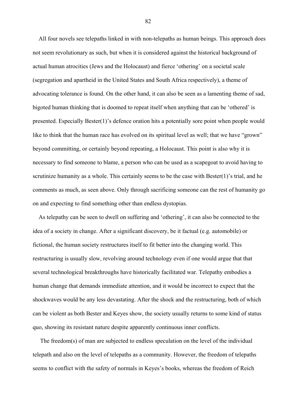All four novels see telepaths linked in with non-telepaths as human beings. This approach does not seem revolutionary as such, but when it is considered against the historical background of actual human atrocities (Jews and the Holocaust) and fierce 'othering' on a societal scale (segregation and apartheid in the United States and South Africa respectively), a theme of advocating tolerance is found. On the other hand, it can also be seen as a lamenting theme of sad, bigoted human thinking that is doomed to repeat itself when anything that can be 'othered' is presented. Especially Bester(1)'s defence oration hits a potentially sore point when people would like to think that the human race has evolved on its spiritual level as well; that we have "grown" beyond committing, or certainly beyond repeating, a Holocaust. This point is also why it is necessary to find someone to blame, a person who can be used as a scapegoat to avoid having to scrutinize humanity as a whole. This certainly seems to be the case with Bester(1)'s trial, and he comments as much, as seen above. Only through sacrificing someone can the rest of humanity go on and expecting to find something other than endless dystopias.

 As telepathy can be seen to dwell on suffering and 'othering', it can also be connected to the idea of a society in change. After a significant discovery, be it factual (e.g. automobile) or fictional, the human society restructures itself to fit better into the changing world. This restructuring is usually slow, revolving around technology even if one would argue that that several technological breakthroughs have historically facilitated war. Telepathy embodies a human change that demands immediate attention, and it would be incorrect to expect that the shockwaves would be any less devastating. After the shock and the restructuring, both of which can be violent as both Bester and Keyes show, the society usually returns to some kind of status quo, showing its resistant nature despite apparently continuous inner conflicts.

 The freedom(s) of man are subjected to endless speculation on the level of the individual telepath and also on the level of telepaths as a community. However, the freedom of telepaths seems to conflict with the safety of normals in Keyes's books, whereas the freedom of Reich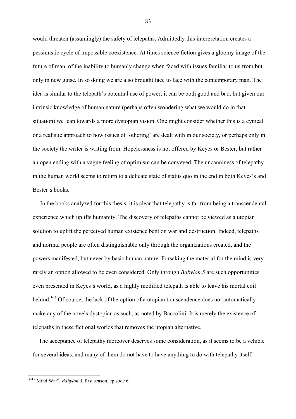would threaten (assumingly) the safety of telepaths. Admittedly this interpretation creates a pessimistic cycle of impossible coexistence. At times science fiction gives a gloomy image of the future of man, of the inability to humanly change when faced with issues familiar to us from but only in new guise. In so doing we are also brought face to face with the contemporary man. The idea is similar to the telepath's potential use of power; it can be both good and bad, but given our intrinsic knowledge of human nature (perhaps often wondering what we would do in that situation) we lean towards a more dystopian vision. One might consider whether this is a cynical or a realistic approach to how issues of 'othering' are dealt with in our society, or perhaps only in the society the writer is writing from. Hopelessness is not offered by Keyes or Bester, but rather an open ending with a vague feeling of optimism can be conveyed. The uncanniness of telepathy in the human world seems to return to a delicate state of status quo in the end in both Keyes's and Bester's books.

 In the books analyzed for this thesis, it is clear that telepathy is far from being a transcendental experience which uplifts humanity. The discovery of telepaths cannot be viewed as a utopian solution to uplift the perceived human existence bent on war and destruction. Indeed, telepaths and normal people are often distinguishable only through the organizations created, and the powers manifested, but never by basic human nature. Forsaking the material for the mind is very rarely an option allowed to be even considered. Only through *Babylon 5* are such opportunities even presented in Keyes's world, as a highly modified telepath is able to leave his mortal coil behind.<sup>304</sup> Of course, the lack of the option of a utopian transcendence does not automatically make any of the novels dystopian as such, as noted by Baccolini. It is merely the existence of telepaths in these fictional worlds that removes the utopian alternative.

 The acceptance of telepathy moreover deserves some consideration, as it seems to be a vehicle for several ideas, and many of them do not have to have anything to do with telepathy itself.

 $\overline{a}$ 

<sup>304 &</sup>quot;Mind War", *Babylon 5*, first season, episode 6.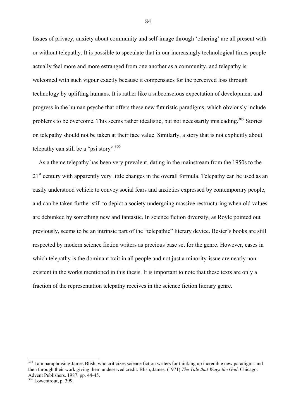Issues of privacy, anxiety about community and self-image through 'othering' are all present with or without telepathy. It is possible to speculate that in our increasingly technological times people actually feel more and more estranged from one another as a community, and telepathy is welcomed with such vigour exactly because it compensates for the perceived loss through technology by uplifting humans. It is rather like a subconscious expectation of development and progress in the human psyche that offers these new futuristic paradigms, which obviously include problems to be overcome. This seems rather idealistic, but not necessarily misleading.<sup>305</sup> Stories on telepathy should not be taken at their face value. Similarly, a story that is not explicitly about telepathy can still be a "psi story".  $306$ 

 As a theme telepathy has been very prevalent, dating in the mainstream from the 1950s to the 21<sup>st</sup> century with apparently very little changes in the overall formula. Telepathy can be used as an easily understood vehicle to convey social fears and anxieties expressed by contemporary people, and can be taken further still to depict a society undergoing massive restructuring when old values are debunked by something new and fantastic. In science fiction diversity, as Royle pointed out previously, seems to be an intrinsic part of the "telepathic" literary device. Bester's books are still respected by modern science fiction writers as precious base set for the genre. However, cases in which telepathy is the dominant trait in all people and not just a minority-issue are nearly nonexistent in the works mentioned in this thesis. It is important to note that these texts are only a fraction of the representation telepathy receives in the science fiction literary genre.

 $\overline{a}$ 

 $305$  I am paraphrasing James Blish, who criticizes science fiction writers for thinking up incredible new paradigms and then through their work giving them undeserved credit. Blish, James. (1971) *The Tale that Wags the God*. Chicago: Advent Publishers. 1987. pp. 44-45.

 $306$  Lowentrout, p. 399.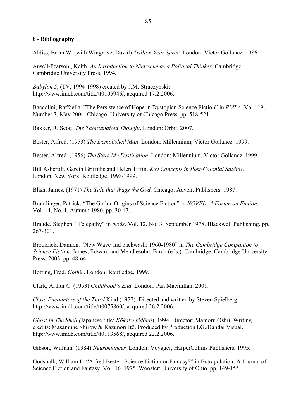## **6 - Bibliography**

Aldiss, Brian W. (with Wingrove, David) *Trillion Year Spree*. London: Victor Gollancz. 1986.

Ansell-Pearson., Keith. *An Introduction to Nietzsche as a Political Thinker.* Cambridge: Cambridge University Press. 1994.

*Babylon 5*, (TV, 1994-1998) created by J.M. Straczynski: http://www.imdb.com/title/tt0105946/, acquired 17.2.2006.

Baccolini, Raffaella. "The Persistence of Hope in Dystopian Science Fiction" in *PMLA*, Vol 119, Number 3, May 2004. Chicago: University of Chicago Press. pp. 518-521.

Bakker, R. Scott. *The Thousandfold Thought*. London: Orbit. 2007.

Bester, Alfred. (1953) *The Demolished Man*. London: Millennium, Victor Gollancz. 1999.

Bester, Alfred. (1956) *The Stars My Destination*. London: Millennium, Victor Gollancz. 1999.

Bill Ashcroft, Gareth Griffiths and Helen Tiffin. *Key Concepts in Post-Colonial Studies*. London, New York: Routledge. 1998/1999.

Blish, James. (1971) *The Tale that Wags the God*. Chicago: Advent Publishers. 1987.

Brantlinger, Patrick. "The Gothic Origins of Science Fiction" in *NOVEL: A Forum on Fiction*, Vol. 14, No. 1, Autumn 1980. pp. 30-43.

Braude, Stephen. "Telepathy" in *Noûs*. Vol. 12, No. 3, September 1978. Blackwell Publishing. pp. 267-301.

Broderick, Damien. "New Wave and backwash: 1960-1980" in *The Cambridge Companion to Science Fiction*. James, Edward and Mendlesohn, Farah (eds.). Cambridge: Cambridge University Press, 2003. pp. 48-64.

Botting, Fred. *Gothic*. London: Routledge, 1999.

Clark, Arthur C. (1953) *Childhood's End*. London: Pan Macmillan. 2001.

*Close Encounters of the Third* Kind (1977). Directed and written by Steven Spielberg. http://www.imdb.com/title/tt0075860/, acquired 26.2.2006.

*Ghost In The Shell (*Japanese title: *Kôkaku kidôtai*), 1994. Director: Mamoru Oshii. Writing credits: Masamune Shirow & Kazunori Itô. Produced by Production I.G./Bandai Visual. http://www.imdb.com/title/tt0113568/, acquired 22.2.2006.

Gibson, William. (1984) *Neuromancer* London: Voyager, HarperCollins Publishers, 1995.

Godshalk, William L. "Alfred Bester: Science Fiction or Fantasy?" in Extrapolation: A Journal of Science Fiction and Fantasy. Vol. 16. 1975. Wooster: University of Ohio. pp. 149-155.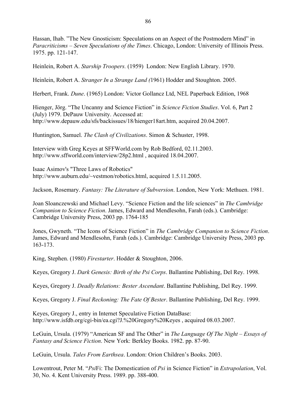Hassan, Ihab. "The New Gnosticism: Speculations on an Aspect of the Postmodern Mind" in *Paracriticisms – Seven Speculations of the Times*. Chicago, London: University of Illinois Press. 1975. pp. 121-147.

Heinlein, Robert A. *Starship Troopers.* (1959) London: New English Library. 1970.

Heinlein, Robert A. *Stranger In a Strange Land (*1961) Hodder and Stoughton. 2005.

Herbert, Frank. *Dune*. (1965) London: Victor Gollancz Ltd, NEL Paperback Edition, 1968

Hienger, Jörg. "The Uncanny and Science Fiction" in *Science Fiction Studies*. Vol. 6, Part 2 (July) 1979. DePauw University. Accessed at: http://www.depauw.edu/sfs/backissues/18/hienger18art.htm, acquired 20.04.2007.

Huntington, Samuel. *The Clash of Civilizations*. Simon & Schuster, 1998.

Interview with Greg Keyes at SFFWorld.com by Rob Bedford, 02.11.2003. http://www.sffworld.com/interview/28p2.html , acquired 18.04.2007.

Isaac Asimov's "Three Laws of Robotics" http://www.auburn.edu/~vestmon/robotics.html, acquired 1.5.11.2005.

Jackson, Rosemary. *Fantasy: The Literature of Subversion*. London, New York: Methuen. 1981.

Joan Sloanczewski and Michael Levy. "Science Fiction and the life sciences" in *The Cambridge Companion to Science Fiction*. James, Edward and Mendlesohn, Farah (eds.). Cambridge: Cambridge University Press, 2003 pp. 1764-185

Jones, Gwyneth. "The Icons of Science Fiction" in *The Cambridge Companion to Science Fiction*. James, Edward and Mendlesohn, Farah (eds.). Cambridge: Cambridge University Press, 2003 pp. 163-173.

King, Stephen. (1980) *Firestarter*. Hodder & Stoughton, 2006.

Keyes, Gregory J. *Dark Genesis: Birth of the Psi Corps*. Ballantine Publishing, Del Rey. 1998.

Keyes, Gregory J. *Deadly Relations: Bester Ascendant*. Ballantine Publishing, Del Rey. 1999.

Keyes, Gregory J. *Final Reckoning: The Fate Of Bester*. Ballantine Publishing, Del Rey. 1999.

Keyes, Gregory J., entry in Internet Speculative Fiction DataBase: http://www.isfdb.org/cgi-bin/ea.cgi?J.%20Gregory%20Keyes , acquired 08.03.2007.

LeGuin, Ursula. (1979) "American SF and The Other" in *The Language Of The Night – Essays of Fantasy and Science Fiction*. New York: Berkley Books. 1982. pp. 87-90.

LeGuin, Ursula. *Tales From Earthsea*. London: Orion Children's Books. 2003.

Lowentrout, Peter M. "*Psi*Fi: The Domestication of *Psi* in Science Fiction" in *Extrapolation*, Vol. 30, No. 4. Kent University Press. 1989. pp. 388-400.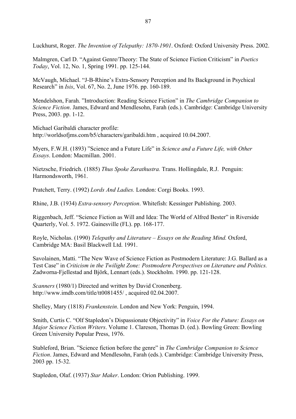Luckhurst, Roger. *The Invention of Telepathy: 1870-1901*. Oxford: Oxford University Press. 2002.

Malmgren, Carl D. "Against Genre/Theory: The State of Science Fiction Criticism" in *Poetics Today*, Vol. 12, No. 1, Spring 1991. pp. 125-144.

McVaugh, Michael. "J-B-Rhine's Extra-Sensory Perception and Its Background in Psychical Research" in *Isis*, Vol. 67, No. 2, June 1976. pp. 160-189.

Mendelshon, Farah. "Introduction: Reading Science Fiction" in *The Cambridge Companion to Science Fiction*. James, Edward and Mendlesohn, Farah (eds.). Cambridge: Cambridge University Press, 2003. pp. 1-12.

Michael Garibaldi character profile: http://worldsofjms.com/b5/characters/garibaldi.htm , acquired 10.04.2007.

Myers, F.W.H. (1893) "Science and a Future Life" in *Science and a Future Life, with Other Essays*. London: Macmillan. 2001.

Nietzsche, Friedrich. (1885) *Thus Spoke Zarathustra.* Trans. Hollingdale, R.J. Penguin: Harmondsworth, 1961.

Pratchett, Terry. (1992) *Lords And Ladies.* London: Corgi Books. 1993.

Rhine, J.B. (1934) *Extra-sensory Perception*. Whitefish: Kessinger Publishing. 2003.

Riggenbach, Jeff. "Science Fiction as Will and Idea: The World of Alfred Bester" in Riverside Quarterly, Vol. 5. 1972. Gainesville (FL). pp. 168-177.

Royle, Nicholas. (1990) *Telepathy and Literature – Essays on the Reading Mind.* Oxford, Cambridge MA: Basil Blackwell Ltd. 1991.

Savolainen, Matti. "The New Wave of Science Fiction as Postmodern Literature: J.G. Ballard as a Test Case" in *Criticism in the Twilight Zone: Postmodern Perspectives on Literature and Politics.*  Zadworna-Fjellestad and Björk, Lennart (eds.). Stockholm. 1990. pp. 121-128.

*Scanners* (1980/1) Directed and written by David Cronenberg. http://www.imdb.com/title/tt0081455/ , acquired 02.04.2007.

Shelley, Mary (1818) *Frankenstein*. London and New York: Penguin, 1994.

Smith, Curtis C. "Olf Stapledon's Dispassionate Objectivity" in *Voice For the Future: Essays on Major Science Fiction Writers*. Volume 1. Clareson, Thomas D. (ed.). Bowling Green: Bowling Green University Popular Press, 1976.

Stableford, Brian. "Science fiction before the genre" in *The Cambridge Companion to Science Fiction*. James, Edward and Mendlesohn, Farah (eds.). Cambridge: Cambridge University Press, 2003 pp. 15-32.

Stapledon, Olaf. (1937) *Star Maker*. London: Orion Publishing. 1999.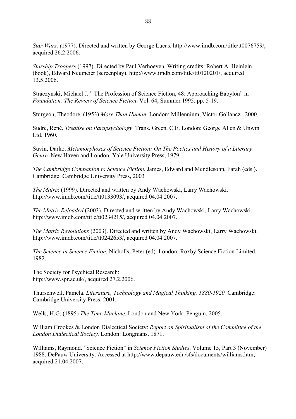*Star Wars. (*1977). Directed and written by George Lucas. http://www.imdb.com/title/tt0076759/, acquired 26.2.2006.

*Starship Troopers* (1997). Directed by Paul Verhoeven. Writing credits: Robert A. Heinlein (book), Edward Neumeier (screenplay). http://www.imdb.com/title/tt0120201/, acquired 13.5.2006.

Straczynski, Michael J. " The Profession of Science Fiction, 48: Approaching Babylon" in *Foundation: The Review of Science Fiction*. Vol. 64, Summer 1995. pp. 5-19.

Sturgeon, Theodore. (1953) *More Than Human*. London: Millennium, Victor Gollancz.. 2000.

Sudre, René. *Treatise on Parapsychology*. Trans. Green, C.E. London: George Allen & Unwin Ltd. 1960.

Suvin, Darko. *Metamorphoses of Science Fiction: On The Poetics and History of a Literary Genre.* New Haven and London: Yale University Press, 1979.

*The Cambridge Companion to Science Fiction*. James, Edward and Mendlesohn, Farah (eds.). Cambridge: Cambridge University Press, 2003

*The Matrix* (1999). Directed and written by Andy Wachowski, Larry Wachowski. http://www.imdb.com/title/tt0133093/, acquired 04.04.2007.

*The Matrix Reloaded* (2003). Directed and written by Andy Wachowski, Larry Wachowski. http://www.imdb.com/title/tt0234215/, acquired 04.04.2007.

*The Matrix Revolutions* (2003). Directed and written by Andy Wachowski, Larry Wachowski. http://www.imdb.com/title/tt0242653/, acquired 04.04.2007.

*The Science in Science Fiction*. Nicholls, Peter (ed). London: Roxby Science Fiction Limited. 1982.

The Society for Psychical Research: http://www.spr.ac.uk/, acquired 27.2.2006.

Thurschwell, Pamela. *Literature, Technology and Magical Thinking, 1880-1920.* Cambridge: Cambridge University Press. 2001.

Wells, H.G. (1895) *The Time Machine.* London and New York: Penguin. 2005.

William Crookes & London Dialectical Society: *Report on Spiritualism of the Committee of the London Dialectical Society.* London: Longmans. 1871.

Williams, Raymond. "Science Fiction" in *Science Fiction Studies*. Volume 15, Part 3 (November) 1988. DePauw University. Accessed at http://www.depauw.edu/sfs/documents/williams.htm, acquired 21.04.2007.